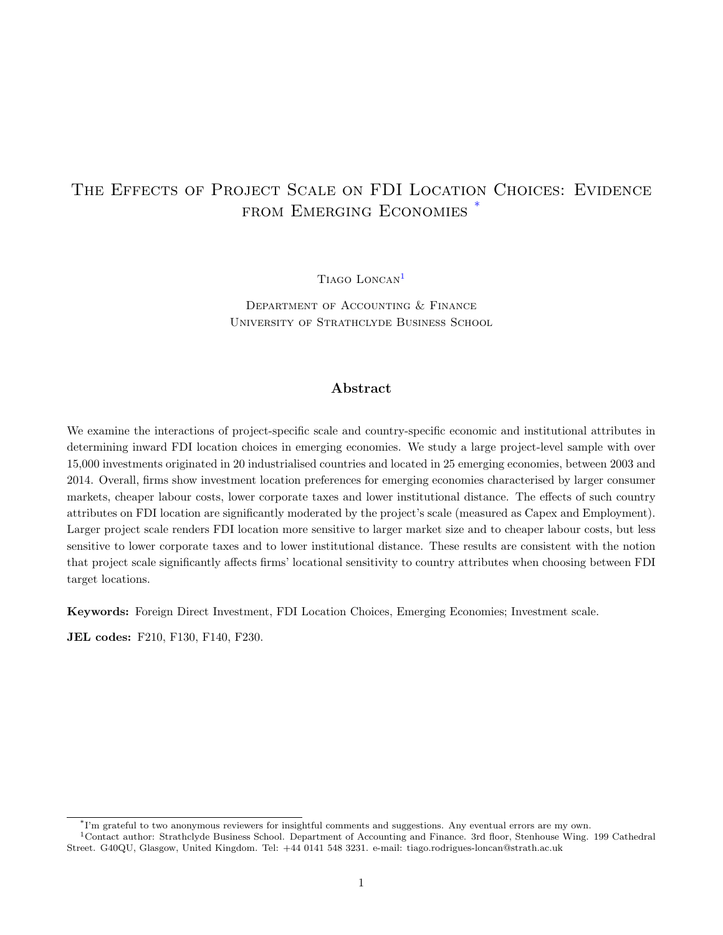# THE EFFECTS OF PROJECT SCALE ON FDI LOCATION CHOICES: EVIDENCE FROM EMERGING ECONOMIES<sup>[\\*](#page-0-0)</sup>

Tiago Loncan[1](#page-0-1)

Department of Accounting & Finance University of Strathclyde Business School

## Abstract

We examine the interactions of project-specific scale and country-specific economic and institutional attributes in determining inward FDI location choices in emerging economies. We study a large project-level sample with over 15,000 investments originated in 20 industrialised countries and located in 25 emerging economies, between 2003 and 2014. Overall, firms show investment location preferences for emerging economies characterised by larger consumer markets, cheaper labour costs, lower corporate taxes and lower institutional distance. The effects of such country attributes on FDI location are significantly moderated by the project's scale (measured as Capex and Employment). Larger project scale renders FDI location more sensitive to larger market size and to cheaper labour costs, but less sensitive to lower corporate taxes and to lower institutional distance. These results are consistent with the notion that project scale significantly affects firms' locational sensitivity to country attributes when choosing between FDI target locations.

Keywords: Foreign Direct Investment, FDI Location Choices, Emerging Economies; Investment scale.

JEL codes: F210, F130, F140, F230.

<span id="page-0-1"></span><span id="page-0-0"></span><sup>\*</sup> I'm grateful to two anonymous reviewers for insightful comments and suggestions. Any eventual errors are my own.

<sup>&</sup>lt;sup>1</sup>Contact author: Strathclyde Business School. Department of Accounting and Finance. 3rd floor, Stenhouse Wing. 199 Cathedral Street. G40QU, Glasgow, United Kingdom. Tel: +44 0141 548 3231. e-mail: tiago.rodrigues-loncan@strath.ac.uk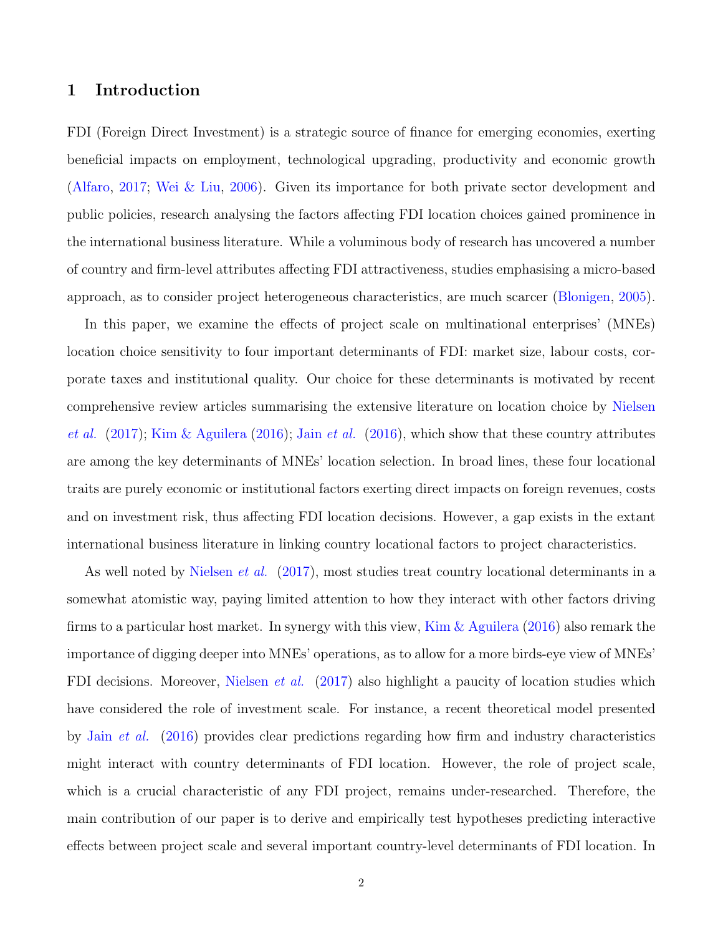# 1 Introduction

FDI (Foreign Direct Investment) is a strategic source of finance for emerging economies, exerting beneficial impacts on employment, technological upgrading, productivity and economic growth [\(Alfaro,](#page-35-0) [2017;](#page-35-0) [Wei & Liu,](#page-44-0) [2006\)](#page-44-0). Given its importance for both private sector development and public policies, research analysing the factors affecting FDI location choices gained prominence in the international business literature. While a voluminous body of research has uncovered a number of country and firm-level attributes affecting FDI attractiveness, studies emphasising a micro-based approach, as to consider project heterogeneous characteristics, are much scarcer [\(Blonigen,](#page-37-0) [2005\)](#page-37-0).

In this paper, we examine the effects of project scale on multinational enterprises' (MNEs) location choice sensitivity to four important determinants of FDI: market size, labour costs, corporate taxes and institutional quality. Our choice for these determinants is motivated by recent comprehensive review articles summarising the extensive literature on location choice by [Nielsen](#page-42-0) [et al.](#page-41-1)  $(2017)$ ; [Kim & Aguilera](#page-41-0)  $(2016)$ ; Jain et al.  $(2016)$ , which show that these country attributes are among the key determinants of MNEs' location selection. In broad lines, these four locational traits are purely economic or institutional factors exerting direct impacts on foreign revenues, costs and on investment risk, thus affecting FDI location decisions. However, a gap exists in the extant international business literature in linking country locational factors to project characteristics.

As well noted by [Nielsen](#page-42-0) *et al.* [\(2017\)](#page-42-0), most studies treat country locational determinants in a somewhat atomistic way, paying limited attention to how they interact with other factors driving firms to a particular host market. In synergy with this view, [Kim & Aguilera](#page-41-0) [\(2016\)](#page-41-0) also remark the importance of digging deeper into MNEs' operations, as to allow for a more birds-eye view of MNEs' FDI decisions. Moreover, [Nielsen](#page-42-0) *et al.* [\(2017\)](#page-42-0) also highlight a paucity of location studies which have considered the role of investment scale. For instance, a recent theoretical model presented by Jain [et al.](#page-41-1) [\(2016\)](#page-41-1) provides clear predictions regarding how firm and industry characteristics might interact with country determinants of FDI location. However, the role of project scale, which is a crucial characteristic of any FDI project, remains under-researched. Therefore, the main contribution of our paper is to derive and empirically test hypotheses predicting interactive effects between project scale and several important country-level determinants of FDI location. In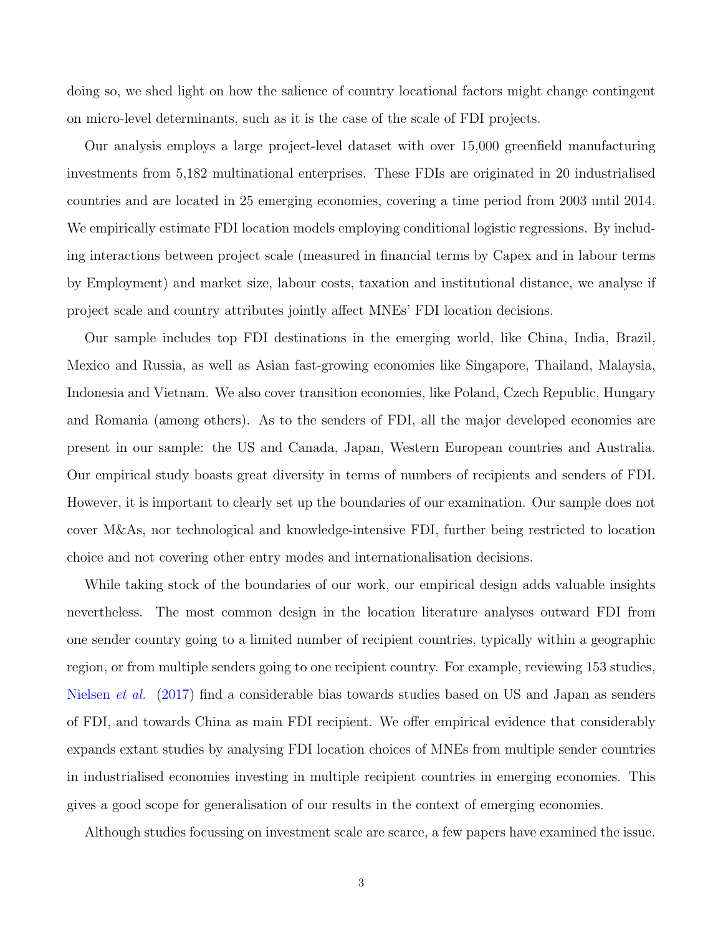doing so, we shed light on how the salience of country locational factors might change contingent on micro-level determinants, such as it is the case of the scale of FDI projects.

Our analysis employs a large project-level dataset with over 15,000 greenfield manufacturing investments from 5,182 multinational enterprises. These FDIs are originated in 20 industrialised countries and are located in 25 emerging economies, covering a time period from 2003 until 2014. We empirically estimate FDI location models employing conditional logistic regressions. By including interactions between project scale (measured in financial terms by Capex and in labour terms by Employment) and market size, labour costs, taxation and institutional distance, we analyse if project scale and country attributes jointly affect MNEs' FDI location decisions.

Our sample includes top FDI destinations in the emerging world, like China, India, Brazil, Mexico and Russia, as well as Asian fast-growing economies like Singapore, Thailand, Malaysia, Indonesia and Vietnam. We also cover transition economies, like Poland, Czech Republic, Hungary and Romania (among others). As to the senders of FDI, all the major developed economies are present in our sample: the US and Canada, Japan, Western European countries and Australia. Our empirical study boasts great diversity in terms of numbers of recipients and senders of FDI. However, it is important to clearly set up the boundaries of our examination. Our sample does not cover M&As, nor technological and knowledge-intensive FDI, further being restricted to location choice and not covering other entry modes and internationalisation decisions.

While taking stock of the boundaries of our work, our empirical design adds valuable insights nevertheless. The most common design in the location literature analyses outward FDI from one sender country going to a limited number of recipient countries, typically within a geographic region, or from multiple senders going to one recipient country. For example, reviewing 153 studies, [Nielsen](#page-42-0) et al. [\(2017\)](#page-42-0) find a considerable bias towards studies based on US and Japan as senders of FDI, and towards China as main FDI recipient. We offer empirical evidence that considerably expands extant studies by analysing FDI location choices of MNEs from multiple sender countries in industrialised economies investing in multiple recipient countries in emerging economies. This gives a good scope for generalisation of our results in the context of emerging economies.

Although studies focussing on investment scale are scarce, a few papers have examined the issue.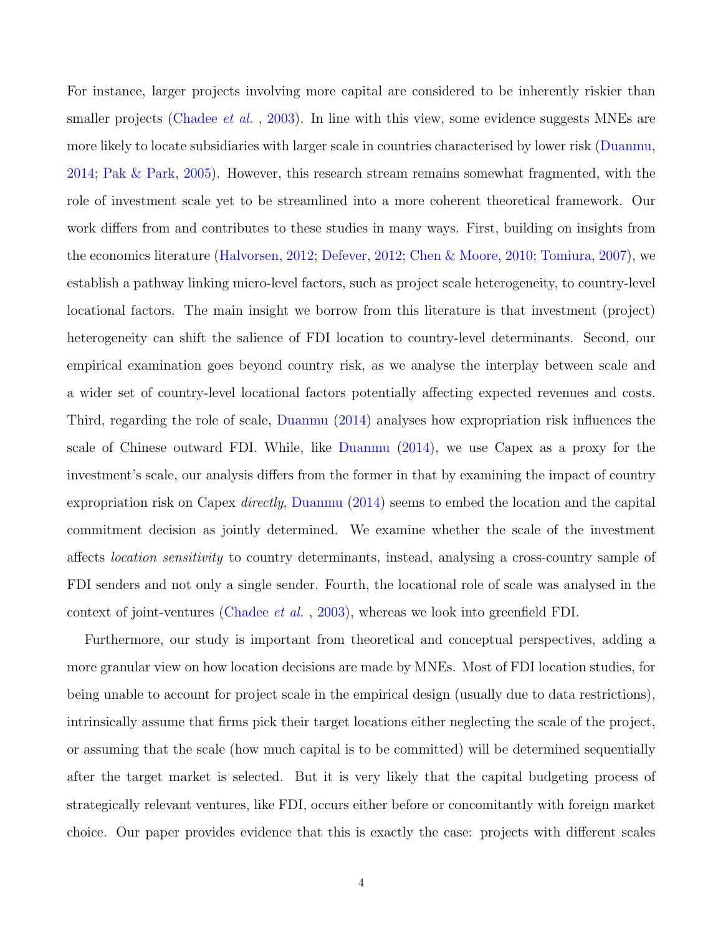For instance, larger projects involving more capital are considered to be inherently riskier than smaller projects [\(Chadee](#page-37-1) *et al.*, [2003\)](#page-37-1). In line with this view, some evidence suggests MNEs are more likely to locate subsidiaries with larger scale in countries characterised by lower risk [\(Duanmu,](#page-39-0) [2014;](#page-39-0) [Pak & Park,](#page-43-0) [2005\)](#page-43-0). However, this research stream remains somewhat fragmented, with the role of investment scale yet to be streamlined into a more coherent theoretical framework. Our work differs from and contributes to these studies in many ways. First, building on insights from the economics literature [\(Halvorsen,](#page-40-0) [2012;](#page-40-0) [Defever,](#page-38-0) [2012;](#page-38-0) [Chen & Moore,](#page-38-1) [2010;](#page-38-1) [Tomiura,](#page-43-1) [2007\)](#page-43-1), we establish a pathway linking micro-level factors, such as project scale heterogeneity, to country-level locational factors. The main insight we borrow from this literature is that investment (project) heterogeneity can shift the salience of FDI location to country-level determinants. Second, our empirical examination goes beyond country risk, as we analyse the interplay between scale and a wider set of country-level locational factors potentially affecting expected revenues and costs. Third, regarding the role of scale, [Duanmu](#page-39-0) [\(2014\)](#page-39-0) analyses how expropriation risk influences the scale of Chinese outward FDI. While, like [Duanmu](#page-39-0) [\(2014\)](#page-39-0), we use Capex as a proxy for the investment's scale, our analysis differs from the former in that by examining the impact of country expropriation risk on Capex *directly*, [Duanmu](#page-39-0) [\(2014\)](#page-39-0) seems to embed the location and the capital commitment decision as jointly determined. We examine whether the scale of the investment affects location sensitivity to country determinants, instead, analysing a cross-country sample of FDI senders and not only a single sender. Fourth, the locational role of scale was analysed in the context of joint-ventures [\(Chadee](#page-37-1) et al. , [2003\)](#page-37-1), whereas we look into greenfield FDI.

Furthermore, our study is important from theoretical and conceptual perspectives, adding a more granular view on how location decisions are made by MNEs. Most of FDI location studies, for being unable to account for project scale in the empirical design (usually due to data restrictions), intrinsically assume that firms pick their target locations either neglecting the scale of the project, or assuming that the scale (how much capital is to be committed) will be determined sequentially after the target market is selected. But it is very likely that the capital budgeting process of strategically relevant ventures, like FDI, occurs either before or concomitantly with foreign market choice. Our paper provides evidence that this is exactly the case: projects with different scales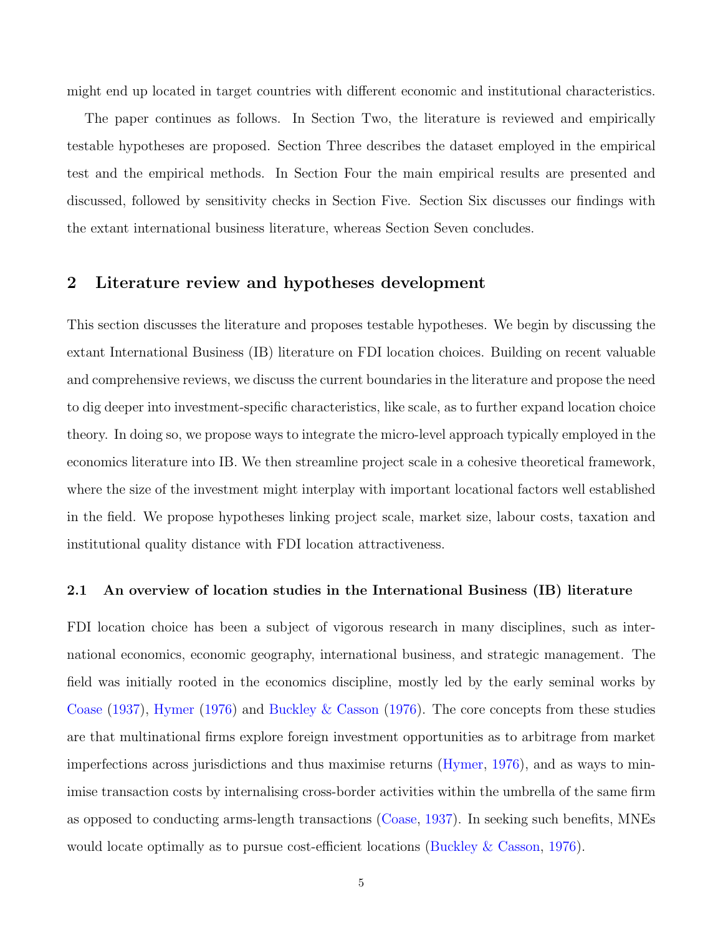might end up located in target countries with different economic and institutional characteristics.

The paper continues as follows. In Section Two, the literature is reviewed and empirically testable hypotheses are proposed. Section Three describes the dataset employed in the empirical test and the empirical methods. In Section Four the main empirical results are presented and discussed, followed by sensitivity checks in Section Five. Section Six discusses our findings with the extant international business literature, whereas Section Seven concludes.

# 2 Literature review and hypotheses development

This section discusses the literature and proposes testable hypotheses. We begin by discussing the extant International Business (IB) literature on FDI location choices. Building on recent valuable and comprehensive reviews, we discuss the current boundaries in the literature and propose the need to dig deeper into investment-specific characteristics, like scale, as to further expand location choice theory. In doing so, we propose ways to integrate the micro-level approach typically employed in the economics literature into IB. We then streamline project scale in a cohesive theoretical framework, where the size of the investment might interplay with important locational factors well established in the field. We propose hypotheses linking project scale, market size, labour costs, taxation and institutional quality distance with FDI location attractiveness.

## 2.1 An overview of location studies in the International Business (IB) literature

FDI location choice has been a subject of vigorous research in many disciplines, such as international economics, economic geography, international business, and strategic management. The field was initially rooted in the economics discipline, mostly led by the early seminal works by [Coase](#page-38-2) [\(1937\)](#page-38-2), [Hymer](#page-41-2) [\(1976\)](#page-41-2) and [Buckley & Casson](#page-37-2) [\(1976\)](#page-37-2). The core concepts from these studies are that multinational firms explore foreign investment opportunities as to arbitrage from market imperfections across jurisdictions and thus maximise returns [\(Hymer,](#page-41-2) [1976\)](#page-41-2), and as ways to minimise transaction costs by internalising cross-border activities within the umbrella of the same firm as opposed to conducting arms-length transactions [\(Coase,](#page-38-2) [1937\)](#page-38-2). In seeking such benefits, MNEs would locate optimally as to pursue cost-efficient locations [\(Buckley & Casson,](#page-37-2) [1976\)](#page-37-2).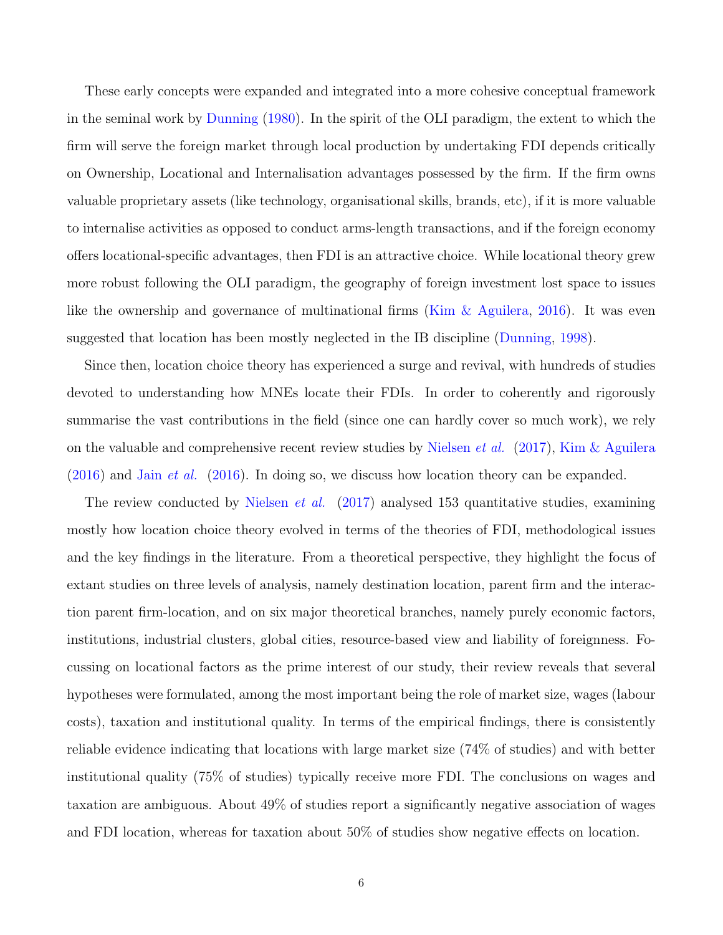These early concepts were expanded and integrated into a more cohesive conceptual framework in the seminal work by [Dunning](#page-39-1) [\(1980\)](#page-39-1). In the spirit of the OLI paradigm, the extent to which the firm will serve the foreign market through local production by undertaking FDI depends critically on Ownership, Locational and Internalisation advantages possessed by the firm. If the firm owns valuable proprietary assets (like technology, organisational skills, brands, etc), if it is more valuable to internalise activities as opposed to conduct arms-length transactions, and if the foreign economy offers locational-specific advantages, then FDI is an attractive choice. While locational theory grew more robust following the OLI paradigm, the geography of foreign investment lost space to issues like the ownership and governance of multinational firms [\(Kim & Aguilera,](#page-41-0) [2016\)](#page-41-0). It was even suggested that location has been mostly neglected in the IB discipline [\(Dunning,](#page-39-2) [1998\)](#page-39-2).

Since then, location choice theory has experienced a surge and revival, with hundreds of studies devoted to understanding how MNEs locate their FDIs. In order to coherently and rigorously summarise the vast contributions in the field (since one can hardly cover so much work), we rely on the valuable and comprehensive recent review studies by [Nielsen](#page-42-0) *et al.* [\(2017\)](#page-42-0), [Kim & Aguilera](#page-41-0)  $(2016)$  and Jain *[et al.](#page-41-1)*  $(2016)$ . In doing so, we discuss how location theory can be expanded.

The review conducted by [Nielsen](#page-42-0) *et al.* [\(2017\)](#page-42-0) analysed 153 quantitative studies, examining mostly how location choice theory evolved in terms of the theories of FDI, methodological issues and the key findings in the literature. From a theoretical perspective, they highlight the focus of extant studies on three levels of analysis, namely destination location, parent firm and the interaction parent firm-location, and on six major theoretical branches, namely purely economic factors, institutions, industrial clusters, global cities, resource-based view and liability of foreignness. Focussing on locational factors as the prime interest of our study, their review reveals that several hypotheses were formulated, among the most important being the role of market size, wages (labour costs), taxation and institutional quality. In terms of the empirical findings, there is consistently reliable evidence indicating that locations with large market size (74% of studies) and with better institutional quality (75% of studies) typically receive more FDI. The conclusions on wages and taxation are ambiguous. About 49% of studies report a significantly negative association of wages and FDI location, whereas for taxation about 50% of studies show negative effects on location.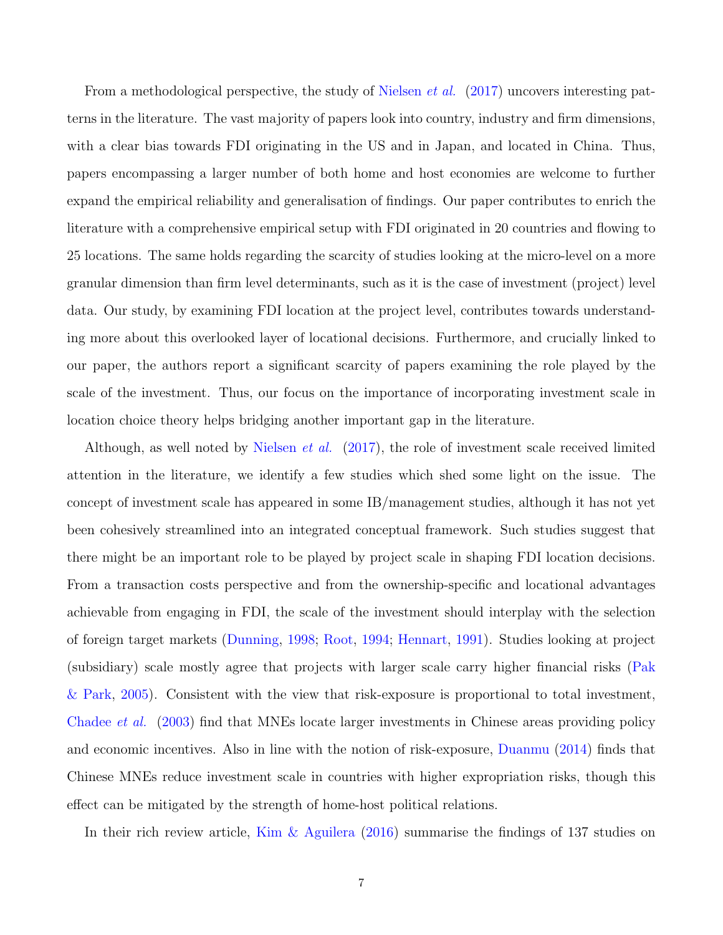From a methodological perspective, the study of [Nielsen](#page-42-0) *et al.* [\(2017\)](#page-42-0) uncovers interesting patterns in the literature. The vast majority of papers look into country, industry and firm dimensions, with a clear bias towards FDI originating in the US and in Japan, and located in China. Thus, papers encompassing a larger number of both home and host economies are welcome to further expand the empirical reliability and generalisation of findings. Our paper contributes to enrich the literature with a comprehensive empirical setup with FDI originated in 20 countries and flowing to 25 locations. The same holds regarding the scarcity of studies looking at the micro-level on a more granular dimension than firm level determinants, such as it is the case of investment (project) level data. Our study, by examining FDI location at the project level, contributes towards understanding more about this overlooked layer of locational decisions. Furthermore, and crucially linked to our paper, the authors report a significant scarcity of papers examining the role played by the scale of the investment. Thus, our focus on the importance of incorporating investment scale in location choice theory helps bridging another important gap in the literature.

Although, as well noted by [Nielsen](#page-42-0) et al. [\(2017\)](#page-42-0), the role of investment scale received limited attention in the literature, we identify a few studies which shed some light on the issue. The concept of investment scale has appeared in some IB/management studies, although it has not yet been cohesively streamlined into an integrated conceptual framework. Such studies suggest that there might be an important role to be played by project scale in shaping FDI location decisions. From a transaction costs perspective and from the ownership-specific and locational advantages achievable from engaging in FDI, the scale of the investment should interplay with the selection of foreign target markets [\(Dunning,](#page-39-2) [1998;](#page-39-2) [Root,](#page-43-2) [1994;](#page-43-2) [Hennart,](#page-40-1) [1991\)](#page-40-1). Studies looking at project (subsidiary) scale mostly agree that projects with larger scale carry higher financial risks [\(Pak](#page-43-0) [& Park,](#page-43-0) [2005\)](#page-43-0). Consistent with the view that risk-exposure is proportional to total investment, [Chadee](#page-37-1) et al. [\(2003\)](#page-37-1) find that MNEs locate larger investments in Chinese areas providing policy and economic incentives. Also in line with the notion of risk-exposure, [Duanmu](#page-39-0) [\(2014\)](#page-39-0) finds that Chinese MNEs reduce investment scale in countries with higher expropriation risks, though this effect can be mitigated by the strength of home-host political relations.

In their rich review article, [Kim & Aguilera](#page-41-0) [\(2016\)](#page-41-0) summarise the findings of 137 studies on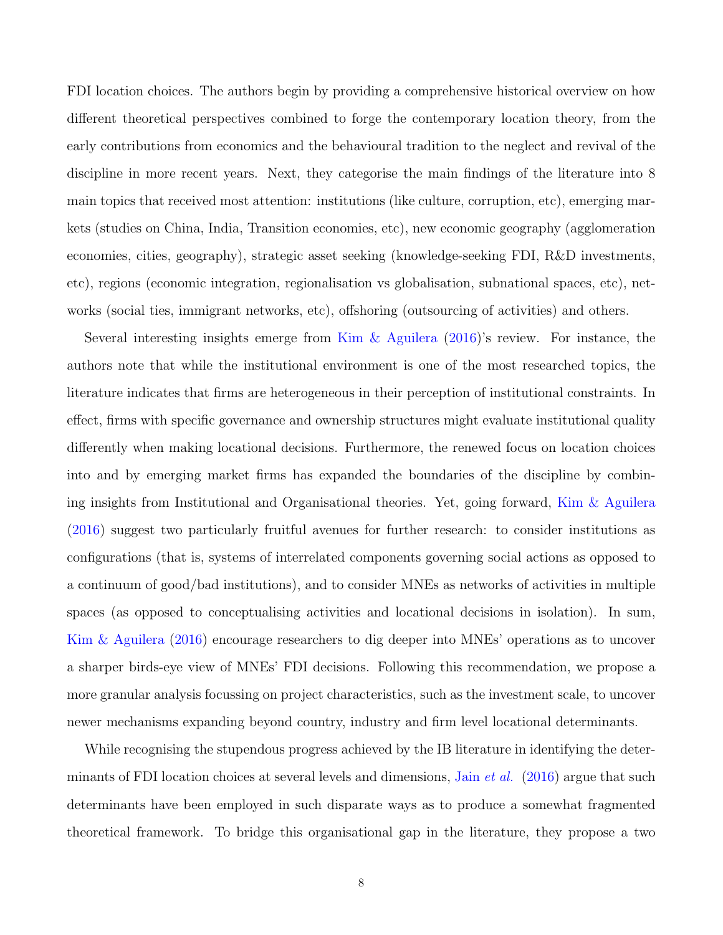FDI location choices. The authors begin by providing a comprehensive historical overview on how different theoretical perspectives combined to forge the contemporary location theory, from the early contributions from economics and the behavioural tradition to the neglect and revival of the discipline in more recent years. Next, they categorise the main findings of the literature into 8 main topics that received most attention: institutions (like culture, corruption, etc), emerging markets (studies on China, India, Transition economies, etc), new economic geography (agglomeration economies, cities, geography), strategic asset seeking (knowledge-seeking FDI, R&D investments, etc), regions (economic integration, regionalisation vs globalisation, subnational spaces, etc), networks (social ties, immigrant networks, etc), offshoring (outsourcing of activities) and others.

Several interesting insights emerge from [Kim & Aguilera](#page-41-0) [\(2016\)](#page-41-0)'s review. For instance, the authors note that while the institutional environment is one of the most researched topics, the literature indicates that firms are heterogeneous in their perception of institutional constraints. In effect, firms with specific governance and ownership structures might evaluate institutional quality differently when making locational decisions. Furthermore, the renewed focus on location choices into and by emerging market firms has expanded the boundaries of the discipline by combining insights from Institutional and Organisational theories. Yet, going forward, [Kim & Aguilera](#page-41-0) [\(2016\)](#page-41-0) suggest two particularly fruitful avenues for further research: to consider institutions as configurations (that is, systems of interrelated components governing social actions as opposed to a continuum of good/bad institutions), and to consider MNEs as networks of activities in multiple spaces (as opposed to conceptualising activities and locational decisions in isolation). In sum, [Kim & Aguilera](#page-41-0) [\(2016\)](#page-41-0) encourage researchers to dig deeper into MNEs' operations as to uncover a sharper birds-eye view of MNEs' FDI decisions. Following this recommendation, we propose a more granular analysis focussing on project characteristics, such as the investment scale, to uncover newer mechanisms expanding beyond country, industry and firm level locational determinants.

While recognising the stupendous progress achieved by the IB literature in identifying the determinants of FDI location choices at several levels and dimensions, Jain *[et al.](#page-41-1)* [\(2016\)](#page-41-1) argue that such determinants have been employed in such disparate ways as to produce a somewhat fragmented theoretical framework. To bridge this organisational gap in the literature, they propose a two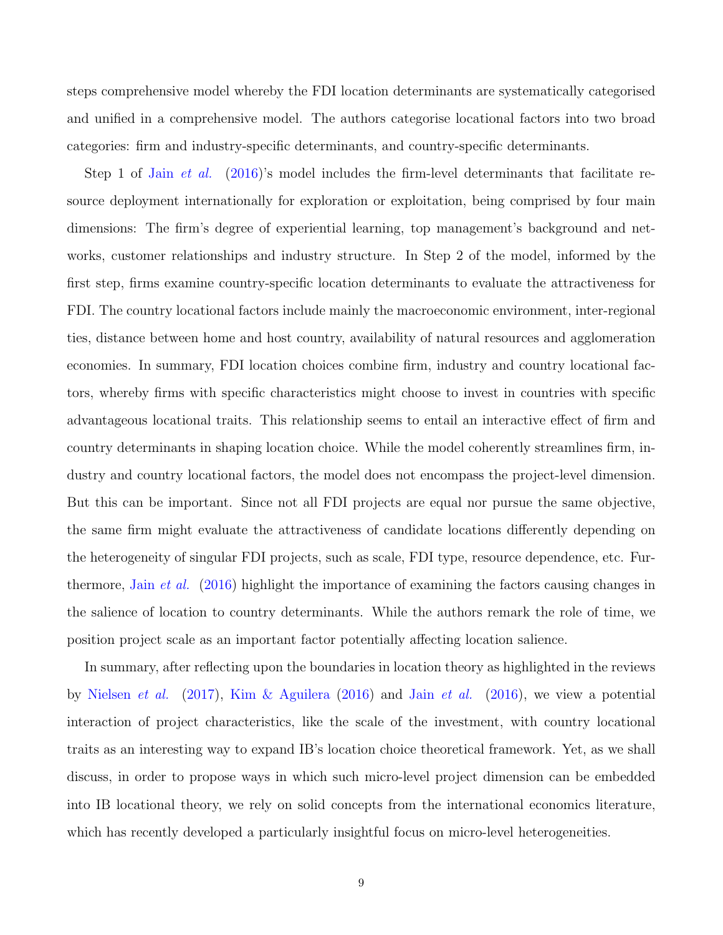steps comprehensive model whereby the FDI location determinants are systematically categorised and unified in a comprehensive model. The authors categorise locational factors into two broad categories: firm and industry-specific determinants, and country-specific determinants.

Step 1 of Jain *[et al.](#page-41-1)* [\(2016\)](#page-41-1)'s model includes the firm-level determinants that facilitate resource deployment internationally for exploration or exploitation, being comprised by four main dimensions: The firm's degree of experiential learning, top management's background and networks, customer relationships and industry structure. In Step 2 of the model, informed by the first step, firms examine country-specific location determinants to evaluate the attractiveness for FDI. The country locational factors include mainly the macroeconomic environment, inter-regional ties, distance between home and host country, availability of natural resources and agglomeration economies. In summary, FDI location choices combine firm, industry and country locational factors, whereby firms with specific characteristics might choose to invest in countries with specific advantageous locational traits. This relationship seems to entail an interactive effect of firm and country determinants in shaping location choice. While the model coherently streamlines firm, industry and country locational factors, the model does not encompass the project-level dimension. But this can be important. Since not all FDI projects are equal nor pursue the same objective, the same firm might evaluate the attractiveness of candidate locations differently depending on the heterogeneity of singular FDI projects, such as scale, FDI type, resource dependence, etc. Furthermore, Jain [et al.](#page-41-1) [\(2016\)](#page-41-1) highlight the importance of examining the factors causing changes in the salience of location to country determinants. While the authors remark the role of time, we position project scale as an important factor potentially affecting location salience.

In summary, after reflecting upon the boundaries in location theory as highlighted in the reviews by [Nielsen](#page-42-0) *[et al.](#page-41-1)* [\(2017\)](#page-42-0), [Kim & Aguilera](#page-41-0) [\(2016\)](#page-41-1) and Jain *et al.* (2016), we view a potential interaction of project characteristics, like the scale of the investment, with country locational traits as an interesting way to expand IB's location choice theoretical framework. Yet, as we shall discuss, in order to propose ways in which such micro-level project dimension can be embedded into IB locational theory, we rely on solid concepts from the international economics literature, which has recently developed a particularly insightful focus on micro-level heterogeneities.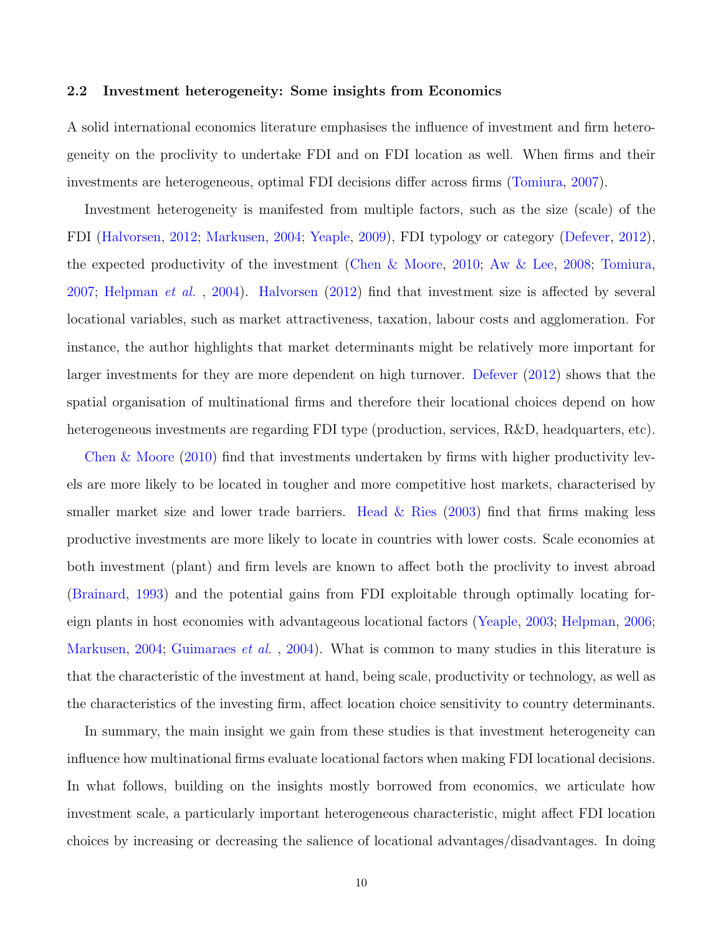### 2.2 Investment heterogeneity: Some insights from Economics

A solid international economics literature emphasises the influence of investment and firm heterogeneity on the proclivity to undertake FDI and on FDI location as well. When firms and their investments are heterogeneous, optimal FDI decisions differ across firms [\(Tomiura,](#page-43-1) [2007\)](#page-43-1).

Investment heterogeneity is manifested from multiple factors, such as the size (scale) of the FDI [\(Halvorsen,](#page-40-0) [2012;](#page-40-0) [Markusen,](#page-42-1) [2004;](#page-42-1) [Yeaple,](#page-44-1) [2009\)](#page-44-1), FDI typology or category [\(Defever,](#page-38-0) [2012\)](#page-38-0), the expected productivity of the investment [\(Chen & Moore,](#page-38-1) [2010;](#page-38-1) [Aw & Lee,](#page-36-0) [2008;](#page-36-0) [Tomiura,](#page-43-1) [2007;](#page-43-1) [Helpman](#page-40-2) et al. , [2004\)](#page-40-2). [Halvorsen](#page-40-0) [\(2012\)](#page-40-0) find that investment size is affected by several locational variables, such as market attractiveness, taxation, labour costs and agglomeration. For instance, the author highlights that market determinants might be relatively more important for larger investments for they are more dependent on high turnover. [Defever](#page-38-0) [\(2012\)](#page-38-0) shows that the spatial organisation of multinational firms and therefore their locational choices depend on how heterogeneous investments are regarding FDI type (production, services, R&D, headquarters, etc).

[Chen & Moore](#page-38-1) [\(2010\)](#page-38-1) find that investments undertaken by firms with higher productivity levels are more likely to be located in tougher and more competitive host markets, characterised by smaller market size and lower trade barriers. Head  $\&$  Ries [\(2003\)](#page-40-3) find that firms making less productive investments are more likely to locate in countries with lower costs. Scale economies at both investment (plant) and firm levels are known to affect both the proclivity to invest abroad [\(Brainard,](#page-37-3) [1993\)](#page-37-3) and the potential gains from FDI exploitable through optimally locating foreign plants in host economies with advantageous locational factors [\(Yeaple,](#page-44-2) [2003;](#page-44-2) [Helpman,](#page-40-4) [2006;](#page-40-4) [Markusen,](#page-42-1) [2004;](#page-42-1) [Guimaraes](#page-40-5) *et al.*, [2004\)](#page-40-5). What is common to many studies in this literature is that the characteristic of the investment at hand, being scale, productivity or technology, as well as the characteristics of the investing firm, affect location choice sensitivity to country determinants.

In summary, the main insight we gain from these studies is that investment heterogeneity can influence how multinational firms evaluate locational factors when making FDI locational decisions. In what follows, building on the insights mostly borrowed from economics, we articulate how investment scale, a particularly important heterogeneous characteristic, might affect FDI location choices by increasing or decreasing the salience of locational advantages/disadvantages. In doing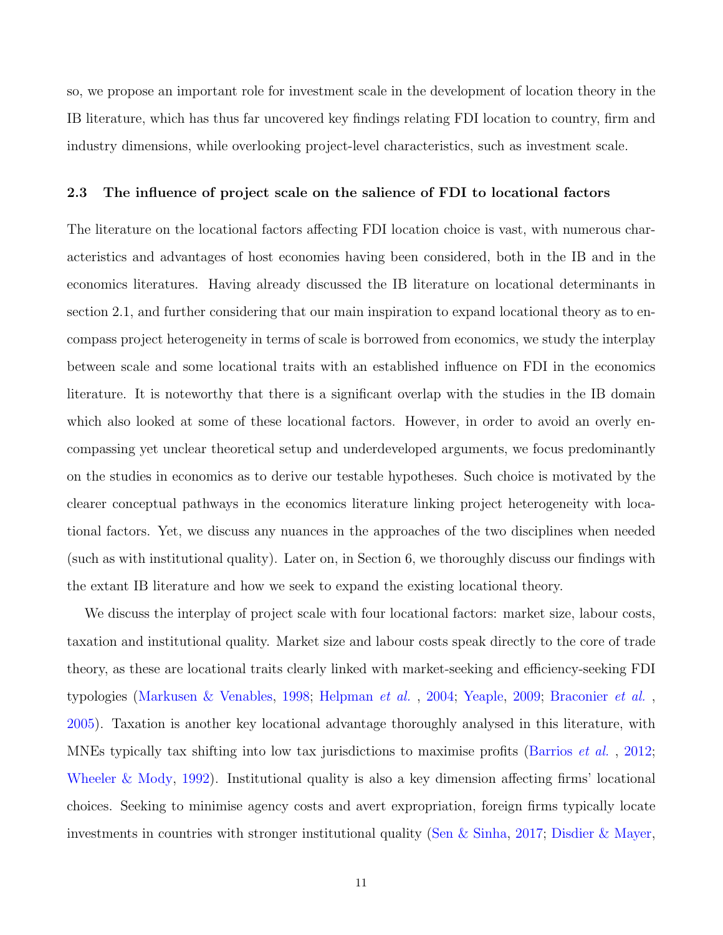so, we propose an important role for investment scale in the development of location theory in the IB literature, which has thus far uncovered key findings relating FDI location to country, firm and industry dimensions, while overlooking project-level characteristics, such as investment scale.

### 2.3 The influence of project scale on the salience of FDI to locational factors

The literature on the locational factors affecting FDI location choice is vast, with numerous characteristics and advantages of host economies having been considered, both in the IB and in the economics literatures. Having already discussed the IB literature on locational determinants in section 2.1, and further considering that our main inspiration to expand locational theory as to encompass project heterogeneity in terms of scale is borrowed from economics, we study the interplay between scale and some locational traits with an established influence on FDI in the economics literature. It is noteworthy that there is a significant overlap with the studies in the IB domain which also looked at some of these locational factors. However, in order to avoid an overly encompassing yet unclear theoretical setup and underdeveloped arguments, we focus predominantly on the studies in economics as to derive our testable hypotheses. Such choice is motivated by the clearer conceptual pathways in the economics literature linking project heterogeneity with locational factors. Yet, we discuss any nuances in the approaches of the two disciplines when needed (such as with institutional quality). Later on, in Section 6, we thoroughly discuss our findings with the extant IB literature and how we seek to expand the existing locational theory.

We discuss the interplay of project scale with four locational factors: market size, labour costs, taxation and institutional quality. Market size and labour costs speak directly to the core of trade theory, as these are locational traits clearly linked with market-seeking and efficiency-seeking FDI typologies [\(Markusen & Venables,](#page-42-2) [1998;](#page-42-2) [Helpman](#page-40-2) et al. , [2004;](#page-40-2) [Yeaple,](#page-44-1) [2009;](#page-44-1) [Braconier](#page-37-4) et al. , [2005\)](#page-37-4). Taxation is another key locational advantage thoroughly analysed in this literature, with MNEs typically tax shifting into low tax jurisdictions to maximise profits [\(Barrios](#page-36-1) *et al.*, [2012;](#page-36-1) [Wheeler & Mody,](#page-44-3) [1992\)](#page-44-3). Institutional quality is also a key dimension affecting firms' locational choices. Seeking to minimise agency costs and avert expropriation, foreign firms typically locate investments in countries with stronger institutional quality [\(Sen & Sinha,](#page-43-3) [2017;](#page-43-3) [Disdier & Mayer,](#page-38-3)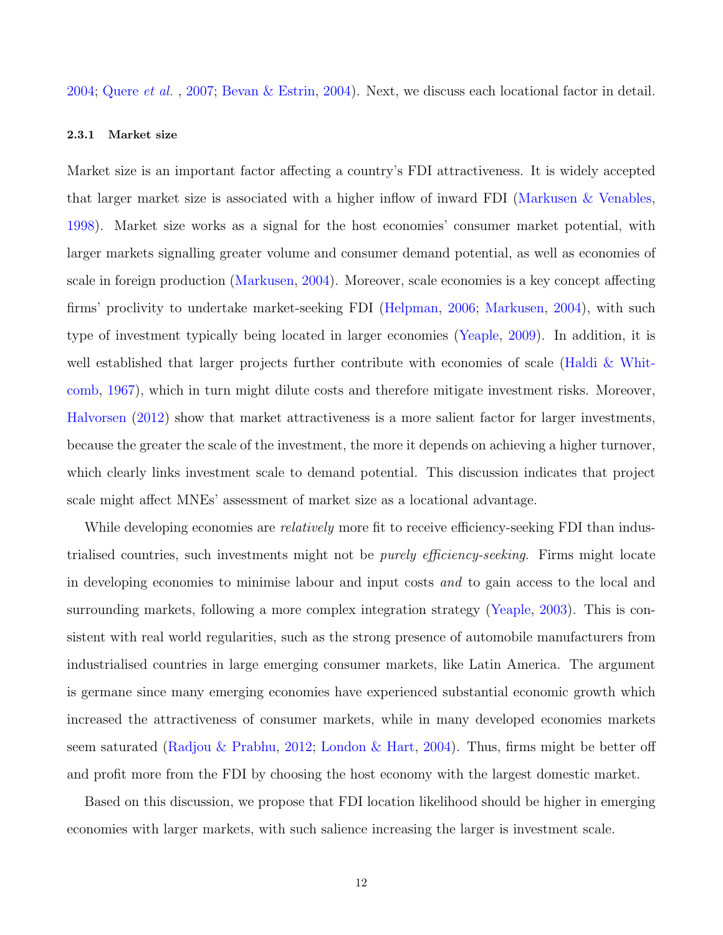[2004;](#page-38-3) [Quere](#page-43-4) et al. , [2007;](#page-43-4) [Bevan & Estrin,](#page-37-5) [2004\)](#page-37-5). Next, we discuss each locational factor in detail.

## 2.3.1 Market size

Market size is an important factor affecting a country's FDI attractiveness. It is widely accepted that larger market size is associated with a higher inflow of inward FDI [\(Markusen & Venables,](#page-42-2) [1998\)](#page-42-2). Market size works as a signal for the host economies' consumer market potential, with larger markets signalling greater volume and consumer demand potential, as well as economies of scale in foreign production [\(Markusen,](#page-42-1) [2004\)](#page-42-1). Moreover, scale economies is a key concept affecting firms' proclivity to undertake market-seeking FDI [\(Helpman,](#page-40-4) [2006;](#page-40-4) [Markusen,](#page-42-1) [2004\)](#page-42-1), with such type of investment typically being located in larger economies [\(Yeaple,](#page-44-1) [2009\)](#page-44-1). In addition, it is well established that larger projects further contribute with economies of scale [\(Haldi & Whit](#page-40-6)[comb,](#page-40-6) [1967\)](#page-40-6), which in turn might dilute costs and therefore mitigate investment risks. Moreover, [Halvorsen](#page-40-0) [\(2012\)](#page-40-0) show that market attractiveness is a more salient factor for larger investments, because the greater the scale of the investment, the more it depends on achieving a higher turnover, which clearly links investment scale to demand potential. This discussion indicates that project scale might affect MNEs' assessment of market size as a locational advantage.

While developing economies are *relatively* more fit to receive efficiency-seeking FDI than industrialised countries, such investments might not be purely efficiency-seeking. Firms might locate in developing economies to minimise labour and input costs and to gain access to the local and surrounding markets, following a more complex integration strategy [\(Yeaple,](#page-44-2) [2003\)](#page-44-2). This is consistent with real world regularities, such as the strong presence of automobile manufacturers from industrialised countries in large emerging consumer markets, like Latin America. The argument is germane since many emerging economies have experienced substantial economic growth which increased the attractiveness of consumer markets, while in many developed economies markets seem saturated [\(Radjou & Prabhu,](#page-43-5) [2012;](#page-43-5) [London & Hart,](#page-42-3) [2004\)](#page-42-3). Thus, firms might be better off and profit more from the FDI by choosing the host economy with the largest domestic market.

Based on this discussion, we propose that FDI location likelihood should be higher in emerging economies with larger markets, with such salience increasing the larger is investment scale.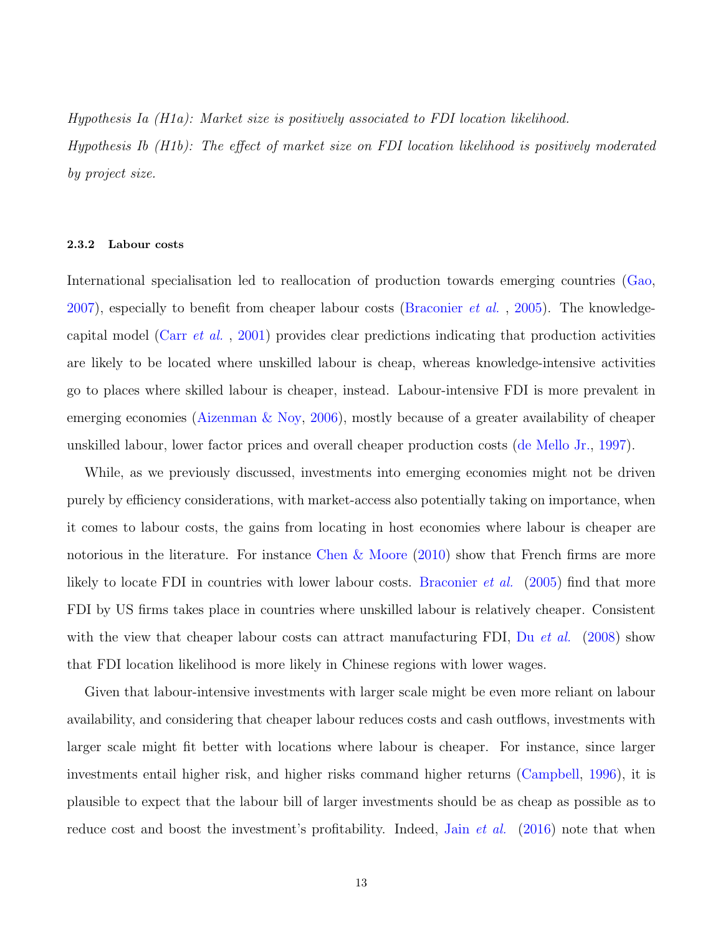Hypothesis Ia (H1a): Market size is positively associated to FDI location likelihood.

Hypothesis Ib (H1b): The effect of market size on FDI location likelihood is positively moderated by project size.

#### 2.3.2 Labour costs

International specialisation led to reallocation of production towards emerging countries [\(Gao,](#page-39-3) [2007\)](#page-39-3), especially to benefit from cheaper labour costs [\(Braconier](#page-37-4) *et al.*, [2005\)](#page-37-4). The knowledgecapital model (Carr [et al.](#page-37-6) , [2001\)](#page-37-6) provides clear predictions indicating that production activities are likely to be located where unskilled labour is cheap, whereas knowledge-intensive activities go to places where skilled labour is cheaper, instead. Labour-intensive FDI is more prevalent in emerging economies [\(Aizenman & Noy,](#page-35-1) [2006\)](#page-35-1), mostly because of a greater availability of cheaper unskilled labour, lower factor prices and overall cheaper production costs [\(de Mello Jr.,](#page-38-4) [1997\)](#page-38-4).

While, as we previously discussed, investments into emerging economies might not be driven purely by efficiency considerations, with market-access also potentially taking on importance, when it comes to labour costs, the gains from locating in host economies where labour is cheaper are notorious in the literature. For instance [Chen & Moore](#page-38-1)  $(2010)$  show that French firms are more likely to locate FDI in countries with lower labour costs. [Braconier](#page-37-4) *et al.* [\(2005\)](#page-37-4) find that more FDI by US firms takes place in countries where unskilled labour is relatively cheaper. Consistent with the view that cheaper labour costs can attract manufacturing FDI, Du *[et al.](#page-38-5)* [\(2008\)](#page-38-5) show that FDI location likelihood is more likely in Chinese regions with lower wages.

Given that labour-intensive investments with larger scale might be even more reliant on labour availability, and considering that cheaper labour reduces costs and cash outflows, investments with larger scale might fit better with locations where labour is cheaper. For instance, since larger investments entail higher risk, and higher risks command higher returns [\(Campbell,](#page-37-7) [1996\)](#page-37-7), it is plausible to expect that the labour bill of larger investments should be as cheap as possible as to reduce cost and boost the investment's profitability. Indeed, Jain *[et al.](#page-41-1)* [\(2016\)](#page-41-1) note that when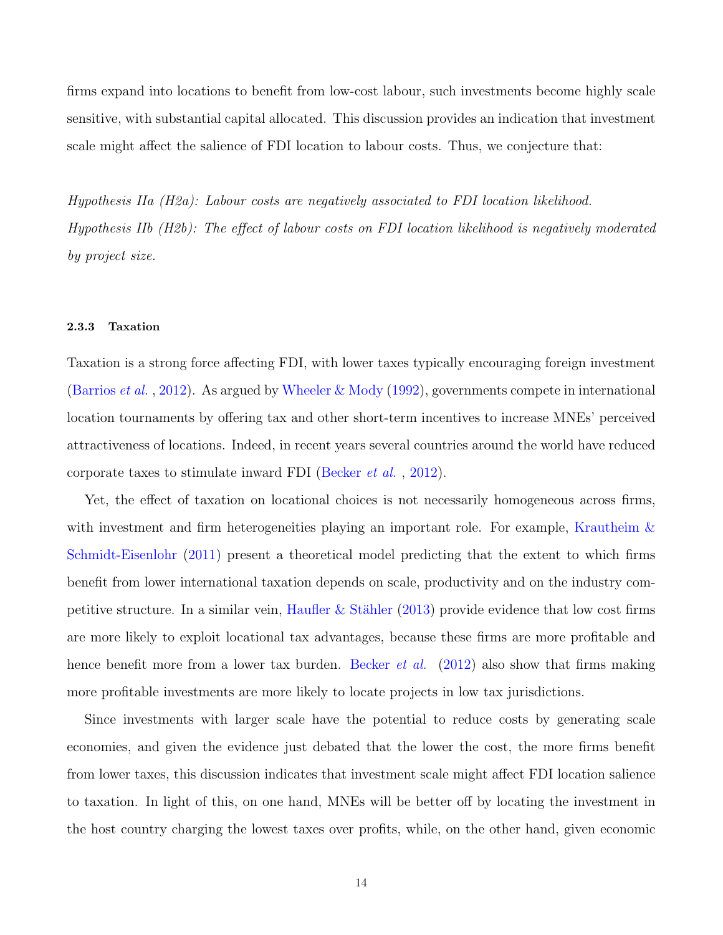firms expand into locations to benefit from low-cost labour, such investments become highly scale sensitive, with substantial capital allocated. This discussion provides an indication that investment scale might affect the salience of FDI location to labour costs. Thus, we conjecture that:

Hypothesis IIa (H2a): Labour costs are negatively associated to FDI location likelihood. Hypothesis IIb (H2b): The effect of labour costs on FDI location likelihood is negatively moderated by project size.

#### 2.3.3 Taxation

Taxation is a strong force affecting FDI, with lower taxes typically encouraging foreign investment [\(Barrios](#page-36-1) *et al.*, [2012\)](#page-36-1). As argued by [Wheeler & Mody](#page-44-3) [\(1992\)](#page-44-3), governments compete in international location tournaments by offering tax and other short-term incentives to increase MNEs' perceived attractiveness of locations. Indeed, in recent years several countries around the world have reduced corporate taxes to stimulate inward FDI [\(Becker](#page-36-2) et al. , [2012\)](#page-36-2).

Yet, the effect of taxation on locational choices is not necessarily homogeneous across firms, with investment and firm heterogeneities playing an important role. For example, [Krautheim &](#page-42-4) [Schmidt-Eisenlohr](#page-42-4) [\(2011\)](#page-42-4) present a theoretical model predicting that the extent to which firms benefit from lower international taxation depends on scale, productivity and on the industry com-petitive structure. In a similar vein, Haufler & Stähler [\(2013\)](#page-40-7) provide evidence that low cost firms are more likely to exploit locational tax advantages, because these firms are more profitable and hence benefit more from a lower tax burden. [Becker](#page-36-2) *et al.* [\(2012\)](#page-36-2) also show that firms making more profitable investments are more likely to locate projects in low tax jurisdictions.

Since investments with larger scale have the potential to reduce costs by generating scale economies, and given the evidence just debated that the lower the cost, the more firms benefit from lower taxes, this discussion indicates that investment scale might affect FDI location salience to taxation. In light of this, on one hand, MNEs will be better off by locating the investment in the host country charging the lowest taxes over profits, while, on the other hand, given economic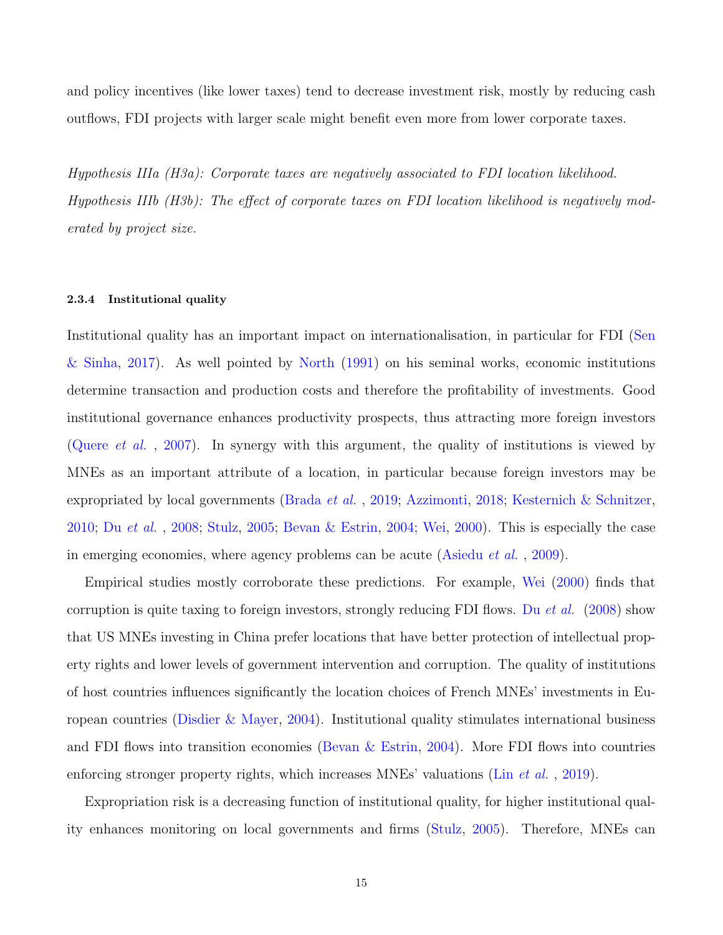and policy incentives (like lower taxes) tend to decrease investment risk, mostly by reducing cash outflows, FDI projects with larger scale might benefit even more from lower corporate taxes.

Hypothesis IIIa (H3a): Corporate taxes are negatively associated to FDI location likelihood. Hypothesis IIIb (H3b): The effect of corporate taxes on FDI location likelihood is negatively moderated by project size.

#### 2.3.4 Institutional quality

Institutional quality has an important impact on internationalisation, in particular for FDI [\(Sen](#page-43-3) [& Sinha,](#page-43-3) [2017\)](#page-43-3). As well pointed by [North](#page-42-5) [\(1991\)](#page-42-5) on his seminal works, economic institutions determine transaction and production costs and therefore the profitability of investments. Good institutional governance enhances productivity prospects, thus attracting more foreign investors [\(Quere](#page-43-4) *et al.*, [2007\)](#page-43-4). In synergy with this argument, the quality of institutions is viewed by MNEs as an important attribute of a location, in particular because foreign investors may be expropriated by local governments [\(Brada](#page-37-8) et al. , [2019;](#page-37-8) [Azzimonti,](#page-36-3) [2018;](#page-36-3) [Kesternich & Schnitzer,](#page-41-3) [2010;](#page-41-3) Du [et al.](#page-38-5) , [2008;](#page-38-5) [Stulz,](#page-43-6) [2005;](#page-43-6) [Bevan & Estrin,](#page-37-5) [2004;](#page-37-5) [Wei,](#page-43-7) [2000\)](#page-43-7). This is especially the case in emerging economies, where agency problems can be acute [\(Asiedu](#page-35-2) et al. , [2009\)](#page-35-2).

Empirical studies mostly corroborate these predictions. For example, [Wei](#page-43-7) [\(2000\)](#page-43-7) finds that corruption is quite taxing to foreign investors, strongly reducing FDI flows. Du *[et al.](#page-38-5)* [\(2008\)](#page-38-5) show that US MNEs investing in China prefer locations that have better protection of intellectual property rights and lower levels of government intervention and corruption. The quality of institutions of host countries influences significantly the location choices of French MNEs' investments in European countries [\(Disdier & Mayer,](#page-38-3) [2004\)](#page-38-3). Institutional quality stimulates international business and FDI flows into transition economies (Bevan  $\&$  Estrin, [2004\)](#page-37-5). More FDI flows into countries enforcing stronger property rights, which increases MNEs' valuations (Lin *[et al.](#page-42-6)*, [2019\)](#page-42-6).

Expropriation risk is a decreasing function of institutional quality, for higher institutional quality enhances monitoring on local governments and firms [\(Stulz,](#page-43-6) [2005\)](#page-43-6). Therefore, MNEs can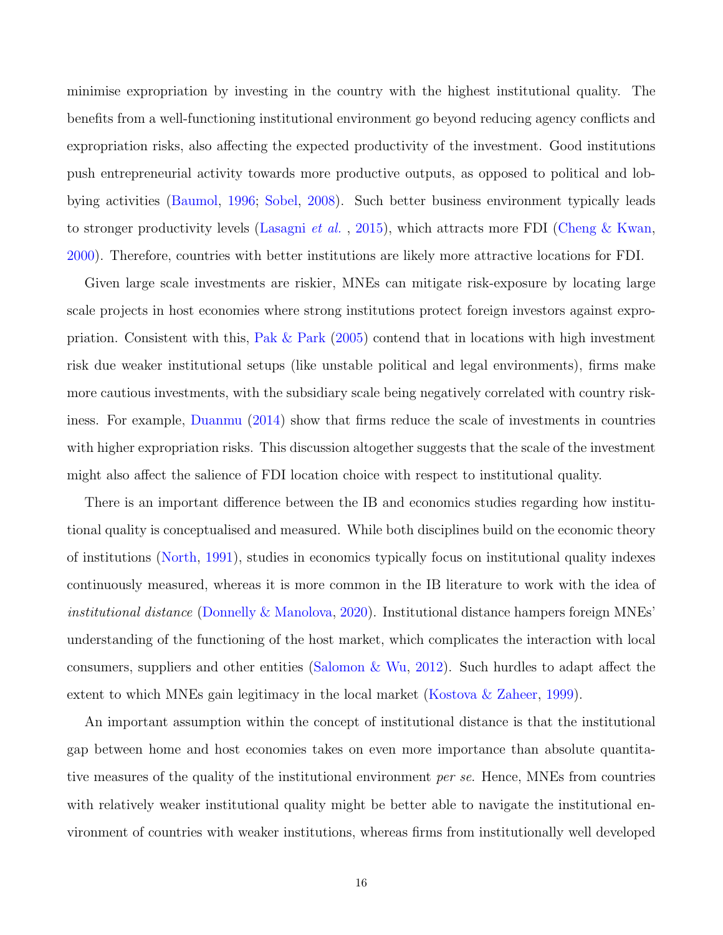minimise expropriation by investing in the country with the highest institutional quality. The benefits from a well-functioning institutional environment go beyond reducing agency conflicts and expropriation risks, also affecting the expected productivity of the investment. Good institutions push entrepreneurial activity towards more productive outputs, as opposed to political and lobbying activities [\(Baumol,](#page-36-4) [1996;](#page-36-4) [Sobel,](#page-43-8) [2008\)](#page-43-8). Such better business environment typically leads to stronger productivity levels [\(Lasagni](#page-42-7) *et al.*, [2015\)](#page-42-7), which attracts more FDI [\(Cheng & Kwan,](#page-38-6) [2000\)](#page-38-6). Therefore, countries with better institutions are likely more attractive locations for FDI.

Given large scale investments are riskier, MNEs can mitigate risk-exposure by locating large scale projects in host economies where strong institutions protect foreign investors against expropriation. Consistent with this, [Pak & Park](#page-43-0) [\(2005\)](#page-43-0) contend that in locations with high investment risk due weaker institutional setups (like unstable political and legal environments), firms make more cautious investments, with the subsidiary scale being negatively correlated with country riskiness. For example, [Duanmu](#page-39-0) [\(2014\)](#page-39-0) show that firms reduce the scale of investments in countries with higher expropriation risks. This discussion altogether suggests that the scale of the investment might also affect the salience of FDI location choice with respect to institutional quality.

There is an important difference between the IB and economics studies regarding how institutional quality is conceptualised and measured. While both disciplines build on the economic theory of institutions [\(North,](#page-42-5) [1991\)](#page-42-5), studies in economics typically focus on institutional quality indexes continuously measured, whereas it is more common in the IB literature to work with the idea of institutional distance [\(Donnelly & Manolova,](#page-38-7) [2020\)](#page-38-7). Institutional distance hampers foreign MNEs' understanding of the functioning of the host market, which complicates the interaction with local consumers, suppliers and other entities [\(Salomon & Wu,](#page-43-9) [2012\)](#page-43-9). Such hurdles to adapt affect the extent to which MNEs gain legitimacy in the local market [\(Kostova & Zaheer,](#page-41-4) [1999\)](#page-41-4).

An important assumption within the concept of institutional distance is that the institutional gap between home and host economies takes on even more importance than absolute quantitative measures of the quality of the institutional environment *per se*. Hence, MNEs from countries with relatively weaker institutional quality might be better able to navigate the institutional environment of countries with weaker institutions, whereas firms from institutionally well developed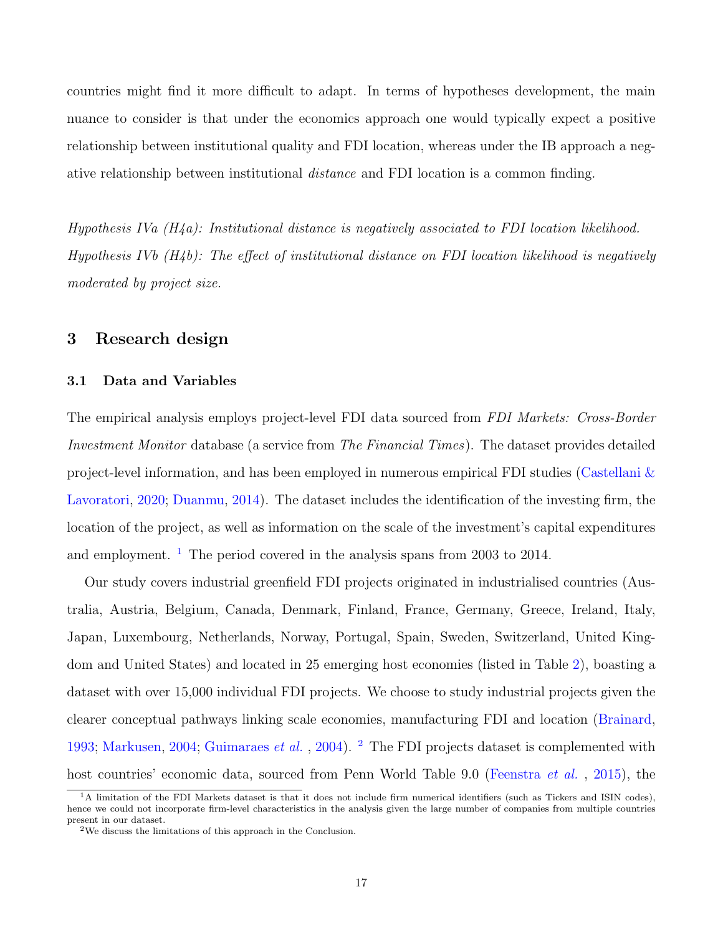countries might find it more difficult to adapt. In terms of hypotheses development, the main nuance to consider is that under the economics approach one would typically expect a positive relationship between institutional quality and FDI location, whereas under the IB approach a negative relationship between institutional distance and FDI location is a common finding.

Hypothesis IVa  $(H_4a)$ : Institutional distance is negatively associated to FDI location likelihood. Hypothesis IVb  $(H_4b)$ : The effect of institutional distance on FDI location likelihood is negatively moderated by project size.

# 3 Research design

### 3.1 Data and Variables

The empirical analysis employs project-level FDI data sourced from FDI Markets: Cross-Border Investment Monitor database (a service from The Financial Times). The dataset provides detailed project-level information, and has been employed in numerous empirical FDI studies [\(Castellani &](#page-37-9) [Lavoratori,](#page-37-9) [2020;](#page-37-9) [Duanmu,](#page-39-0) [2014\)](#page-39-0). The dataset includes the identification of the investing firm, the location of the project, as well as information on the scale of the investment's capital expenditures and employment.<sup>[1](#page-16-0)</sup> The period covered in the analysis spans from 2003 to 2014.

Our study covers industrial greenfield FDI projects originated in industrialised countries (Australia, Austria, Belgium, Canada, Denmark, Finland, France, Germany, Greece, Ireland, Italy, Japan, Luxembourg, Netherlands, Norway, Portugal, Spain, Sweden, Switzerland, United Kingdom and United States) and located in 25 emerging host economies (listed in Table [2\)](#page-46-0), boasting a dataset with over 15,000 individual FDI projects. We choose to study industrial projects given the clearer conceptual pathways linking scale economies, manufacturing FDI and location [\(Brainard,](#page-37-3) [1993;](#page-37-3) [Markusen,](#page-42-1) [2004;](#page-42-1) [Guimaraes](#page-40-5) et al., [2004\)](#page-40-5). <sup>[2](#page-16-1)</sup> The FDI projects dataset is complemented with host countries' economic data, sourced from Penn World Table 9.0 [\(Feenstra](#page-39-4) *et al.*, [2015\)](#page-39-4), the

<span id="page-16-0"></span><sup>&</sup>lt;sup>1</sup>A limitation of the FDI Markets dataset is that it does not include firm numerical identifiers (such as Tickers and ISIN codes). hence we could not incorporate firm-level characteristics in the analysis given the large number of companies from multiple countries present in our dataset.

<span id="page-16-1"></span><sup>2</sup>We discuss the limitations of this approach in the Conclusion.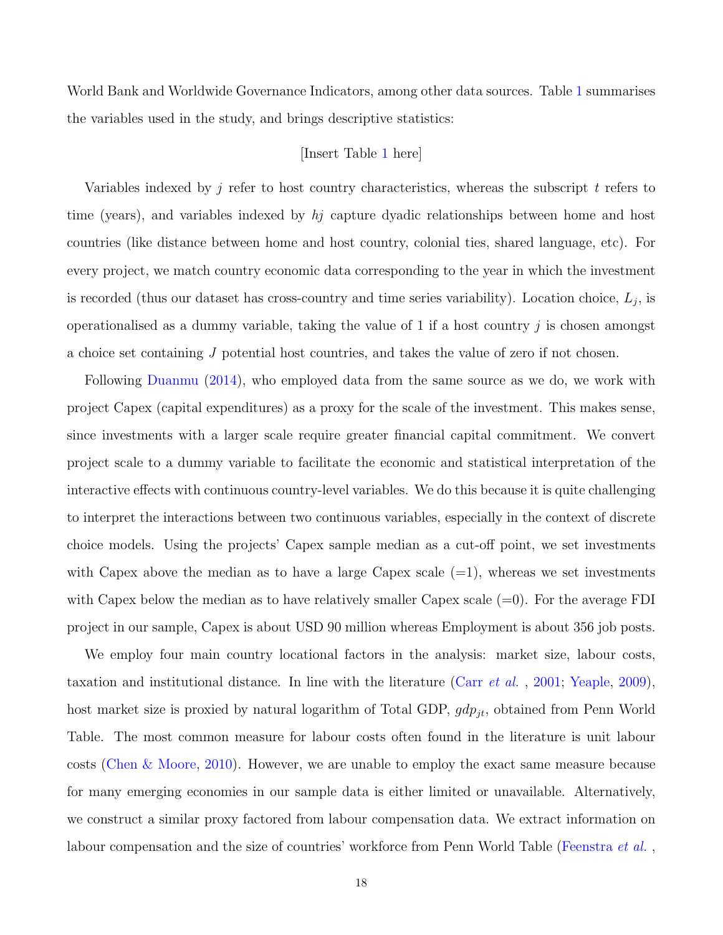World Bank and Worldwide Governance Indicators, among other data sources. Table [1](#page-45-0) summarises the variables used in the study, and brings descriptive statistics:

## [Insert Table [1](#page-45-0) here]

Variables indexed by  $j$  refer to host country characteristics, whereas the subscript  $t$  refers to time (years), and variables indexed by  $h<sub>j</sub>$  capture dyadic relationships between home and host countries (like distance between home and host country, colonial ties, shared language, etc). For every project, we match country economic data corresponding to the year in which the investment is recorded (thus our dataset has cross-country and time series variability). Location choice,  $L_j$ , is operationalised as a dummy variable, taking the value of 1 if a host country  $j$  is chosen amongst a choice set containing J potential host countries, and takes the value of zero if not chosen.

Following [Duanmu](#page-39-0) [\(2014\)](#page-39-0), who employed data from the same source as we do, we work with project Capex (capital expenditures) as a proxy for the scale of the investment. This makes sense, since investments with a larger scale require greater financial capital commitment. We convert project scale to a dummy variable to facilitate the economic and statistical interpretation of the interactive effects with continuous country-level variables. We do this because it is quite challenging to interpret the interactions between two continuous variables, especially in the context of discrete choice models. Using the projects' Capex sample median as a cut-off point, we set investments with Capex above the median as to have a large Capex scale  $(=1)$ , whereas we set investments with Capex below the median as to have relatively smaller Capex scale  $(=0)$ . For the average FDI project in our sample, Capex is about USD 90 million whereas Employment is about 356 job posts.

We employ four main country locational factors in the analysis: market size, labour costs, taxation and institutional distance. In line with the literature (Carr [et al.](#page-37-6) , [2001;](#page-37-6) [Yeaple,](#page-44-1) [2009\)](#page-44-1), host market size is proxied by natural logarithm of Total GDP,  $gdp_{jt}$ , obtained from Penn World Table. The most common measure for labour costs often found in the literature is unit labour costs [\(Chen & Moore,](#page-38-1) [2010\)](#page-38-1). However, we are unable to employ the exact same measure because for many emerging economies in our sample data is either limited or unavailable. Alternatively, we construct a similar proxy factored from labour compensation data. We extract information on labour compensation and the size of countries' workforce from Penn World Table [\(Feenstra](#page-39-4) *et al.*,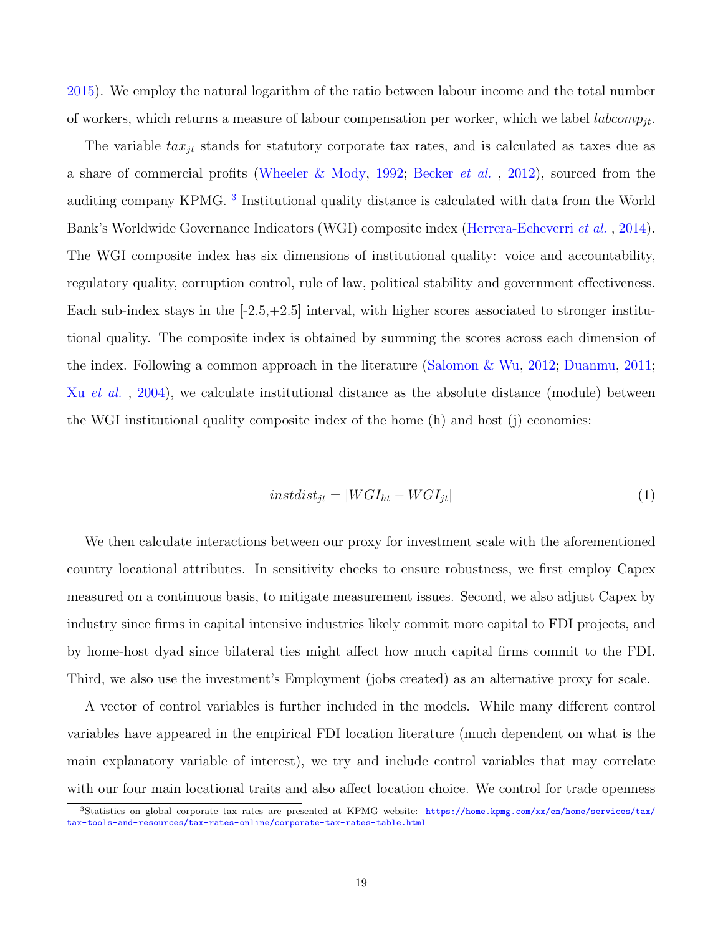[2015\)](#page-39-4). We employ the natural logarithm of the ratio between labour income and the total number of workers, which returns a measure of labour compensation per worker, which we label *labcomp*<sub>it</sub>.

The variable  $tax_{jt}$  stands for statutory corporate tax rates, and is calculated as taxes due as a share of commercial profits [\(Wheeler & Mody,](#page-44-3) [1992;](#page-44-3) [Becker](#page-36-2) *et al.*, [2012\)](#page-36-2), sourced from the auditing company KPMG.<sup>[3](#page-18-0)</sup> Institutional quality distance is calculated with data from the World Bank's Worldwide Governance Indicators (WGI) composite index [\(Herrera-Echeverri](#page-41-5) et al. , [2014\)](#page-41-5). The WGI composite index has six dimensions of institutional quality: voice and accountability, regulatory quality, corruption control, rule of law, political stability and government effectiveness. Each sub-index stays in the  $[-2.5, +2.5]$  interval, with higher scores associated to stronger institutional quality. The composite index is obtained by summing the scores across each dimension of the index. Following a common approach in the literature [\(Salomon & Wu,](#page-43-9) [2012;](#page-43-9) [Duanmu,](#page-39-5) [2011;](#page-39-5) Xu *[et al.](#page-44-4)*, [2004\)](#page-44-4), we calculate institutional distance as the absolute distance (module) between the WGI institutional quality composite index of the home (h) and host (j) economies:

$$
instdist_{jt} = |WGI_{ht} - WGI_{jt}| \tag{1}
$$

We then calculate interactions between our proxy for investment scale with the aforementioned country locational attributes. In sensitivity checks to ensure robustness, we first employ Capex measured on a continuous basis, to mitigate measurement issues. Second, we also adjust Capex by industry since firms in capital intensive industries likely commit more capital to FDI projects, and by home-host dyad since bilateral ties might affect how much capital firms commit to the FDI. Third, we also use the investment's Employment (jobs created) as an alternative proxy for scale.

A vector of control variables is further included in the models. While many different control variables have appeared in the empirical FDI location literature (much dependent on what is the main explanatory variable of interest), we try and include control variables that may correlate with our four main locational traits and also affect location choice. We control for trade openness

<span id="page-18-0"></span><sup>3</sup>Statistics on global corporate tax rates are presented at KPMG website: [https://home.kpmg.com/xx/en/home/services/tax/](https://home.kpmg.com/xx/en/home/services/tax/tax-tools-and-resources/tax-rates-online/corporate-tax-rates-table.html) [tax-tools-and-resources/tax-rates-online/corporate-tax-rates-table.html](https://home.kpmg.com/xx/en/home/services/tax/tax-tools-and-resources/tax-rates-online/corporate-tax-rates-table.html)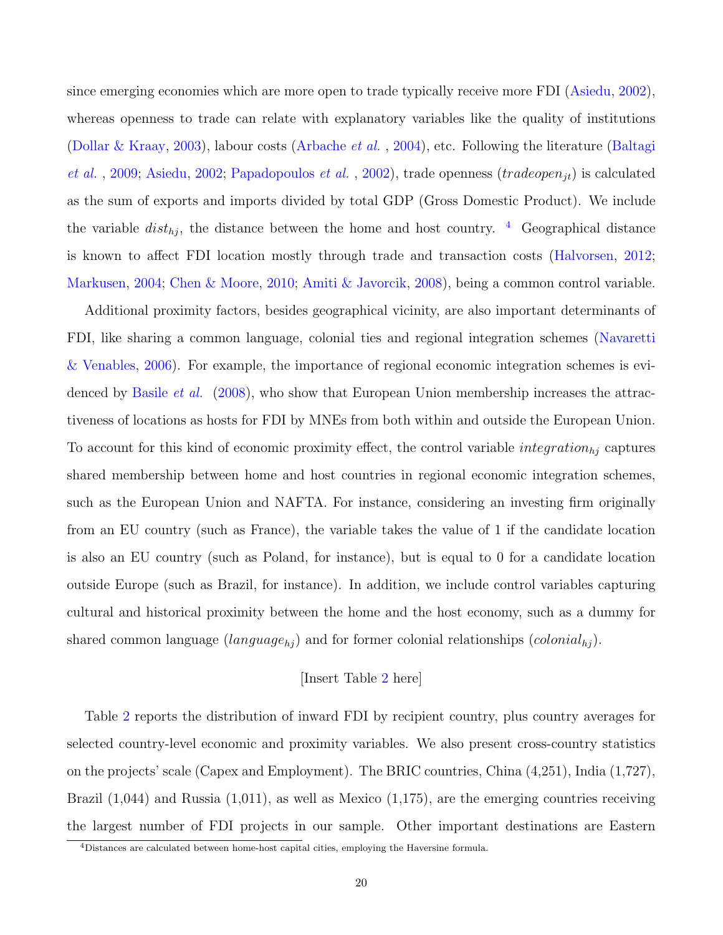since emerging economies which are more open to trade typically receive more FDI [\(Asiedu,](#page-35-3) [2002\)](#page-35-3), whereas openness to trade can relate with explanatory variables like the quality of institutions [\(Dollar & Kraay,](#page-38-8) [2003\)](#page-38-8), labour costs [\(Arbache](#page-35-4) *et al.*, [2004\)](#page-35-4), etc. Following the literature [\(Baltagi](#page-36-5) *[et al.](#page-36-5)*, [2009;](#page-36-5) [Asiedu,](#page-35-3) [2002;](#page-35-3) [Papadopoulos](#page-43-10) *et al.*, [2002\)](#page-43-10), trade openness (*tradeopen<sub>it</sub>*) is calculated as the sum of exports and imports divided by total GDP (Gross Domestic Product). We include the variable  $dist_{h_i}$ , the distance between the home and host country. <sup>[4](#page-19-0)</sup> Geographical distance is known to affect FDI location mostly through trade and transaction costs [\(Halvorsen,](#page-40-0) [2012;](#page-40-0) [Markusen,](#page-42-1) [2004;](#page-42-1) [Chen & Moore,](#page-38-1) [2010;](#page-38-1) [Amiti & Javorcik,](#page-35-5) [2008\)](#page-35-5), being a common control variable.

Additional proximity factors, besides geographical vicinity, are also important determinants of FDI, like sharing a common language, colonial ties and regional integration schemes [\(Navaretti](#page-42-8) [& Venables,](#page-42-8) [2006\)](#page-42-8). For example, the importance of regional economic integration schemes is evi-denced by [Basile](#page-36-6) *et al.* [\(2008\)](#page-36-6), who show that European Union membership increases the attractiveness of locations as hosts for FDI by MNEs from both within and outside the European Union. To account for this kind of economic proximity effect, the control variable  $integration_{hj}$  captures shared membership between home and host countries in regional economic integration schemes, such as the European Union and NAFTA. For instance, considering an investing firm originally from an EU country (such as France), the variable takes the value of 1 if the candidate location is also an EU country (such as Poland, for instance), but is equal to 0 for a candidate location outside Europe (such as Brazil, for instance). In addition, we include control variables capturing cultural and historical proximity between the home and the host economy, such as a dummy for shared common language  $(language_{hj})$  and for former colonial relationships  $(colonial_{hj})$ .

# [Insert Table [2](#page-46-0) here]

Table [2](#page-46-0) reports the distribution of inward FDI by recipient country, plus country averages for selected country-level economic and proximity variables. We also present cross-country statistics on the projects' scale (Capex and Employment). The BRIC countries, China (4,251), India (1,727), Brazil  $(1,044)$  and Russia  $(1,011)$ , as well as Mexico  $(1,175)$ , are the emerging countries receiving the largest number of FDI projects in our sample. Other important destinations are Eastern

<span id="page-19-0"></span><sup>4</sup>Distances are calculated between home-host capital cities, employing the Haversine formula.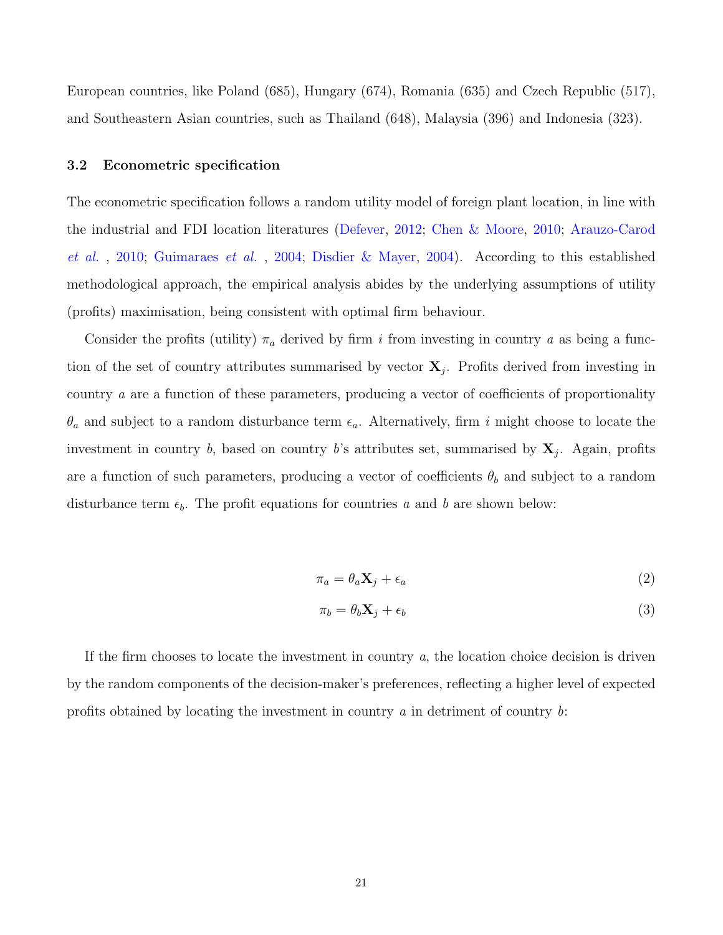European countries, like Poland (685), Hungary (674), Romania (635) and Czech Republic (517), and Southeastern Asian countries, such as Thailand (648), Malaysia (396) and Indonesia (323).

### 3.2 Econometric specification

The econometric specification follows a random utility model of foreign plant location, in line with the industrial and FDI location literatures [\(Defever,](#page-38-0) [2012;](#page-38-0) [Chen & Moore,](#page-38-1) [2010;](#page-38-1) [Arauzo-Carod](#page-35-6) [et al.](#page-35-6) , [2010;](#page-35-6) [Guimaraes](#page-40-5) et al. , [2004;](#page-40-5) [Disdier & Mayer,](#page-38-3) [2004\)](#page-38-3). According to this established methodological approach, the empirical analysis abides by the underlying assumptions of utility (profits) maximisation, being consistent with optimal firm behaviour.

Consider the profits (utility)  $\pi_a$  derived by firm i from investing in country a as being a function of the set of country attributes summarised by vector  $X_j$ . Profits derived from investing in country a are a function of these parameters, producing a vector of coefficients of proportionality  $\theta_a$  and subject to a random disturbance term  $\epsilon_a$ . Alternatively, firm i might choose to locate the investment in country b, based on country b's attributes set, summarised by  $X_j$ . Again, profits are a function of such parameters, producing a vector of coefficients  $\theta_b$  and subject to a random disturbance term  $\epsilon_b$ . The profit equations for countries a and b are shown below:

$$
\pi_a = \theta_a \mathbf{X}_j + \epsilon_a \tag{2}
$$

$$
\pi_b = \theta_b \mathbf{X}_j + \epsilon_b \tag{3}
$$

If the firm chooses to locate the investment in country  $a$ , the location choice decision is driven by the random components of the decision-maker's preferences, reflecting a higher level of expected profits obtained by locating the investment in country  $a$  in detriment of country  $b$ :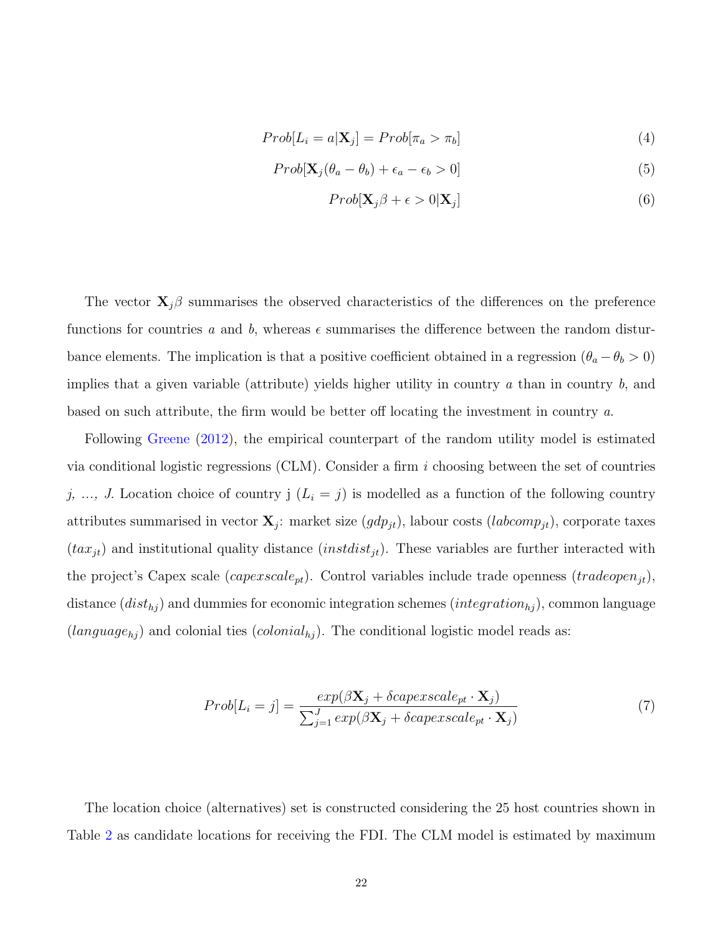$$
Prob[L_i = a | \mathbf{X}_j] = Prob[\pi_a > \pi_b]
$$
\n<sup>(4)</sup>

$$
Prob[\mathbf{X}_{j}(\theta_{a}-\theta_{b})+\epsilon_{a}-\epsilon_{b}>0]
$$
\n(5)

$$
Prob[\mathbf{X}_{j}\beta + \epsilon > 0|\mathbf{X}_{j}] \tag{6}
$$

The vector  $\mathbf{X}_j$ β summarises the observed characteristics of the differences on the preference functions for countries a and b, whereas  $\epsilon$  summarises the difference between the random disturbance elements. The implication is that a positive coefficient obtained in a regression ( $\theta_a - \theta_b > 0$ ) implies that a given variable (attribute) yields higher utility in country  $a$  than in country  $b$ , and based on such attribute, the firm would be better off locating the investment in country a.

Following [Greene](#page-39-6) [\(2012\)](#page-39-6), the empirical counterpart of the random utility model is estimated via conditional logistic regressions (CLM). Consider a firm i choosing between the set of countries j, ..., J. Location choice of country j  $(L_i = j)$  is modelled as a function of the following country attributes summarised in vector  $\mathbf{X}_j$ : market size  $(gdp_{jt})$ , labour costs  $(labcomp_{jt})$ , corporate taxes  $(tax_{jt})$  and institutional quality distance  $(instdist_{jt})$ . These variables are further interacted with the project's Capex scale  $(capexscale_{pt})$ . Control variables include trade openness  $(tradeopen_{jt})$ , distance  $(dist_{hj})$  and dummies for economic integration schemes  $(integration_{hj})$ , common language  $(language_{hj})$  and colonial ties  $(colonial_{hj})$ . The conditional logistic model reads as:

$$
Prob[L_i = j] = \frac{exp(\beta \mathbf{X}_j + \delta capexscale_{pt} \cdot \mathbf{X}_j)}{\sum_{j=1}^{J} exp(\beta \mathbf{X}_j + \delta capexscale_{pt} \cdot \mathbf{X}_j)}
$$
(7)

The location choice (alternatives) set is constructed considering the 25 host countries shown in Table [2](#page-46-0) as candidate locations for receiving the FDI. The CLM model is estimated by maximum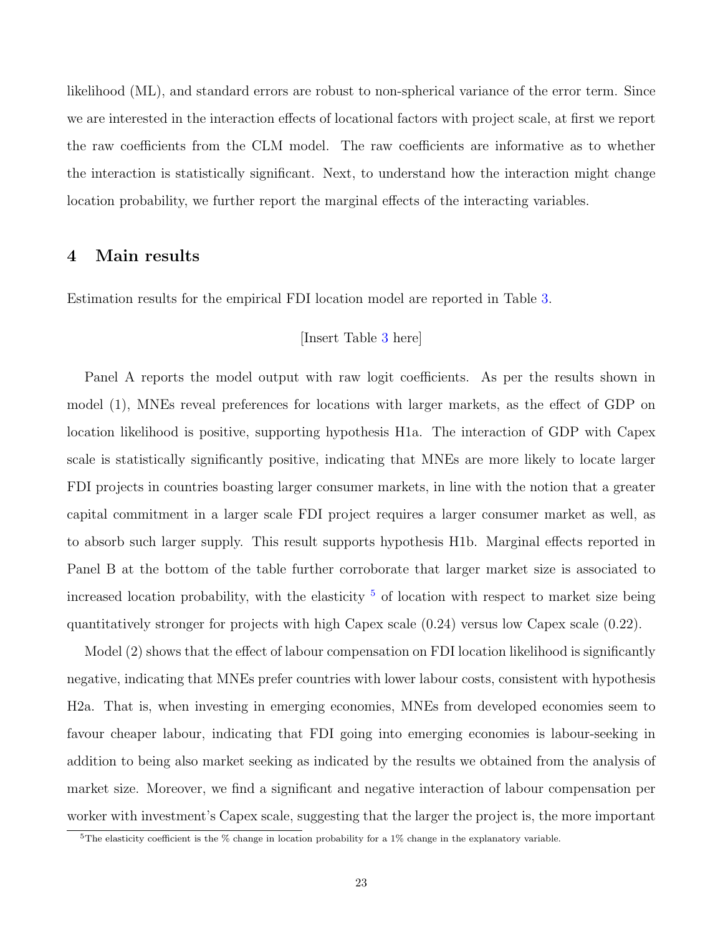likelihood (ML), and standard errors are robust to non-spherical variance of the error term. Since we are interested in the interaction effects of locational factors with project scale, at first we report the raw coefficients from the CLM model. The raw coefficients are informative as to whether the interaction is statistically significant. Next, to understand how the interaction might change location probability, we further report the marginal effects of the interacting variables.

# 4 Main results

Estimation results for the empirical FDI location model are reported in Table [3.](#page-47-0)

## [Insert Table [3](#page-47-0) here]

Panel A reports the model output with raw logit coefficients. As per the results shown in model (1), MNEs reveal preferences for locations with larger markets, as the effect of GDP on location likelihood is positive, supporting hypothesis H1a. The interaction of GDP with Capex scale is statistically significantly positive, indicating that MNEs are more likely to locate larger FDI projects in countries boasting larger consumer markets, in line with the notion that a greater capital commitment in a larger scale FDI project requires a larger consumer market as well, as to absorb such larger supply. This result supports hypothesis H1b. Marginal effects reported in Panel B at the bottom of the table further corroborate that larger market size is associated to increased location probability, with the elasticity  $5$  of location with respect to market size being quantitatively stronger for projects with high Capex scale (0.24) versus low Capex scale (0.22).

Model (2) shows that the effect of labour compensation on FDI location likelihood is significantly negative, indicating that MNEs prefer countries with lower labour costs, consistent with hypothesis H2a. That is, when investing in emerging economies, MNEs from developed economies seem to favour cheaper labour, indicating that FDI going into emerging economies is labour-seeking in addition to being also market seeking as indicated by the results we obtained from the analysis of market size. Moreover, we find a significant and negative interaction of labour compensation per worker with investment's Capex scale, suggesting that the larger the project is, the more important

<span id="page-22-0"></span><sup>&</sup>lt;sup>5</sup>The elasticity coefficient is the  $%$  change in location probability for a 1% change in the explanatory variable.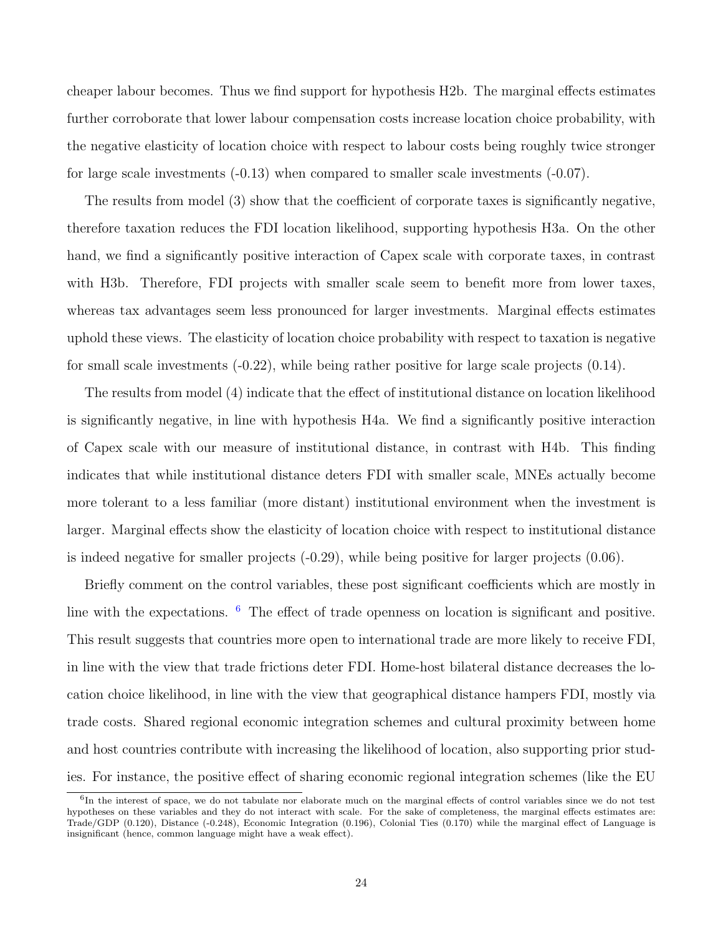cheaper labour becomes. Thus we find support for hypothesis H2b. The marginal effects estimates further corroborate that lower labour compensation costs increase location choice probability, with the negative elasticity of location choice with respect to labour costs being roughly twice stronger for large scale investments (-0.13) when compared to smaller scale investments (-0.07).

The results from model (3) show that the coefficient of corporate taxes is significantly negative, therefore taxation reduces the FDI location likelihood, supporting hypothesis H3a. On the other hand, we find a significantly positive interaction of Capex scale with corporate taxes, in contrast with H3b. Therefore, FDI projects with smaller scale seem to benefit more from lower taxes, whereas tax advantages seem less pronounced for larger investments. Marginal effects estimates uphold these views. The elasticity of location choice probability with respect to taxation is negative for small scale investments (-0.22), while being rather positive for large scale projects (0.14).

The results from model (4) indicate that the effect of institutional distance on location likelihood is significantly negative, in line with hypothesis H4a. We find a significantly positive interaction of Capex scale with our measure of institutional distance, in contrast with H4b. This finding indicates that while institutional distance deters FDI with smaller scale, MNEs actually become more tolerant to a less familiar (more distant) institutional environment when the investment is larger. Marginal effects show the elasticity of location choice with respect to institutional distance is indeed negative for smaller projects  $(-0.29)$ , while being positive for larger projects  $(0.06)$ .

Briefly comment on the control variables, these post significant coefficients which are mostly in line with the expectations.  $\frac{6}{5}$  $\frac{6}{5}$  $\frac{6}{5}$  The effect of trade openness on location is significant and positive. This result suggests that countries more open to international trade are more likely to receive FDI, in line with the view that trade frictions deter FDI. Home-host bilateral distance decreases the location choice likelihood, in line with the view that geographical distance hampers FDI, mostly via trade costs. Shared regional economic integration schemes and cultural proximity between home and host countries contribute with increasing the likelihood of location, also supporting prior studies. For instance, the positive effect of sharing economic regional integration schemes (like the EU

<span id="page-23-0"></span><sup>&</sup>lt;sup>6</sup>In the interest of space, we do not tabulate nor elaborate much on the marginal effects of control variables since we do not test hypotheses on these variables and they do not interact with scale. For the sake of completeness, the marginal effects estimates are: Trade/GDP (0.120), Distance (-0.248), Economic Integration (0.196), Colonial Ties (0.170) while the marginal effect of Language is insignificant (hence, common language might have a weak effect).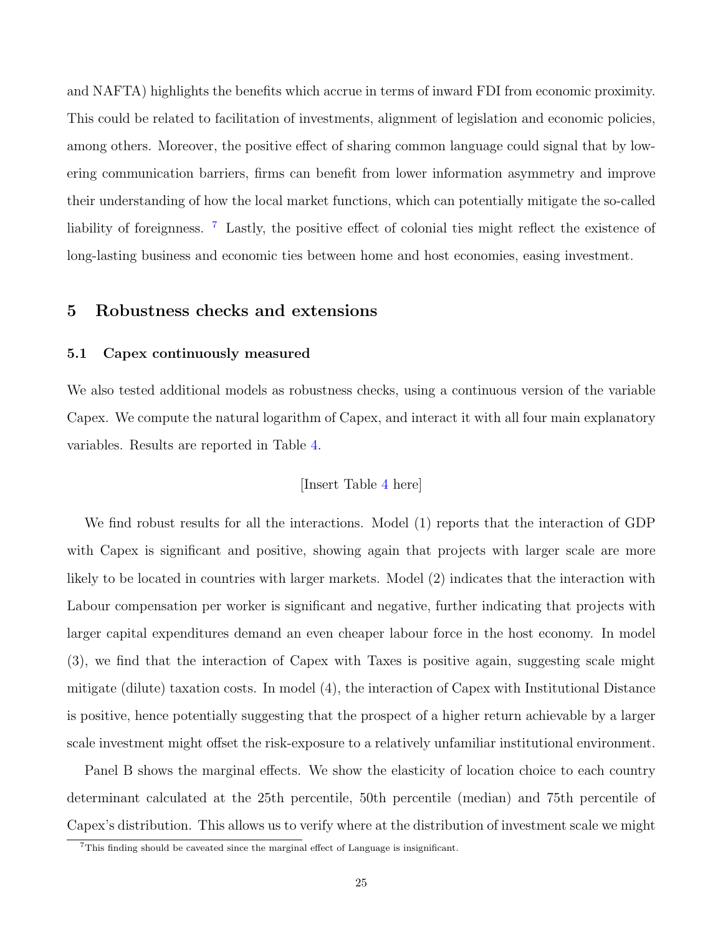and NAFTA) highlights the benefits which accrue in terms of inward FDI from economic proximity. This could be related to facilitation of investments, alignment of legislation and economic policies, among others. Moreover, the positive effect of sharing common language could signal that by lowering communication barriers, firms can benefit from lower information asymmetry and improve their understanding of how the local market functions, which can potentially mitigate the so-called liability of foreignness. <sup>[7](#page-24-0)</sup> Lastly, the positive effect of colonial ties might reflect the existence of long-lasting business and economic ties between home and host economies, easing investment.

# 5 Robustness checks and extensions

## 5.1 Capex continuously measured

We also tested additional models as robustness checks, using a continuous version of the variable Capex. We compute the natural logarithm of Capex, and interact it with all four main explanatory variables. Results are reported in Table [4.](#page-48-0)

## [Insert Table [4](#page-48-0) here]

We find robust results for all the interactions. Model (1) reports that the interaction of GDP with Capex is significant and positive, showing again that projects with larger scale are more likely to be located in countries with larger markets. Model  $(2)$  indicates that the interaction with Labour compensation per worker is significant and negative, further indicating that projects with larger capital expenditures demand an even cheaper labour force in the host economy. In model (3), we find that the interaction of Capex with Taxes is positive again, suggesting scale might mitigate (dilute) taxation costs. In model (4), the interaction of Capex with Institutional Distance is positive, hence potentially suggesting that the prospect of a higher return achievable by a larger scale investment might offset the risk-exposure to a relatively unfamiliar institutional environment.

Panel B shows the marginal effects. We show the elasticity of location choice to each country determinant calculated at the 25th percentile, 50th percentile (median) and 75th percentile of Capex's distribution. This allows us to verify where at the distribution of investment scale we might

<span id="page-24-0"></span><sup>&</sup>lt;sup>7</sup>This finding should be caveated since the marginal effect of Language is insignificant.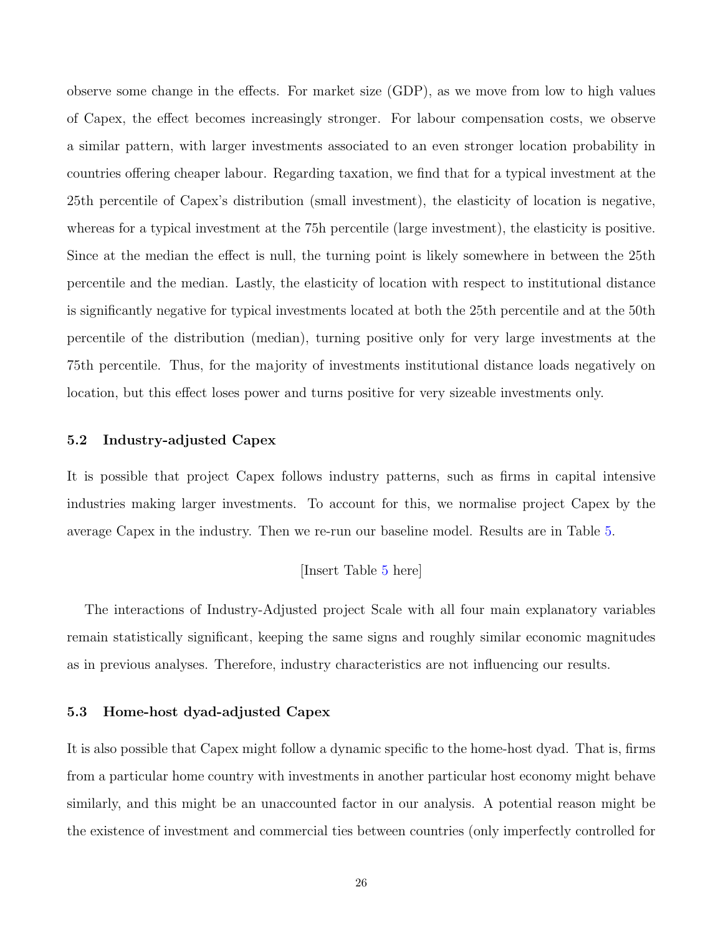observe some change in the effects. For market size (GDP), as we move from low to high values of Capex, the effect becomes increasingly stronger. For labour compensation costs, we observe a similar pattern, with larger investments associated to an even stronger location probability in countries offering cheaper labour. Regarding taxation, we find that for a typical investment at the 25th percentile of Capex's distribution (small investment), the elasticity of location is negative, whereas for a typical investment at the 75h percentile (large investment), the elasticity is positive. Since at the median the effect is null, the turning point is likely somewhere in between the 25th percentile and the median. Lastly, the elasticity of location with respect to institutional distance is significantly negative for typical investments located at both the 25th percentile and at the 50th percentile of the distribution (median), turning positive only for very large investments at the 75th percentile. Thus, for the majority of investments institutional distance loads negatively on location, but this effect loses power and turns positive for very sizeable investments only.

### 5.2 Industry-adjusted Capex

It is possible that project Capex follows industry patterns, such as firms in capital intensive industries making larger investments. To account for this, we normalise project Capex by the average Capex in the industry. Then we re-run our baseline model. Results are in Table [5.](#page-49-0)

## [Insert Table [5](#page-49-0) here]

The interactions of Industry-Adjusted project Scale with all four main explanatory variables remain statistically significant, keeping the same signs and roughly similar economic magnitudes as in previous analyses. Therefore, industry characteristics are not influencing our results.

### 5.3 Home-host dyad-adjusted Capex

It is also possible that Capex might follow a dynamic specific to the home-host dyad. That is, firms from a particular home country with investments in another particular host economy might behave similarly, and this might be an unaccounted factor in our analysis. A potential reason might be the existence of investment and commercial ties between countries (only imperfectly controlled for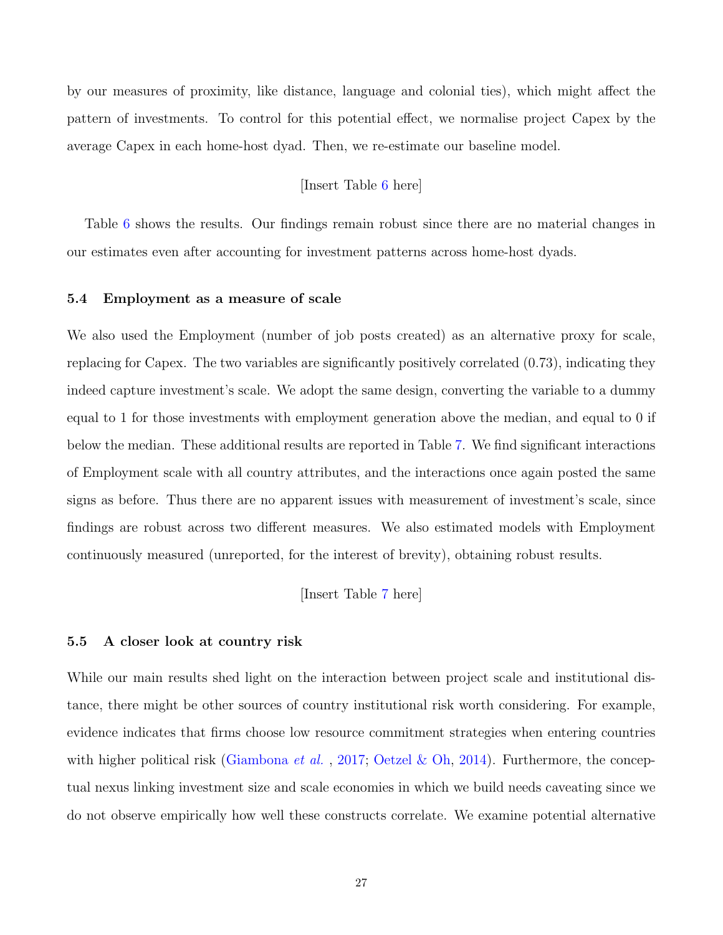by our measures of proximity, like distance, language and colonial ties), which might affect the pattern of investments. To control for this potential effect, we normalise project Capex by the average Capex in each home-host dyad. Then, we re-estimate our baseline model.

## [Insert Table [6](#page-50-0) here]

Table [6](#page-50-0) shows the results. Our findings remain robust since there are no material changes in our estimates even after accounting for investment patterns across home-host dyads.

### 5.4 Employment as a measure of scale

We also used the Employment (number of job posts created) as an alternative proxy for scale, replacing for Capex. The two variables are significantly positively correlated (0.73), indicating they indeed capture investment's scale. We adopt the same design, converting the variable to a dummy equal to 1 for those investments with employment generation above the median, and equal to 0 if below the median. These additional results are reported in Table [7.](#page-51-0) We find significant interactions of Employment scale with all country attributes, and the interactions once again posted the same signs as before. Thus there are no apparent issues with measurement of investment's scale, since findings are robust across two different measures. We also estimated models with Employment continuously measured (unreported, for the interest of brevity), obtaining robust results.

[Insert Table [7](#page-51-0) here]

#### 5.5 A closer look at country risk

While our main results shed light on the interaction between project scale and institutional distance, there might be other sources of country institutional risk worth considering. For example, evidence indicates that firms choose low resource commitment strategies when entering countries with higher political risk [\(Giambona](#page-39-7) *et al.*, [2017;](#page-39-7) [Oetzel & Oh,](#page-43-11) [2014\)](#page-43-11). Furthermore, the conceptual nexus linking investment size and scale economies in which we build needs caveating since we do not observe empirically how well these constructs correlate. We examine potential alternative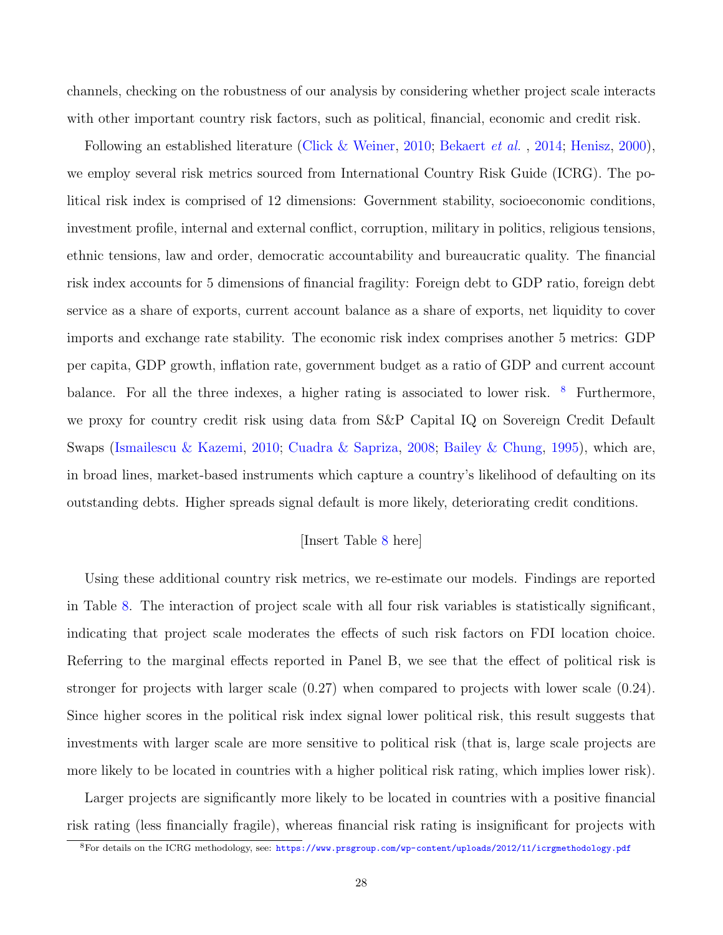channels, checking on the robustness of our analysis by considering whether project scale interacts with other important country risk factors, such as political, financial, economic and credit risk.

Following an established literature [\(Click & Weiner,](#page-38-9) [2010;](#page-38-9) [Bekaert](#page-36-7) *et al.*, [2014;](#page-36-7) [Henisz,](#page-40-8) [2000\)](#page-40-8), we employ several risk metrics sourced from International Country Risk Guide (ICRG). The political risk index is comprised of 12 dimensions: Government stability, socioeconomic conditions, investment profile, internal and external conflict, corruption, military in politics, religious tensions, ethnic tensions, law and order, democratic accountability and bureaucratic quality. The financial risk index accounts for 5 dimensions of financial fragility: Foreign debt to GDP ratio, foreign debt service as a share of exports, current account balance as a share of exports, net liquidity to cover imports and exchange rate stability. The economic risk index comprises another 5 metrics: GDP per capita, GDP growth, inflation rate, government budget as a ratio of GDP and current account balance. For all the three indexes, a higher rating is associated to lower risk.  $8$  Furthermore, we proxy for country credit risk using data from S&P Capital IQ on Sovereign Credit Default Swaps [\(Ismailescu & Kazemi,](#page-41-6) [2010;](#page-41-6) [Cuadra & Sapriza,](#page-38-10) [2008;](#page-38-10) [Bailey & Chung,](#page-36-8) [1995\)](#page-36-8), which are, in broad lines, market-based instruments which capture a country's likelihood of defaulting on its outstanding debts. Higher spreads signal default is more likely, deteriorating credit conditions.

## [Insert Table [8](#page-52-0) here]

Using these additional country risk metrics, we re-estimate our models. Findings are reported in Table [8.](#page-52-0) The interaction of project scale with all four risk variables is statistically significant, indicating that project scale moderates the effects of such risk factors on FDI location choice. Referring to the marginal effects reported in Panel B, we see that the effect of political risk is stronger for projects with larger scale (0.27) when compared to projects with lower scale (0.24). Since higher scores in the political risk index signal lower political risk, this result suggests that investments with larger scale are more sensitive to political risk (that is, large scale projects are more likely to be located in countries with a higher political risk rating, which implies lower risk).

Larger projects are significantly more likely to be located in countries with a positive financial risk rating (less financially fragile), whereas financial risk rating is insignificant for projects with

<span id="page-27-0"></span><sup>8</sup>For details on the ICRG methodology, see: <https://www.prsgroup.com/wp-content/uploads/2012/11/icrgmethodology.pdf>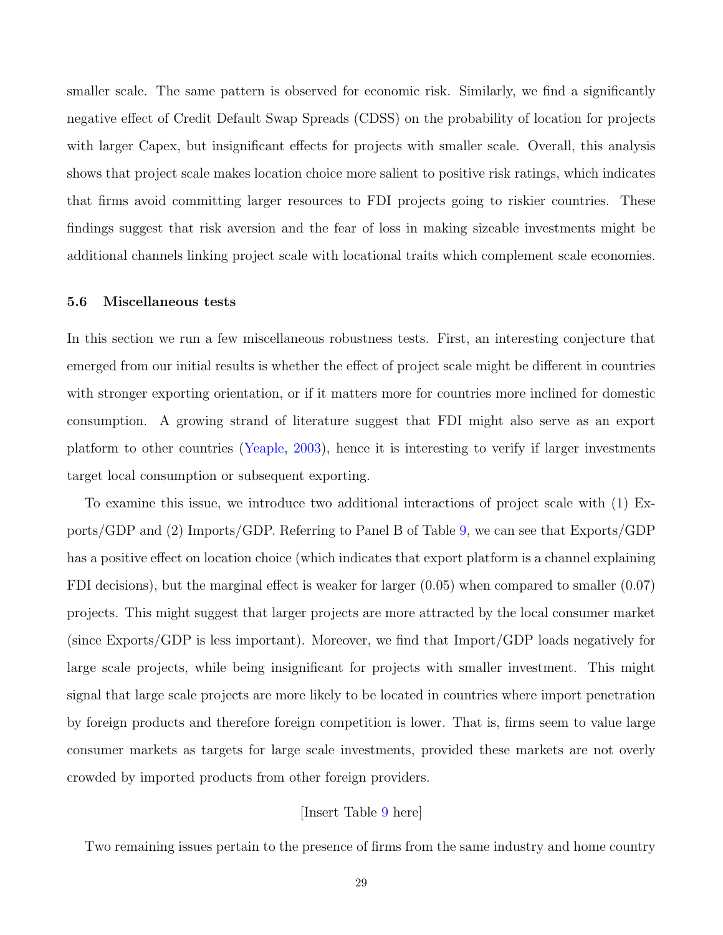smaller scale. The same pattern is observed for economic risk. Similarly, we find a significantly negative effect of Credit Default Swap Spreads (CDSS) on the probability of location for projects with larger Capex, but insignificant effects for projects with smaller scale. Overall, this analysis shows that project scale makes location choice more salient to positive risk ratings, which indicates that firms avoid committing larger resources to FDI projects going to riskier countries. These findings suggest that risk aversion and the fear of loss in making sizeable investments might be additional channels linking project scale with locational traits which complement scale economies.

#### 5.6 Miscellaneous tests

In this section we run a few miscellaneous robustness tests. First, an interesting conjecture that emerged from our initial results is whether the effect of project scale might be different in countries with stronger exporting orientation, or if it matters more for countries more inclined for domestic consumption. A growing strand of literature suggest that FDI might also serve as an export platform to other countries [\(Yeaple,](#page-44-2) [2003\)](#page-44-2), hence it is interesting to verify if larger investments target local consumption or subsequent exporting.

To examine this issue, we introduce two additional interactions of project scale with (1) Exports/GDP and (2) Imports/GDP. Referring to Panel B of Table [9,](#page-53-0) we can see that Exports/GDP has a positive effect on location choice (which indicates that export platform is a channel explaining FDI decisions), but the marginal effect is weaker for larger (0.05) when compared to smaller (0.07) projects. This might suggest that larger projects are more attracted by the local consumer market (since Exports/GDP is less important). Moreover, we find that Import/GDP loads negatively for large scale projects, while being insignificant for projects with smaller investment. This might signal that large scale projects are more likely to be located in countries where import penetration by foreign products and therefore foreign competition is lower. That is, firms seem to value large consumer markets as targets for large scale investments, provided these markets are not overly crowded by imported products from other foreign providers.

# [Insert Table [9](#page-53-0) here]

Two remaining issues pertain to the presence of firms from the same industry and home country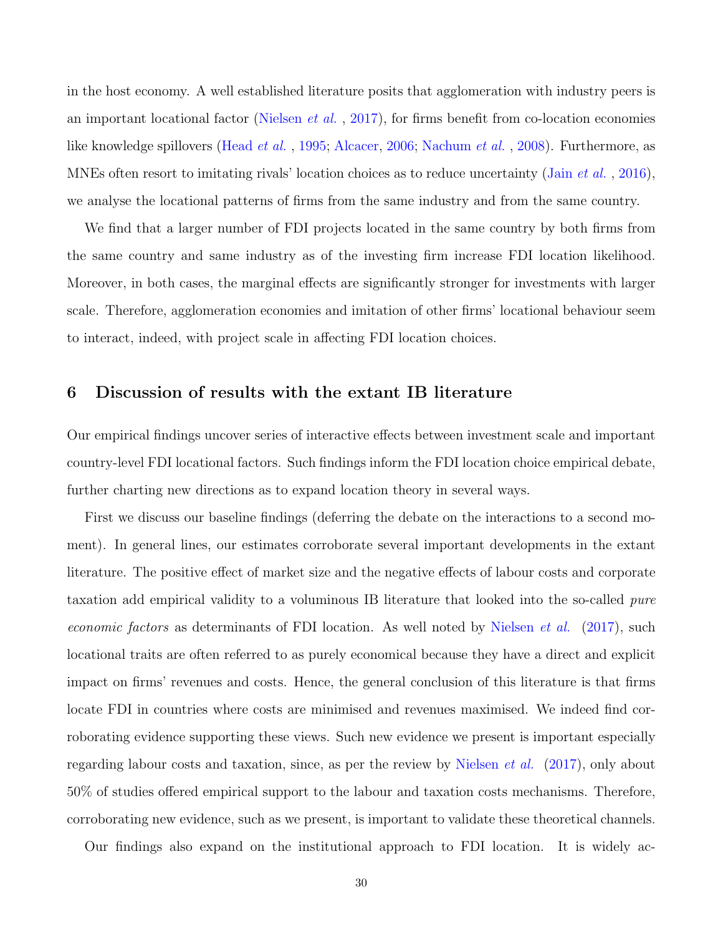in the host economy. A well established literature posits that agglomeration with industry peers is an important locational factor [\(Nielsen](#page-42-0) *et al.*, [2017\)](#page-42-0), for firms benefit from co-location economies like knowledge spillovers [\(Head](#page-40-9) et al. , [1995;](#page-40-9) [Alcacer,](#page-35-7) [2006;](#page-35-7) [Nachum](#page-42-9) et al. , [2008\)](#page-42-9). Furthermore, as MNEs often resort to imitating rivals' location choices as to reduce uncertainty (Jain *[et al.](#page-41-1)*, [2016\)](#page-41-1), we analyse the locational patterns of firms from the same industry and from the same country.

We find that a larger number of FDI projects located in the same country by both firms from the same country and same industry as of the investing firm increase FDI location likelihood. Moreover, in both cases, the marginal effects are significantly stronger for investments with larger scale. Therefore, agglomeration economies and imitation of other firms' locational behaviour seem to interact, indeed, with project scale in affecting FDI location choices.

## 6 Discussion of results with the extant IB literature

Our empirical findings uncover series of interactive effects between investment scale and important country-level FDI locational factors. Such findings inform the FDI location choice empirical debate, further charting new directions as to expand location theory in several ways.

First we discuss our baseline findings (deferring the debate on the interactions to a second moment). In general lines, our estimates corroborate several important developments in the extant literature. The positive effect of market size and the negative effects of labour costs and corporate taxation add empirical validity to a voluminous IB literature that looked into the so-called pure economic factors as determinants of FDI location. As well noted by [Nielsen](#page-42-0) *et al.* [\(2017\)](#page-42-0), such locational traits are often referred to as purely economical because they have a direct and explicit impact on firms' revenues and costs. Hence, the general conclusion of this literature is that firms locate FDI in countries where costs are minimised and revenues maximised. We indeed find corroborating evidence supporting these views. Such new evidence we present is important especially regarding labour costs and taxation, since, as per the review by [Nielsen](#page-42-0) et al. [\(2017\)](#page-42-0), only about 50% of studies offered empirical support to the labour and taxation costs mechanisms. Therefore, corroborating new evidence, such as we present, is important to validate these theoretical channels.

Our findings also expand on the institutional approach to FDI location. It is widely ac-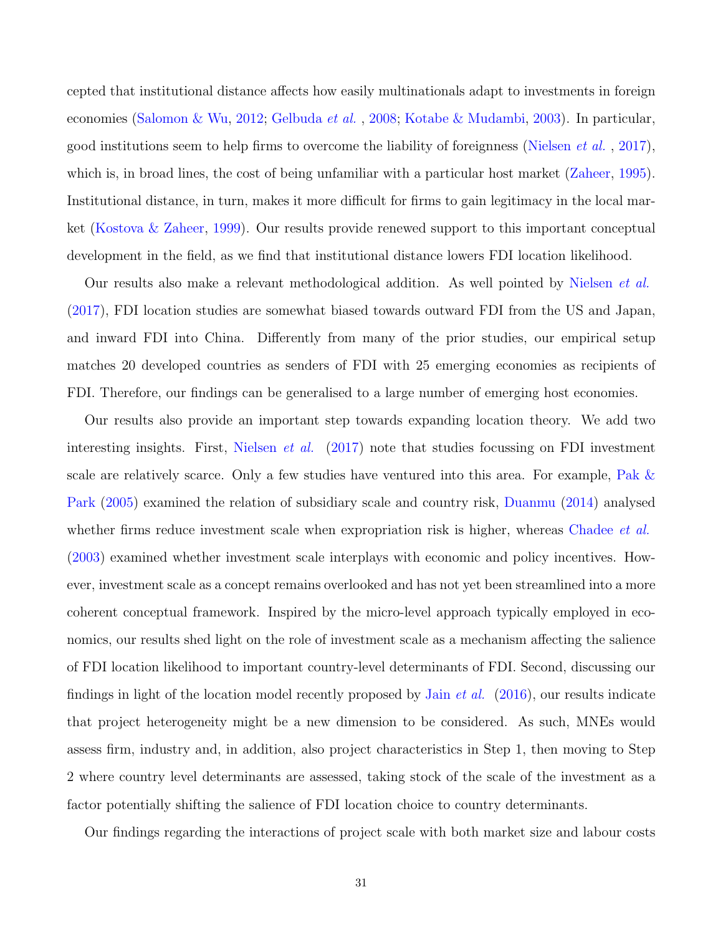cepted that institutional distance affects how easily multinationals adapt to investments in foreign economies [\(Salomon & Wu,](#page-43-9) [2012;](#page-43-9) [Gelbuda](#page-39-8) et al. , [2008;](#page-39-8) [Kotabe & Mudambi,](#page-42-10) [2003\)](#page-42-10). In particular, good institutions seem to help firms to overcome the liability of foreignness [\(Nielsen](#page-42-0) *et al.*, [2017\)](#page-42-0), which is, in broad lines, the cost of being unfamiliar with a particular host market [\(Zaheer,](#page-44-5) [1995\)](#page-44-5). Institutional distance, in turn, makes it more difficult for firms to gain legitimacy in the local market [\(Kostova & Zaheer,](#page-41-4) [1999\)](#page-41-4). Our results provide renewed support to this important conceptual development in the field, as we find that institutional distance lowers FDI location likelihood.

Our results also make a relevant methodological addition. As well pointed by [Nielsen](#page-42-0) et al. [\(2017\)](#page-42-0), FDI location studies are somewhat biased towards outward FDI from the US and Japan, and inward FDI into China. Differently from many of the prior studies, our empirical setup matches 20 developed countries as senders of FDI with 25 emerging economies as recipients of FDI. Therefore, our findings can be generalised to a large number of emerging host economies.

Our results also provide an important step towards expanding location theory. We add two interesting insights. First, [Nielsen](#page-42-0) et al. [\(2017\)](#page-42-0) note that studies focussing on FDI investment scale are relatively scarce. Only a few studies have ventured into this area. For example, [Pak &](#page-43-0) [Park](#page-43-0) [\(2005\)](#page-43-0) examined the relation of subsidiary scale and country risk, [Duanmu](#page-39-0) [\(2014\)](#page-39-0) analysed whether firms reduce investment scale when expropriation risk is higher, whereas [Chadee](#page-37-1) *et al.* [\(2003\)](#page-37-1) examined whether investment scale interplays with economic and policy incentives. However, investment scale as a concept remains overlooked and has not yet been streamlined into a more coherent conceptual framework. Inspired by the micro-level approach typically employed in economics, our results shed light on the role of investment scale as a mechanism affecting the salience of FDI location likelihood to important country-level determinants of FDI. Second, discussing our findings in light of the location model recently proposed by Jain *[et al.](#page-41-1)*  $(2016)$ , our results indicate that project heterogeneity might be a new dimension to be considered. As such, MNEs would assess firm, industry and, in addition, also project characteristics in Step 1, then moving to Step 2 where country level determinants are assessed, taking stock of the scale of the investment as a factor potentially shifting the salience of FDI location choice to country determinants.

Our findings regarding the interactions of project scale with both market size and labour costs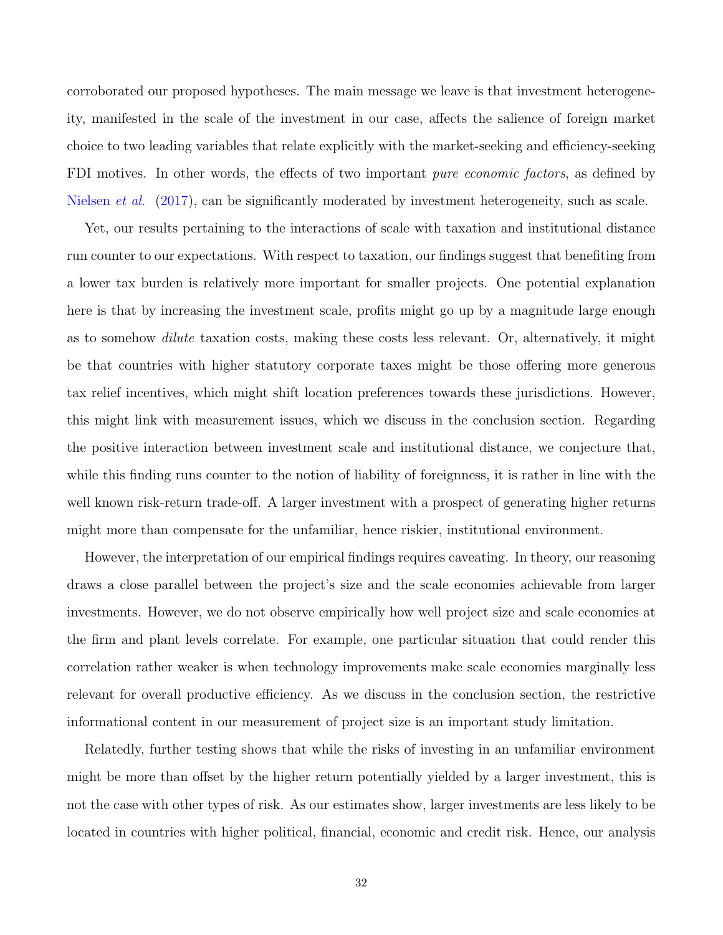corroborated our proposed hypotheses. The main message we leave is that investment heterogeneity, manifested in the scale of the investment in our case, affects the salience of foreign market choice to two leading variables that relate explicitly with the market-seeking and efficiency-seeking FDI motives. In other words, the effects of two important *pure economic factors*, as defined by [Nielsen](#page-42-0) *et al.* [\(2017\)](#page-42-0), can be significantly moderated by investment heterogeneity, such as scale.

Yet, our results pertaining to the interactions of scale with taxation and institutional distance run counter to our expectations. With respect to taxation, our findings suggest that benefiting from a lower tax burden is relatively more important for smaller projects. One potential explanation here is that by increasing the investment scale, profits might go up by a magnitude large enough as to somehow dilute taxation costs, making these costs less relevant. Or, alternatively, it might be that countries with higher statutory corporate taxes might be those offering more generous tax relief incentives, which might shift location preferences towards these jurisdictions. However, this might link with measurement issues, which we discuss in the conclusion section. Regarding the positive interaction between investment scale and institutional distance, we conjecture that, while this finding runs counter to the notion of liability of foreignness, it is rather in line with the well known risk-return trade-off. A larger investment with a prospect of generating higher returns might more than compensate for the unfamiliar, hence riskier, institutional environment.

However, the interpretation of our empirical findings requires caveating. In theory, our reasoning draws a close parallel between the project's size and the scale economies achievable from larger investments. However, we do not observe empirically how well project size and scale economies at the firm and plant levels correlate. For example, one particular situation that could render this correlation rather weaker is when technology improvements make scale economies marginally less relevant for overall productive efficiency. As we discuss in the conclusion section, the restrictive informational content in our measurement of project size is an important study limitation.

Relatedly, further testing shows that while the risks of investing in an unfamiliar environment might be more than offset by the higher return potentially yielded by a larger investment, this is not the case with other types of risk. As our estimates show, larger investments are less likely to be located in countries with higher political, financial, economic and credit risk. Hence, our analysis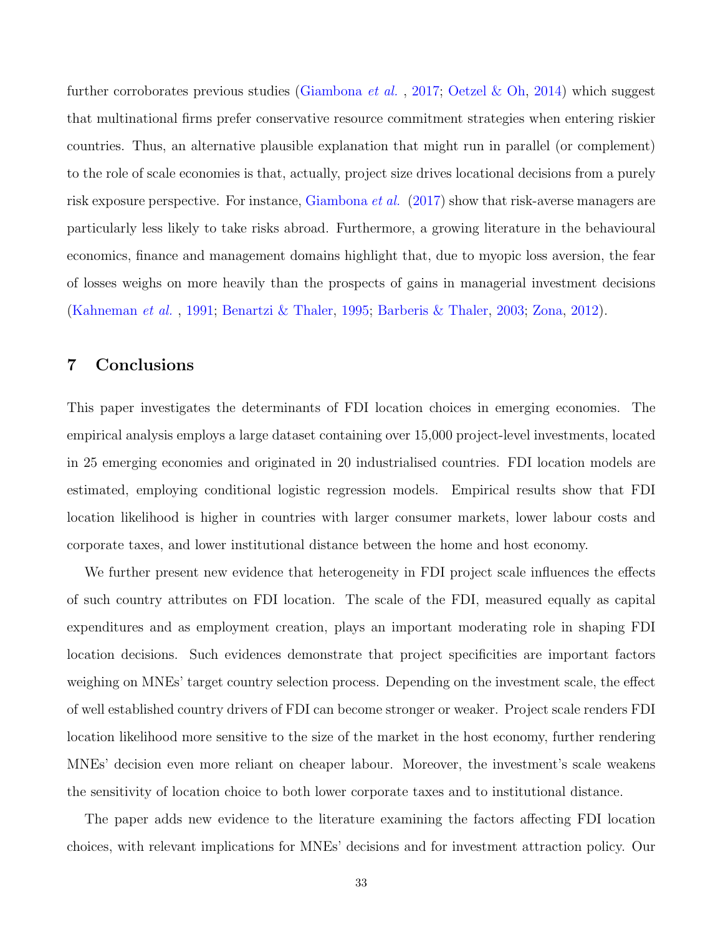further corroborates previous studies [\(Giambona](#page-39-7) *et al.*, [2017;](#page-39-7) [Oetzel & Oh,](#page-43-11) [2014\)](#page-43-11) which suggest that multinational firms prefer conservative resource commitment strategies when entering riskier countries. Thus, an alternative plausible explanation that might run in parallel (or complement) to the role of scale economies is that, actually, project size drives locational decisions from a purely risk exposure perspective. For instance, [Giambona](#page-39-7) *et al.* [\(2017\)](#page-39-7) show that risk-averse managers are particularly less likely to take risks abroad. Furthermore, a growing literature in the behavioural economics, finance and management domains highlight that, due to myopic loss aversion, the fear of losses weighs on more heavily than the prospects of gains in managerial investment decisions [\(Kahneman](#page-41-7) et al. , [1991;](#page-41-7) [Benartzi & Thaler,](#page-37-10) [1995;](#page-37-10) [Barberis & Thaler,](#page-36-9) [2003;](#page-36-9) [Zona,](#page-44-6) [2012\)](#page-44-6).

# 7 Conclusions

This paper investigates the determinants of FDI location choices in emerging economies. The empirical analysis employs a large dataset containing over 15,000 project-level investments, located in 25 emerging economies and originated in 20 industrialised countries. FDI location models are estimated, employing conditional logistic regression models. Empirical results show that FDI location likelihood is higher in countries with larger consumer markets, lower labour costs and corporate taxes, and lower institutional distance between the home and host economy.

We further present new evidence that heterogeneity in FDI project scale influences the effects of such country attributes on FDI location. The scale of the FDI, measured equally as capital expenditures and as employment creation, plays an important moderating role in shaping FDI location decisions. Such evidences demonstrate that project specificities are important factors weighing on MNEs' target country selection process. Depending on the investment scale, the effect of well established country drivers of FDI can become stronger or weaker. Project scale renders FDI location likelihood more sensitive to the size of the market in the host economy, further rendering MNEs' decision even more reliant on cheaper labour. Moreover, the investment's scale weakens the sensitivity of location choice to both lower corporate taxes and to institutional distance.

The paper adds new evidence to the literature examining the factors affecting FDI location choices, with relevant implications for MNEs' decisions and for investment attraction policy. Our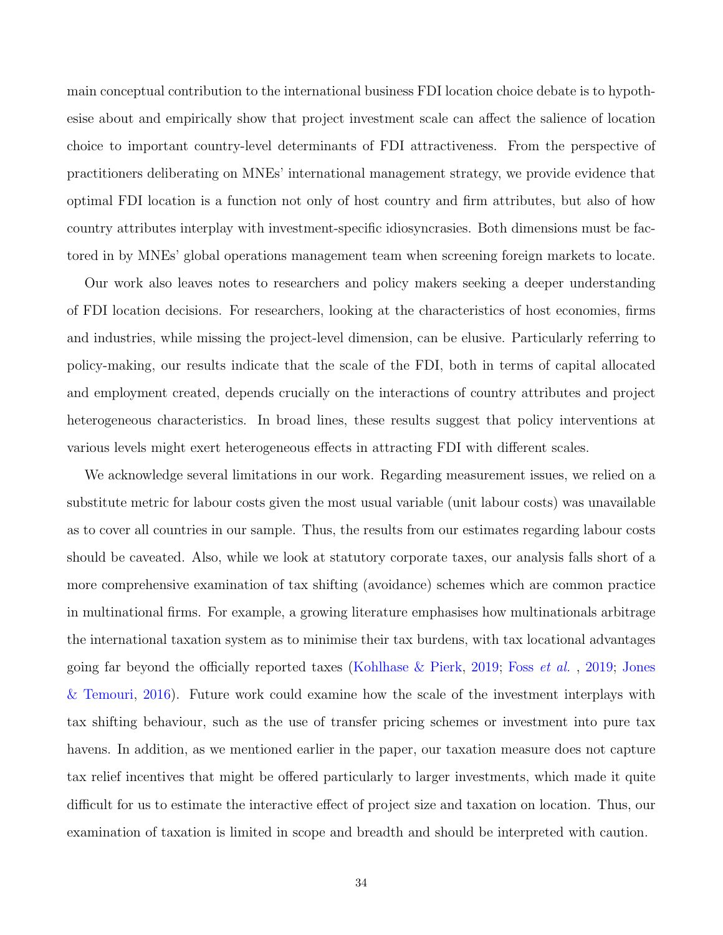main conceptual contribution to the international business FDI location choice debate is to hypothesise about and empirically show that project investment scale can affect the salience of location choice to important country-level determinants of FDI attractiveness. From the perspective of practitioners deliberating on MNEs' international management strategy, we provide evidence that optimal FDI location is a function not only of host country and firm attributes, but also of how country attributes interplay with investment-specific idiosyncrasies. Both dimensions must be factored in by MNEs' global operations management team when screening foreign markets to locate.

Our work also leaves notes to researchers and policy makers seeking a deeper understanding of FDI location decisions. For researchers, looking at the characteristics of host economies, firms and industries, while missing the project-level dimension, can be elusive. Particularly referring to policy-making, our results indicate that the scale of the FDI, both in terms of capital allocated and employment created, depends crucially on the interactions of country attributes and project heterogeneous characteristics. In broad lines, these results suggest that policy interventions at various levels might exert heterogeneous effects in attracting FDI with different scales.

We acknowledge several limitations in our work. Regarding measurement issues, we relied on a substitute metric for labour costs given the most usual variable (unit labour costs) was unavailable as to cover all countries in our sample. Thus, the results from our estimates regarding labour costs should be caveated. Also, while we look at statutory corporate taxes, our analysis falls short of a more comprehensive examination of tax shifting (avoidance) schemes which are common practice in multinational firms. For example, a growing literature emphasises how multinationals arbitrage the international taxation system as to minimise their tax burdens, with tax locational advantages going far beyond the officially reported taxes [\(Kohlhase & Pierk,](#page-41-8) [2019;](#page-41-8) Foss [et al.](#page-39-9) , [2019;](#page-39-9) [Jones](#page-41-9) [& Temouri,](#page-41-9) [2016\)](#page-41-9). Future work could examine how the scale of the investment interplays with tax shifting behaviour, such as the use of transfer pricing schemes or investment into pure tax havens. In addition, as we mentioned earlier in the paper, our taxation measure does not capture tax relief incentives that might be offered particularly to larger investments, which made it quite difficult for us to estimate the interactive effect of project size and taxation on location. Thus, our examination of taxation is limited in scope and breadth and should be interpreted with caution.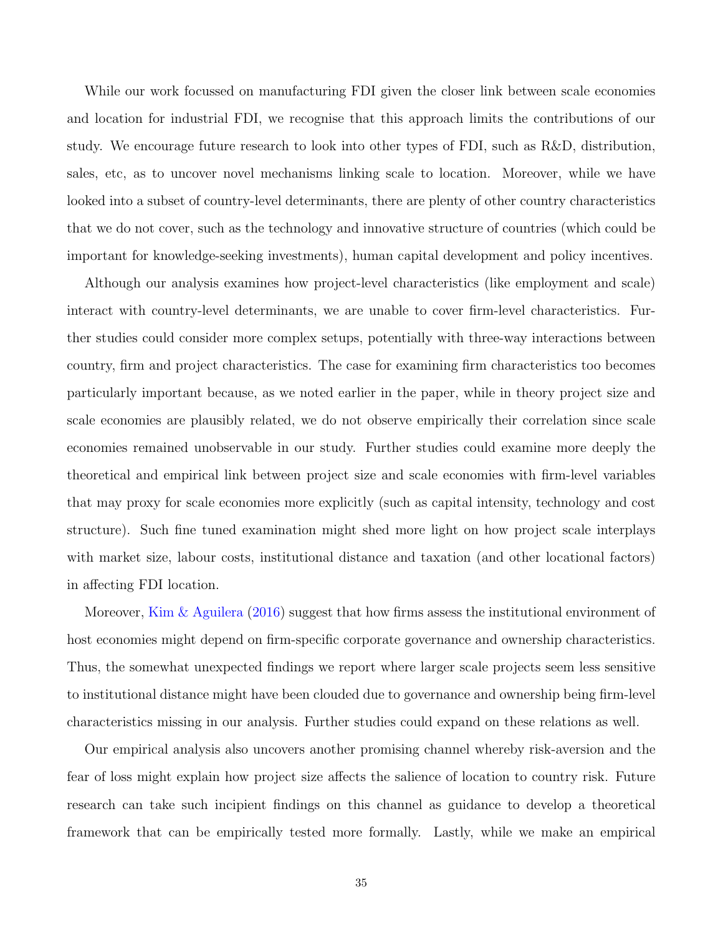While our work focussed on manufacturing FDI given the closer link between scale economies and location for industrial FDI, we recognise that this approach limits the contributions of our study. We encourage future research to look into other types of FDI, such as R&D, distribution, sales, etc, as to uncover novel mechanisms linking scale to location. Moreover, while we have looked into a subset of country-level determinants, there are plenty of other country characteristics that we do not cover, such as the technology and innovative structure of countries (which could be important for knowledge-seeking investments), human capital development and policy incentives.

Although our analysis examines how project-level characteristics (like employment and scale) interact with country-level determinants, we are unable to cover firm-level characteristics. Further studies could consider more complex setups, potentially with three-way interactions between country, firm and project characteristics. The case for examining firm characteristics too becomes particularly important because, as we noted earlier in the paper, while in theory project size and scale economies are plausibly related, we do not observe empirically their correlation since scale economies remained unobservable in our study. Further studies could examine more deeply the theoretical and empirical link between project size and scale economies with firm-level variables that may proxy for scale economies more explicitly (such as capital intensity, technology and cost structure). Such fine tuned examination might shed more light on how project scale interplays with market size, labour costs, institutional distance and taxation (and other locational factors) in affecting FDI location.

Moreover, [Kim & Aguilera](#page-41-0) [\(2016\)](#page-41-0) suggest that how firms assess the institutional environment of host economies might depend on firm-specific corporate governance and ownership characteristics. Thus, the somewhat unexpected findings we report where larger scale projects seem less sensitive to institutional distance might have been clouded due to governance and ownership being firm-level characteristics missing in our analysis. Further studies could expand on these relations as well.

Our empirical analysis also uncovers another promising channel whereby risk-aversion and the fear of loss might explain how project size affects the salience of location to country risk. Future research can take such incipient findings on this channel as guidance to develop a theoretical framework that can be empirically tested more formally. Lastly, while we make an empirical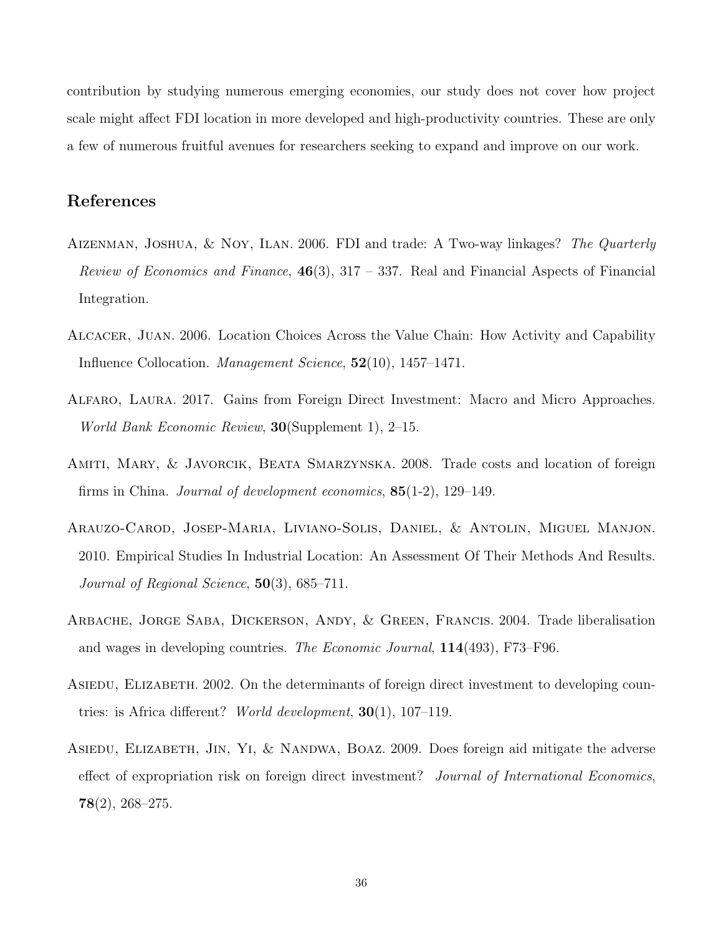contribution by studying numerous emerging economies, our study does not cover how project scale might affect FDI location in more developed and high-productivity countries. These are only a few of numerous fruitful avenues for researchers seeking to expand and improve on our work.

# References

- <span id="page-35-1"></span>AIZENMAN, JOSHUA, & NOY, ILAN. 2006. FDI and trade: A Two-way linkages? The Quarterly Review of Economics and Finance,  $46(3)$ ,  $317 - 337$ . Real and Financial Aspects of Financial Integration.
- <span id="page-35-7"></span>Alcacer, Juan. 2006. Location Choices Across the Value Chain: How Activity and Capability Influence Collocation. Management Science, 52(10), 1457–1471.
- <span id="page-35-0"></span>Alfaro, Laura. 2017. Gains from Foreign Direct Investment: Macro and Micro Approaches. World Bank Economic Review, 30(Supplement 1), 2–15.
- <span id="page-35-5"></span>Amiti, Mary, & Javorcik, Beata Smarzynska. 2008. Trade costs and location of foreign firms in China. Journal of development economics, 85(1-2), 129–149.
- <span id="page-35-6"></span>Arauzo-Carod, Josep-Maria, Liviano-Solis, Daniel, & Antolin, Miguel Manjon. 2010. Empirical Studies In Industrial Location: An Assessment Of Their Methods And Results. Journal of Regional Science,  $50(3)$ , 685–711.
- <span id="page-35-4"></span>Arbache, Jorge Saba, Dickerson, Andy, & Green, Francis. 2004. Trade liberalisation and wages in developing countries. The Economic Journal, 114(493), F73–F96.
- <span id="page-35-3"></span>ASIEDU, ELIZABETH. 2002. On the determinants of foreign direct investment to developing countries: is Africa different? World development,  $30(1)$ ,  $107-119$ .
- <span id="page-35-2"></span>ASIEDU, ELIZABETH, JIN, YI, & NANDWA, BOAZ. 2009. Does foreign aid mitigate the adverse effect of expropriation risk on foreign direct investment? Journal of International Economics,  $78(2)$ , 268-275.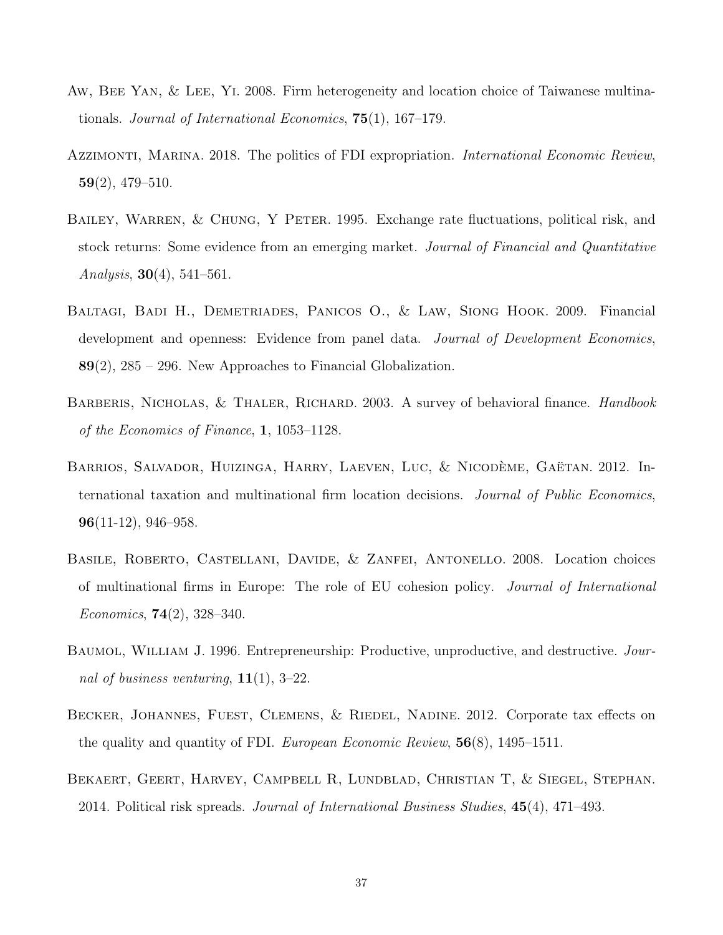- <span id="page-36-0"></span>Aw, Bee Yan, & Lee, Yi. 2008. Firm heterogeneity and location choice of Taiwanese multinationals. Journal of International Economics, 75(1), 167–179.
- <span id="page-36-3"></span>AZZIMONTI, MARINA. 2018. The politics of FDI expropriation. *International Economic Review*, 59(2), 479–510.
- <span id="page-36-8"></span>BAILEY, WARREN, & CHUNG, Y PETER. 1995. Exchange rate fluctuations, political risk, and stock returns: Some evidence from an emerging market. Journal of Financial and Quantitative Analysis,  $30(4)$ ,  $541-561$ .
- <span id="page-36-5"></span>Baltagi, Badi H., Demetriades, Panicos O., & Law, Siong Hook. 2009. Financial development and openness: Evidence from panel data. *Journal of Development Economics*, 89(2), 285 – 296. New Approaches to Financial Globalization.
- <span id="page-36-9"></span>BARBERIS, NICHOLAS, & THALER, RICHARD. 2003. A survey of behavioral finance. *Handbook* of the Economics of Finance, 1, 1053–1128.
- <span id="page-36-1"></span>BARRIOS, SALVADOR, HUIZINGA, HARRY, LAEVEN, LUC, & NICODÈME, GAËTAN. 2012. International taxation and multinational firm location decisions. Journal of Public Economics, 96(11-12), 946–958.
- <span id="page-36-6"></span>BASILE, ROBERTO, CASTELLANI, DAVIDE, & ZANFEI, ANTONELLO. 2008. Location choices of multinational firms in Europe: The role of EU cohesion policy. Journal of International Economics,  $74(2)$ ,  $328-340$ .
- <span id="page-36-4"></span>Baumol, William J. 1996. Entrepreneurship: Productive, unproductive, and destructive. Journal of business venturing,  $11(1)$ , 3–22.
- <span id="page-36-2"></span>BECKER, JOHANNES, FUEST, CLEMENS, & RIEDEL, NADINE. 2012. Corporate tax effects on the quality and quantity of FDI. European Economic Review, 56(8), 1495–1511.
- <span id="page-36-7"></span>Bekaert, Geert, Harvey, Campbell R, Lundblad, Christian T, & Siegel, Stephan. 2014. Political risk spreads. Journal of International Business Studies, 45(4), 471–493.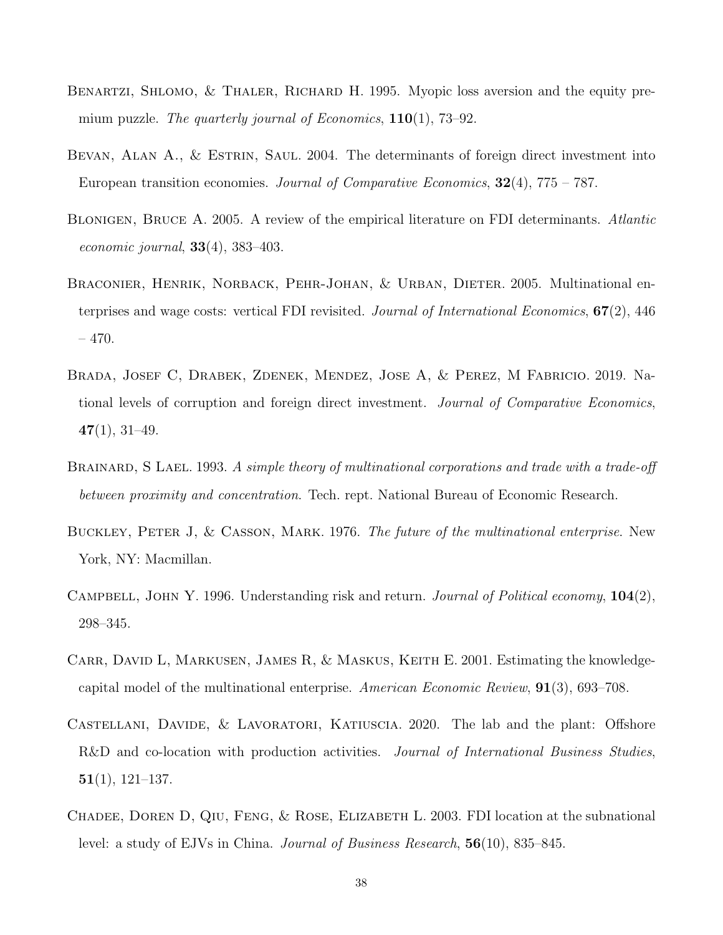- <span id="page-37-10"></span>BENARTZI, SHLOMO, & THALER, RICHARD H. 1995. Myopic loss aversion and the equity premium puzzle. The quarterly journal of Economics,  $110(1)$ , 73–92.
- <span id="page-37-5"></span>BEVAN, ALAN A., & ESTRIN, SAUL. 2004. The determinants of foreign direct investment into European transition economies. Journal of Comparative Economics,  $32(4)$ , 775 – 787.
- <span id="page-37-0"></span>Blonigen, Bruce A. 2005. A review of the empirical literature on FDI determinants. Atlantic *economic journal*,  $33(4)$ ,  $383-403$ .
- <span id="page-37-4"></span>BRACONIER, HENRIK, NORBACK, PEHR-JOHAN, & URBAN, DIETER. 2005. Multinational enterprises and wage costs: vertical FDI revisited. Journal of International Economics, 67(2), 446  $-470.$
- <span id="page-37-8"></span>Brada, Josef C, Drabek, Zdenek, Mendez, Jose A, & Perez, M Fabricio. 2019. National levels of corruption and foreign direct investment. Journal of Comparative Economics,  $47(1), 31-49.$
- <span id="page-37-3"></span>BRAINARD, S LAEL. 1993. A simple theory of multinational corporations and trade with a trade-off between proximity and concentration. Tech. rept. National Bureau of Economic Research.
- <span id="page-37-2"></span>BUCKLEY, PETER J, & CASSON, MARK. 1976. The future of the multinational enterprise. New York, NY: Macmillan.
- <span id="page-37-7"></span>CAMPBELL, JOHN Y. 1996. Understanding risk and return. Journal of Political economy,  $104(2)$ , 298–345.
- <span id="page-37-6"></span>CARR, DAVID L, MARKUSEN, JAMES R, & MASKUS, KEITH E. 2001. Estimating the knowledgecapital model of the multinational enterprise. American Economic Review, 91(3), 693–708.
- <span id="page-37-9"></span>Castellani, Davide, & Lavoratori, Katiuscia. 2020. The lab and the plant: Offshore R&D and co-location with production activities. *Journal of International Business Studies*,  $51(1), 121-137.$
- <span id="page-37-1"></span>CHADEE, DOREN D, QIU, FENG, & ROSE, ELIZABETH L. 2003. FDI location at the subnational level: a study of EJVs in China. Journal of Business Research, 56(10), 835–845.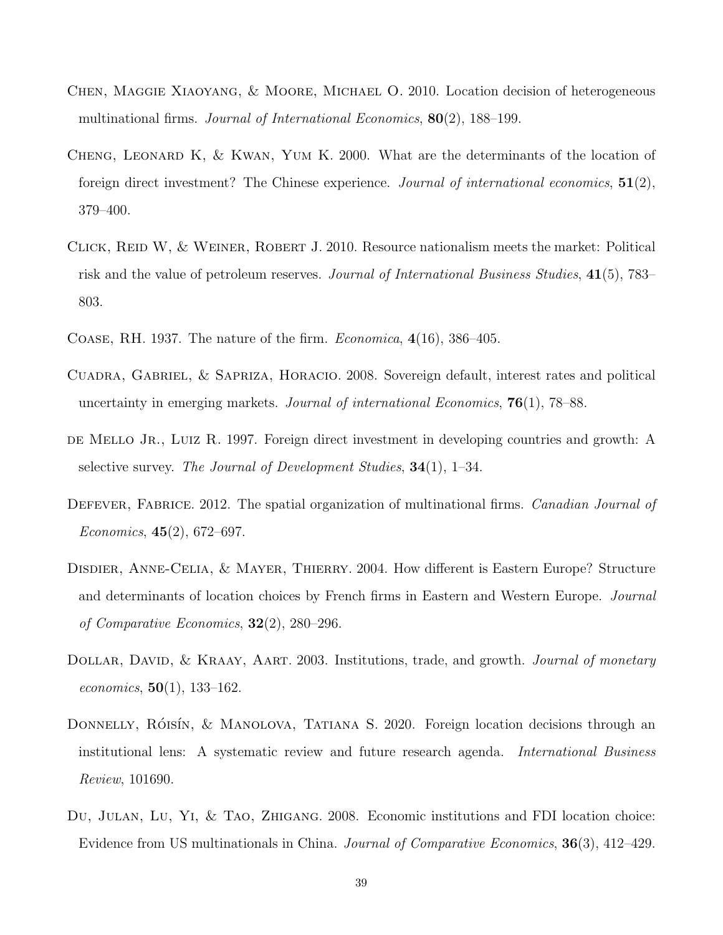- <span id="page-38-1"></span>Chen, Maggie Xiaoyang, & Moore, Michael O. 2010. Location decision of heterogeneous multinational firms. Journal of International Economics, 80(2), 188–199.
- <span id="page-38-6"></span>CHENG, LEONARD K,  $&$  KWAN, YUM K. 2000. What are the determinants of the location of foreign direct investment? The Chinese experience. Journal of international economics,  $51(2)$ , 379–400.
- <span id="page-38-9"></span>Click, Reid W, & Weiner, Robert J. 2010. Resource nationalism meets the market: Political risk and the value of petroleum reserves. Journal of International Business Studies, 41(5), 783– 803.
- <span id="page-38-2"></span>COASE, RH. 1937. The nature of the firm. *Economica*,  $4(16)$ , 386–405.
- <span id="page-38-10"></span>CUADRA, GABRIEL, & SAPRIZA, HORACIO. 2008. Sovereign default, interest rates and political uncertainty in emerging markets. Journal of international Economics,  $76(1)$ ,  $78-88$ .
- <span id="page-38-4"></span>de Mello Jr., Luiz R. 1997. Foreign direct investment in developing countries and growth: A selective survey. The Journal of Development Studies,  $34(1)$ , 1–34.
- <span id="page-38-0"></span>DEFEVER, FABRICE. 2012. The spatial organization of multinational firms. Canadian Journal of Economics,  $45(2)$ , 672–697.
- <span id="page-38-3"></span>Disdier, Anne-Celia, & Mayer, Thierry. 2004. How different is Eastern Europe? Structure and determinants of location choices by French firms in Eastern and Western Europe. Journal of Comparative Economics,  $32(2)$ ,  $280-296$ .
- <span id="page-38-8"></span>DOLLAR, DAVID, & KRAAY, AART. 2003. Institutions, trade, and growth. *Journal of monetary economics*,  $50(1)$ , 133-162.
- <span id="page-38-7"></span>DONNELLY, RÓISÍN, & MANOLOVA, TATIANA S. 2020. Foreign location decisions through an institutional lens: A systematic review and future research agenda. International Business Review, 101690.
- <span id="page-38-5"></span>Du, Julan, Lu, Yi, & Tao, Zhigang. 2008. Economic institutions and FDI location choice: Evidence from US multinationals in China. Journal of Comparative Economics, 36(3), 412–429.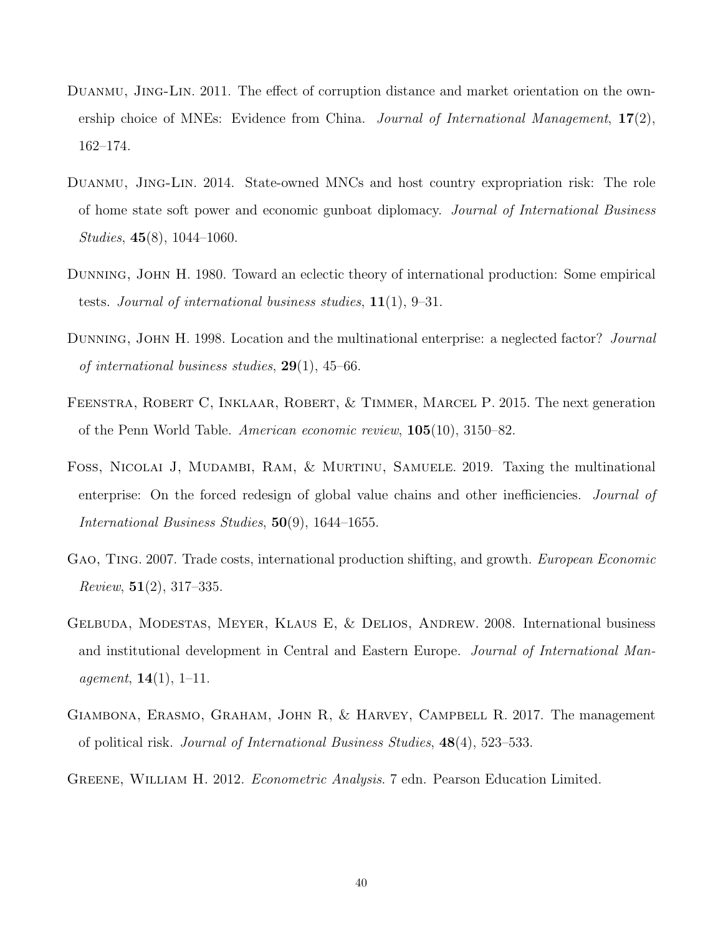- <span id="page-39-5"></span>Duanmu, Jing-Lin. 2011. The effect of corruption distance and market orientation on the ownership choice of MNEs: Evidence from China. Journal of International Management,  $17(2)$ , 162–174.
- <span id="page-39-0"></span>Duanmu, Jing-Lin. 2014. State-owned MNCs and host country expropriation risk: The role of home state soft power and economic gunboat diplomacy. Journal of International Business Studies, 45(8), 1044–1060.
- <span id="page-39-1"></span>Dunning, John H. 1980. Toward an eclectic theory of international production: Some empirical tests. Journal of international business studies,  $11(1)$ ,  $9-31$ .
- <span id="page-39-2"></span>DUNNING, JOHN H. 1998. Location and the multinational enterprise: a neglected factor? Journal of international business studies,  $29(1)$ ,  $45-66$ .
- <span id="page-39-4"></span>Feenstra, Robert C, Inklaar, Robert, & Timmer, Marcel P. 2015. The next generation of the Penn World Table. American economic review, 105(10), 3150–82.
- <span id="page-39-9"></span>Foss, Nicolai J, Mudambi, Ram, & Murtinu, Samuele. 2019. Taxing the multinational enterprise: On the forced redesign of global value chains and other inefficiencies. *Journal of* International Business Studies, 50(9), 1644–1655.
- <span id="page-39-3"></span>GAO, TING. 2007. Trade costs, international production shifting, and growth. *European Economic Review*,  $51(2)$ ,  $317-335$ .
- <span id="page-39-8"></span>Gelbuda, Modestas, Meyer, Klaus E, & Delios, Andrew. 2008. International business and institutional development in Central and Eastern Europe. Journal of International Man*agement*,  $14(1)$ ,  $1-11$ .
- <span id="page-39-7"></span>Giambona, Erasmo, Graham, John R, & Harvey, Campbell R. 2017. The management of political risk. Journal of International Business Studies, 48(4), 523–533.
- <span id="page-39-6"></span>GREENE, WILLIAM H. 2012. Econometric Analysis. 7 edn. Pearson Education Limited.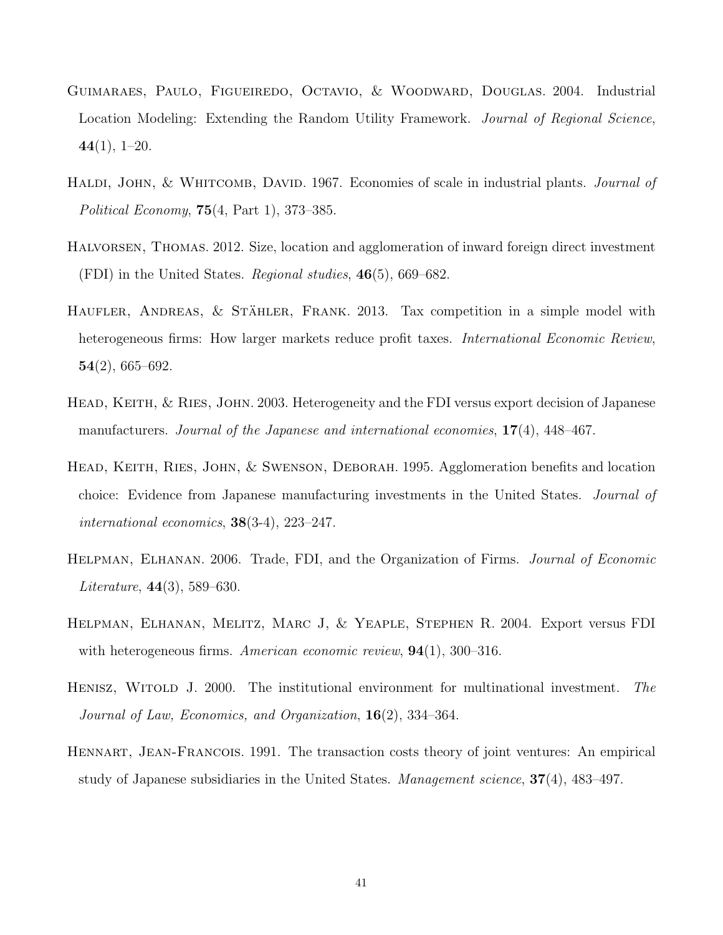- <span id="page-40-5"></span>Guimaraes, Paulo, Figueiredo, Octavio, & Woodward, Douglas. 2004. Industrial Location Modeling: Extending the Random Utility Framework. Journal of Regional Science,  $44(1), 1-20.$
- <span id="page-40-6"></span>HALDI, JOHN, & WHITCOMB, DAVID. 1967. Economies of scale in industrial plants. *Journal of* Political Economy, 75(4, Part 1), 373–385.
- <span id="page-40-0"></span>Halvorsen, Thomas. 2012. Size, location and agglomeration of inward foreign direct investment (FDI) in the United States. Regional studies,  $46(5)$ , 669–682.
- <span id="page-40-7"></span>HAUFLER, ANDREAS, & STÄHLER, FRANK. 2013. Tax competition in a simple model with heterogeneous firms: How larger markets reduce profit taxes. International Economic Review,  $54(2)$ , 665–692.
- <span id="page-40-3"></span>HEAD, KEITH, & RIES, JOHN. 2003. Heterogeneity and the FDI versus export decision of Japanese manufacturers. Journal of the Japanese and international economies, 17(4), 448–467.
- <span id="page-40-9"></span>Head, Keith, Ries, John, & Swenson, Deborah. 1995. Agglomeration benefits and location choice: Evidence from Japanese manufacturing investments in the United States. Journal of international economics, 38(3-4), 223–247.
- <span id="page-40-4"></span>Helpman, Elhanan. 2006. Trade, FDI, and the Organization of Firms. Journal of Economic *Literature*,  $44(3)$ , 589–630.
- <span id="page-40-2"></span>Helpman, Elhanan, Melitz, Marc J, & Yeaple, Stephen R. 2004. Export versus FDI with heterogeneous firms. American economic review,  $94(1)$ , 300–316.
- <span id="page-40-8"></span>HENISZ, WITOLD J. 2000. The institutional environment for multinational investment. The Journal of Law, Economics, and Organization, 16(2), 334–364.
- <span id="page-40-1"></span>Hennart, Jean-Francois. 1991. The transaction costs theory of joint ventures: An empirical study of Japanese subsidiaries in the United States. Management science, 37(4), 483–497.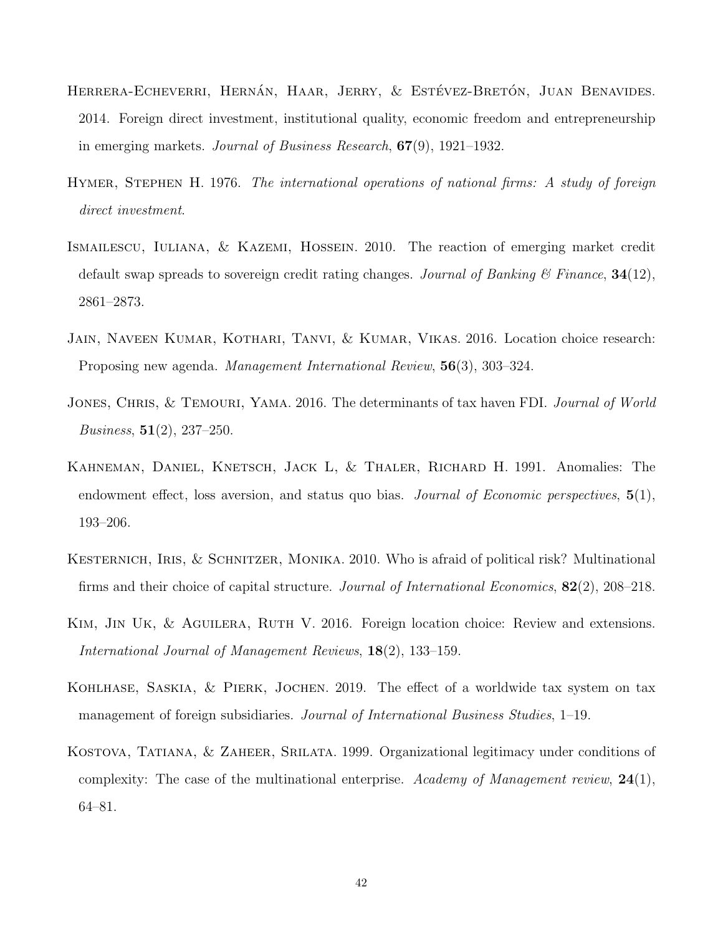- <span id="page-41-5"></span>HERRERA-ECHEVERRI, HERNÁN, HAAR, JERRY, & ESTÉVEZ-BRETÓN, JUAN BENAVIDES. 2014. Foreign direct investment, institutional quality, economic freedom and entrepreneurship in emerging markets. Journal of Business Research, 67(9), 1921–1932.
- <span id="page-41-2"></span>HYMER, STEPHEN H. 1976. The international operations of national firms: A study of foreign direct investment.
- <span id="page-41-6"></span>Ismailescu, Iuliana, & Kazemi, Hossein. 2010. The reaction of emerging market credit default swap spreads to sovereign credit rating changes. Journal of Banking  $\mathscr{C}$  Finance,  $34(12)$ , 2861–2873.
- <span id="page-41-1"></span>Jain, Naveen Kumar, Kothari, Tanvi, & Kumar, Vikas. 2016. Location choice research: Proposing new agenda. Management International Review, 56(3), 303–324.
- <span id="page-41-9"></span>JONES, CHRIS, & TEMOURI, YAMA. 2016. The determinants of tax haven FDI. Journal of World *Business*,  $51(2)$ ,  $237-250$ .
- <span id="page-41-7"></span>Kahneman, Daniel, Knetsch, Jack L, & Thaler, Richard H. 1991. Anomalies: The endowment effect, loss aversion, and status quo bias. Journal of Economic perspectives,  $5(1)$ , 193–206.
- <span id="page-41-3"></span>KESTERNICH, IRIS, & SCHNITZER, MONIKA. 2010. Who is afraid of political risk? Multinational firms and their choice of capital structure. Journal of International Economics, 82(2), 208–218.
- <span id="page-41-0"></span>KIM, JIN UK, & AGUILERA, RUTH V. 2016. Foreign location choice: Review and extensions. International Journal of Management Reviews, 18(2), 133–159.
- <span id="page-41-8"></span>Kohlhase, Saskia, & Pierk, Jochen. 2019. The effect of a worldwide tax system on tax management of foreign subsidiaries. Journal of International Business Studies, 1–19.
- <span id="page-41-4"></span>Kostova, Tatiana, & Zaheer, Srilata. 1999. Organizational legitimacy under conditions of complexity: The case of the multinational enterprise. Academy of Management review,  $24(1)$ , 64–81.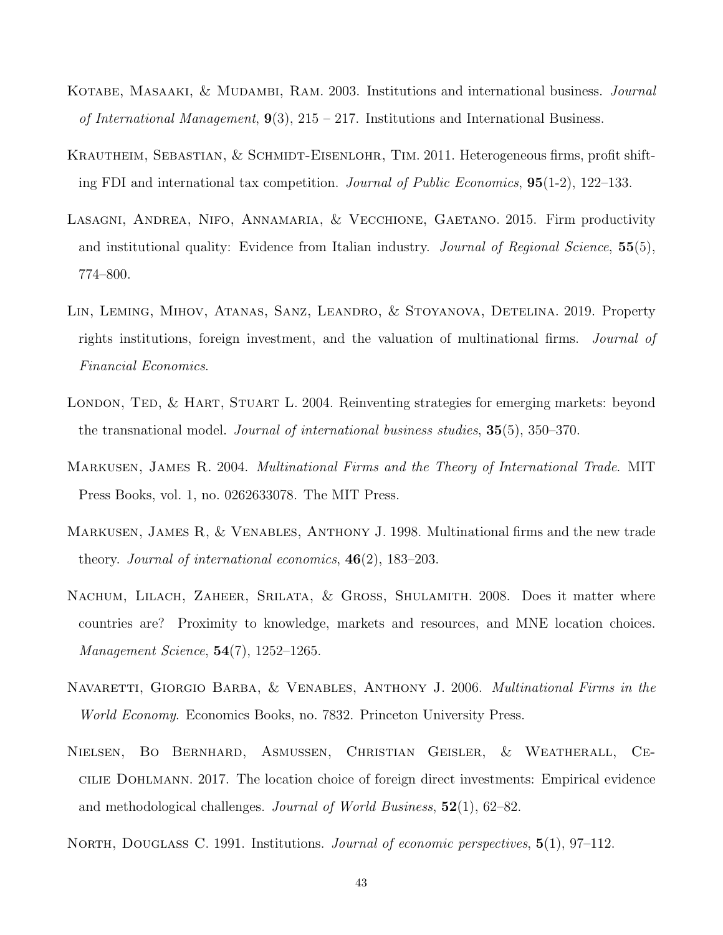- <span id="page-42-10"></span>KOTABE, MASAAKI, & MUDAMBI, RAM. 2003. Institutions and international business. *Journal* of International Management,  $9(3)$ ,  $215 - 217$ . Institutions and International Business.
- <span id="page-42-4"></span>KRAUTHEIM, SEBASTIAN, & SCHMIDT-EISENLOHR, TIM. 2011. Heterogeneous firms, profit shifting FDI and international tax competition. Journal of Public Economics, 95(1-2), 122–133.
- <span id="page-42-7"></span>Lasagni, Andrea, Nifo, Annamaria, & Vecchione, Gaetano. 2015. Firm productivity and institutional quality: Evidence from Italian industry. Journal of Regional Science,  $55(5)$ , 774–800.
- <span id="page-42-6"></span>Lin, Leming, Mihov, Atanas, Sanz, Leandro, & Stoyanova, Detelina. 2019. Property rights institutions, foreign investment, and the valuation of multinational firms. Journal of Financial Economics.
- <span id="page-42-3"></span>LONDON, TED, & HART, STUART L. 2004. Reinventing strategies for emerging markets: beyond the transnational model. Journal of international business studies, 35(5), 350–370.
- <span id="page-42-1"></span>Markusen, James R. 2004. Multinational Firms and the Theory of International Trade. MIT Press Books, vol. 1, no. 0262633078. The MIT Press.
- <span id="page-42-2"></span>Markusen, James R, & Venables, Anthony J. 1998. Multinational firms and the new trade theory. Journal of international economics,  $46(2)$ , 183–203.
- <span id="page-42-9"></span>NACHUM, LILACH, ZAHEER, SRILATA, & GROSS, SHULAMITH. 2008. Does it matter where countries are? Proximity to knowledge, markets and resources, and MNE location choices. Management Science, 54(7), 1252–1265.
- <span id="page-42-8"></span>NAVARETTI, GIORGIO BARBA, & VENABLES, ANTHONY J. 2006. *Multinational Firms in the* World Economy. Economics Books, no. 7832. Princeton University Press.
- <span id="page-42-0"></span>Nielsen, Bo Bernhard, Asmussen, Christian Geisler, & Weatherall, Cecilie Dohlmann. 2017. The location choice of foreign direct investments: Empirical evidence and methodological challenges. Journal of World Business, 52(1), 62–82.
- <span id="page-42-5"></span>NORTH, DOUGLASS C. 1991. Institutions. *Journal of economic perspectives*,  $5(1)$ , 97–112.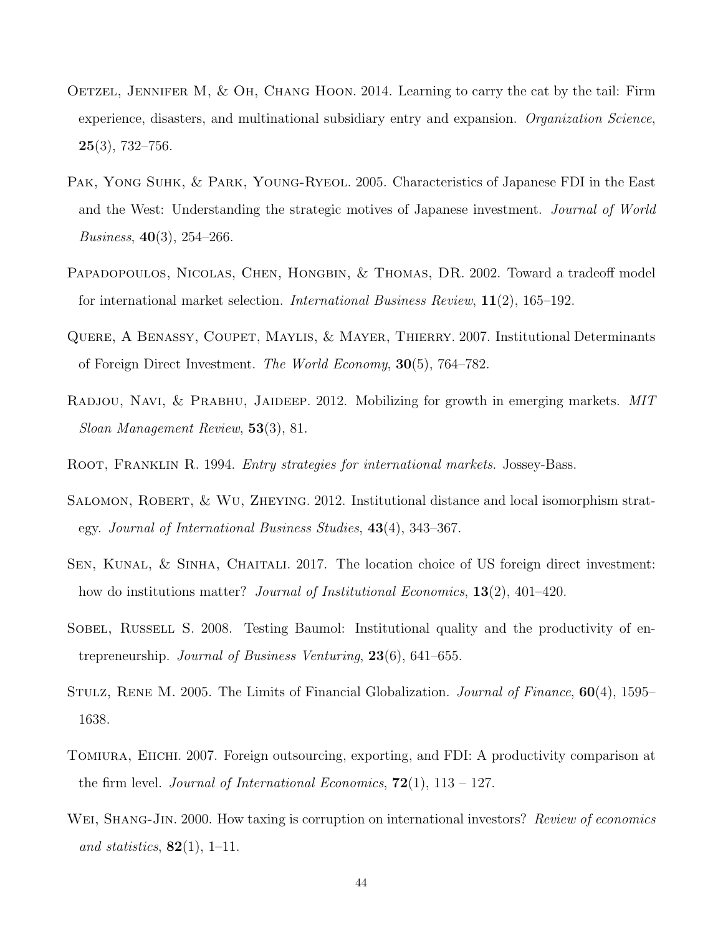- <span id="page-43-11"></span>OETZEL, JENNIFER M,  $&$  OH, CHANG HOON. 2014. Learning to carry the cat by the tail: Firm experience, disasters, and multinational subsidiary entry and expansion. Organization Science,  $25(3)$ , 732–756.
- <span id="page-43-0"></span>PAK, YONG SUHK, & PARK, YOUNG-RYEOL. 2005. Characteristics of Japanese FDI in the East and the West: Understanding the strategic motives of Japanese investment. Journal of World *Business*,  $40(3)$ ,  $254-266$ .
- <span id="page-43-10"></span>PAPADOPOULOS, NICOLAS, CHEN, HONGBIN, & THOMAS, DR. 2002. Toward a tradeoff model for international market selection. International Business Review, 11(2), 165–192.
- <span id="page-43-4"></span>Quere, A Benassy, Coupet, Maylis, & Mayer, Thierry. 2007. Institutional Determinants of Foreign Direct Investment. The World Economy, 30(5), 764–782.
- <span id="page-43-5"></span>RADJOU, NAVI, & PRABHU, JAIDEEP. 2012. Mobilizing for growth in emerging markets. MIT Sloan Management Review, 53(3), 81.
- <span id="page-43-2"></span>Root, Franklin R. 1994. Entry strategies for international markets. Jossey-Bass.
- <span id="page-43-9"></span>SALOMON, ROBERT, & WU, ZHEYING. 2012. Institutional distance and local isomorphism strategy. Journal of International Business Studies, 43(4), 343–367.
- <span id="page-43-3"></span>SEN, KUNAL, & SINHA, CHAITALI. 2017. The location choice of US foreign direct investment: how do institutions matter? *Journal of Institutional Economics*, **13**(2), 401–420.
- <span id="page-43-8"></span>SOBEL, RUSSELL S. 2008. Testing Baumol: Institutional quality and the productivity of entrepreneurship. Journal of Business Venturing, 23(6), 641–655.
- <span id="page-43-6"></span>STULZ, RENE M. 2005. The Limits of Financial Globalization. *Journal of Finance*, **60**(4), 1595– 1638.
- <span id="page-43-1"></span>Tomiura, Eiichi. 2007. Foreign outsourcing, exporting, and FDI: A productivity comparison at the firm level. *Journal of International Economics*,  $72(1)$ ,  $113 - 127$ .
- <span id="page-43-7"></span>WEI, SHANG-JIN. 2000. How taxing is corruption on international investors? Review of economics and statistics,  $82(1)$ , 1–11.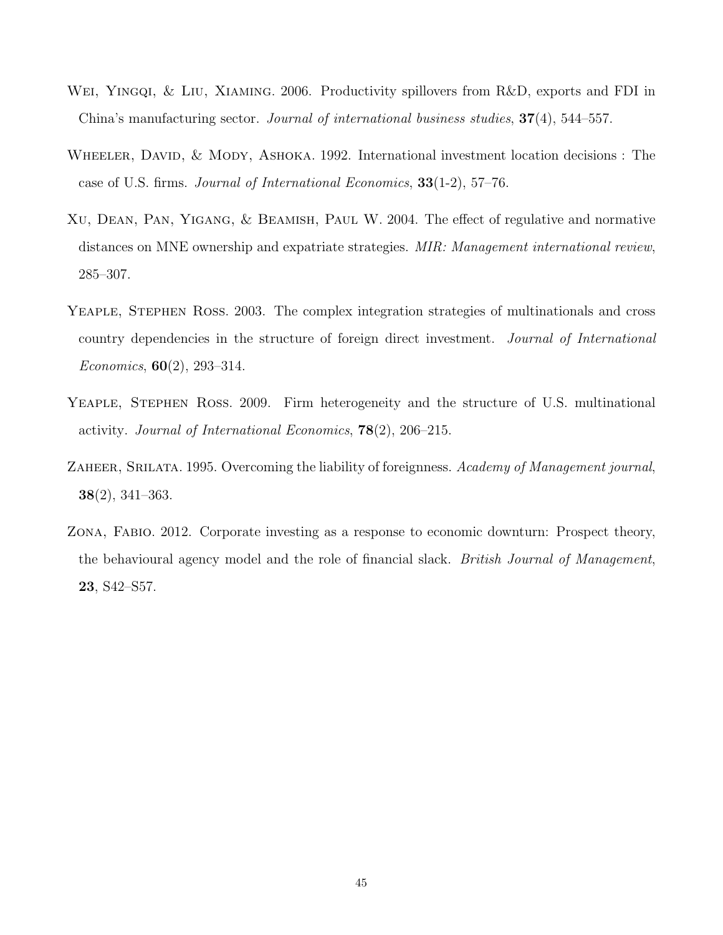- <span id="page-44-0"></span>Wei, Yingqi, & Liu, Xiaming. 2006. Productivity spillovers from R&D, exports and FDI in China's manufacturing sector. Journal of international business studies, 37(4), 544–557.
- <span id="page-44-3"></span>WHEELER, DAVID,  $& MODY$ , ASHOKA. 1992. International investment location decisions : The case of U.S. firms. Journal of International Economics, 33(1-2), 57–76.
- <span id="page-44-4"></span>Xu, Dean, Pan, Yigang, & Beamish, Paul W. 2004. The effect of regulative and normative distances on MNE ownership and expatriate strategies. MIR: Management international review, 285–307.
- <span id="page-44-2"></span>Yeaple, Stephen Ross. 2003. The complex integration strategies of multinationals and cross country dependencies in the structure of foreign direct investment. Journal of International Economics,  $60(2)$ , 293-314.
- <span id="page-44-1"></span>Yeaple, Stephen Ross. 2009. Firm heterogeneity and the structure of U.S. multinational activity. Journal of International Economics, 78(2), 206–215.
- <span id="page-44-5"></span>ZAHEER, SRILATA. 1995. Overcoming the liability of foreignness. Academy of Management journal, 38(2), 341–363.
- <span id="page-44-6"></span>Zona, Fabio. 2012. Corporate investing as a response to economic downturn: Prospect theory, the behavioural agency model and the role of financial slack. British Journal of Management, 23, S42–S57.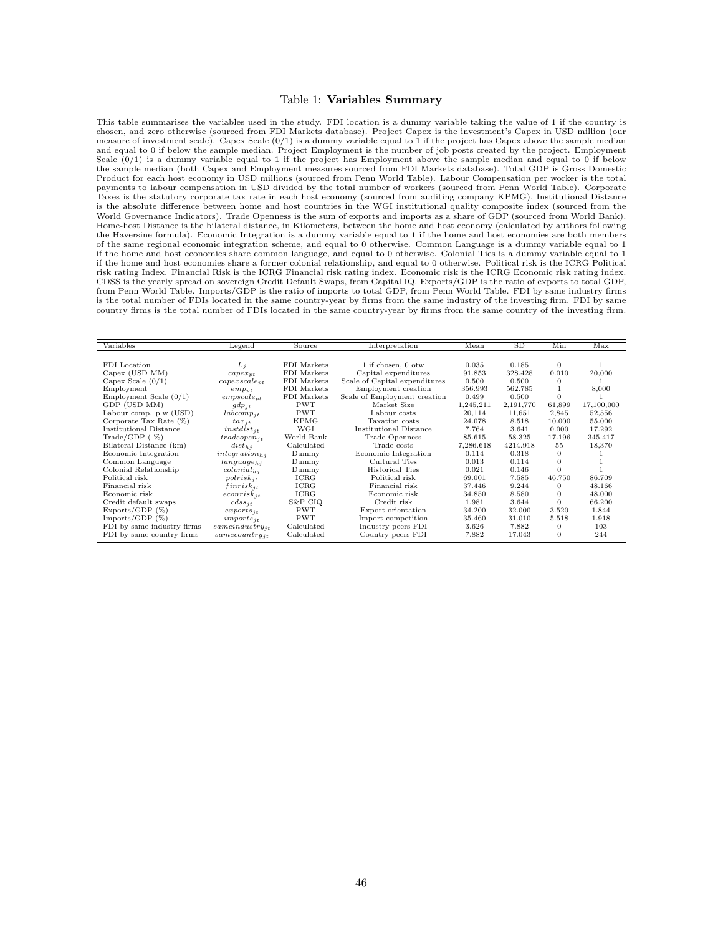#### <span id="page-45-0"></span>Table 1: Variables Summary

This table summarises the variables used in the study. FDI location is a dummy variable taking the value of 1 if the country is chosen, and zero otherwise (sourced from FDI Markets database). Project Capex is the investment's Capex in USD million (our<br>measure of investment scale). Capex Scale (0/1) is a dummy variable equal to 1 if the project has and equal to 0 if below the sample median. Project Employment is the number of job posts created by the project. Employment Scale  $(0/1)$  is a dummy variable equal to 1 if the project has Employment above the sample median and equal to 0 if below the sample median (both Capex and Employment measures sourced from FDI Markets database). Total GDP is Gross Domestic Product for each host economy in USD millions (sourced from Penn World Table). Labour Compensation per worker is the total payments to labour compensation in USD divided by the total number of workers (sourced from Penn World Table). Corporate<br>Taxes is the statutory corporate tax rate in each host economy (sourced from auditing company KPMG). is the absolute difference between home and host countries in the WGI institutional quality composite index (sourced from the World Governance Indicators). Trade Openness is the sum of exports and imports as a share of GDP (sourced from World Bank). Home-host Distance is the bilateral distance, in Kilometers, between the home and host economy (calculated by authors following the Haversine formula). Economic Integration is a dummy variable equal to 1 if the home and host economies are both members of the same regional economic integration scheme, and equal to 0 otherwise. Common Language is a dummy variable equal to 1 if the home and host economies share common language, and equal to 0 otherwise. Colonial Ties is a dummy variable equal to 1 if the home and host economies share a former colonial relationship, and equal to 0 otherwise. Political risk is the ICRG Political risk rating Index. Financial Risk is the ICRG Financial risk rating index. Economic risk is the ICRG Economic risk rating index. CDSS is the yearly spread on sovereign Credit Default Swaps, from Capital IQ. Exports/GDP is the ratio of exports to total GDP,<br>from Penn World Table. Imports/GDP is the ratio of imports to total GDP, from Penn World Table is the total number of FDIs located in the same country-year by firms from the same industry of the investing firm. FDI by same country firms is the total number of FDIs located in the same country-year by firms from the same country of the investing firm.

| Variables                  | Legend                 | Source      | Interpretation                | Mean      | SD        | Min          | Max        |
|----------------------------|------------------------|-------------|-------------------------------|-----------|-----------|--------------|------------|
|                            |                        |             |                               |           |           |              |            |
| FDI Location               | $L_i$                  | FDI Markets | 1 if chosen, 0 otw            | 0.035     | 0.185     | $\theta$     |            |
| Capex (USD MM)             | $capex_{pt}$           | FDI Markets | Capital expenditures          | 91.853    | 328.428   | 0.010        | 20,000     |
| Capex Scale $(0/1)$        | $capexscale_{pt}$      | FDI Markets | Scale of Capital expenditures | 0.500     | 0.500     | $\bf{0}$     |            |
| Employment                 | $emp_{pt}$             | FDI Markets | Employment creation           | 356.993   | 562.785   |              | 8,000      |
| Employment Scale $(0/1)$   | $empscale_{pt}$        | FDI Markets | Scale of Employment creation  | 0.499     | 0.500     | $\mathbf{0}$ |            |
| GDP (USD MM)               | $qdp_{it}$             | <b>PWT</b>  | Market Size                   | 1,245,211 | 2,191,770 | 61.899       | 17,100,000 |
| Labour comp. p.w (USD)     | $labcomp_{jt}$         | <b>PWT</b>  | Labour costs                  | 20.114    | 11.651    | 2.845        | 52,556     |
| Corporate Tax Rate $(\%)$  | $tax_{jt}$             | <b>KPMG</b> | Taxation costs                | 24.078    | 8.518     | 10.000       | 55.000     |
| Institutional Distance     | $instdist_{it}$        | WGI         | Institutional Distance        | 7.764     | 3.641     | 0.000        | 17.292     |
| Trade/GDP (%)              | $tradeopen_{it}$       | World Bank  | Trade Openness                | 85.615    | 58.325    | 17.196       | 345.417    |
| Bilateral Distance (km)    | $dist_{h,i}$           | Calculated  | Trade costs                   | 7,286.618 | 4214.918  | 55           | 18,370     |
| Economic Integration       | $integration_{hi}$     | Dummy       | Economic Integration          | 0.114     | 0.318     | $\Omega$     |            |
| Common Language            | language <sub>hi</sub> | Dummy       | Cultural Ties                 | 0.013     | 0.114     | $\Omega$     |            |
| Colonial Relationship      | $colonial_{h,i}$       | Dummy       | Historical Ties               | 0.021     | 0.146     | $\Omega$     |            |
| Political risk             | $polrisk_{it}$         | ICRG        | Political risk                | 69.001    | 7.585     | 46.750       | 86.709     |
| Financial risk             | $finrisk_{it}$         | ICRG        | Financial risk                | 37.446    | 9.244     | $\Omega$     | 48.166     |
| Economic risk              | $econrisk_{it}$        | ICRG        | Economic risk                 | 34.850    | 8.580     | $\theta$     | 48.000     |
| Credit default swaps       | $\frac{cdss_{it}}{t}$  | S&P CIQ     | Credit risk                   | 1.981     | 3.644     | $\Omega$     | 66.200     |
| Express/GDP (%)            | $exports_{it}$         | <b>PWT</b>  | Export orientation            | 34.200    | 32.000    | 3.520        | 1.844      |
| Imports/GDP $(\%)$         | $imports_{it}$         | <b>PWT</b>  | Import competition            | 35.460    | 31.010    | 5.518        | 1.918      |
| FDI by same industry firms | $same industry_{it}$   | Calculated  | Industry peers FDI            | 3.626     | 7.882     | $\bf{0}$     | 103        |
| FDI by same country firms  | $same country_{it}$    | Calculated  | Country peers FDI             | 7.882     | 17.043    | $\mathbf{0}$ | 244        |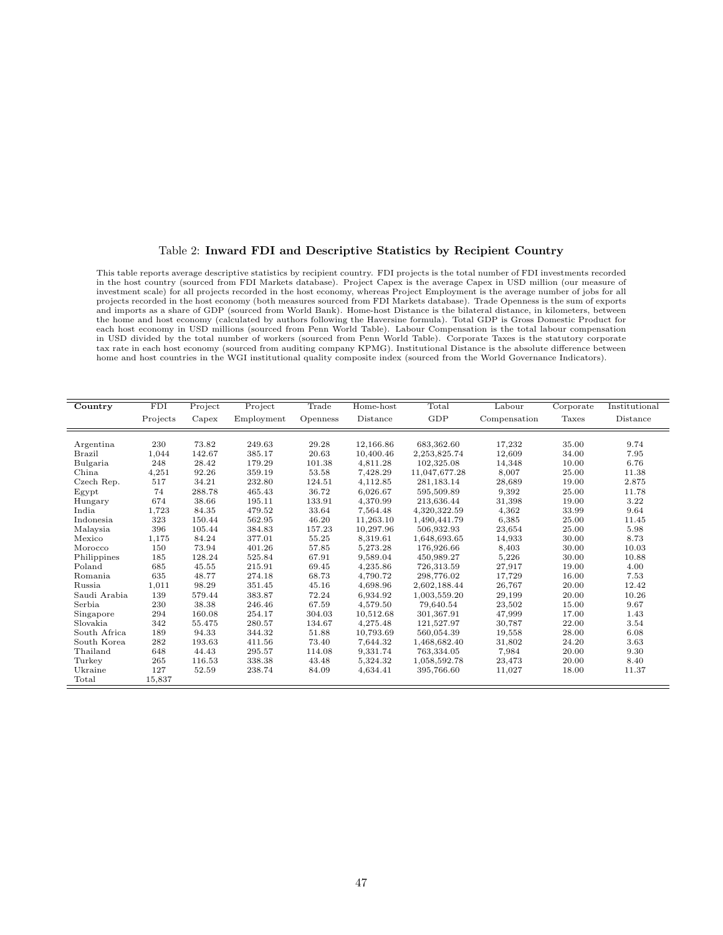#### <span id="page-46-0"></span>Table 2: Inward FDI and Descriptive Statistics by Recipient Country

This table reports average descriptive statistics by recipient country. FDI projects is the total number of FDI investments recorded in the host country (sourced from FDI Markets database). Project Capex is the average Capex in USD million (our measure of investment scale) for all projects recorded in the host economy, whereas Project Employment is the average number of jobs for all projects recorded in the host economy (both measures sourced from FDI Markets database). Trade Openness is the sum of exports and imports as a share of GDP (sourced from World Bank). Home-host Distance is the bilateral distance, in kilometers, between the home and host economy (calculated by authors following the Haversine formula). Total GDP is Gross Domestic Product for each host economy in USD millions (sourced from Penn World Table). Labour Compensation is the total labour compensation in USD divided by the total number of workers (sourced from Penn World Table). Corporate Taxes is the statutory corporate tax rate in each host economy (sourced from auditing company KPMG). Institutional Distance is the absolute difference between home and host countries in the WGI institutional quality composite index (sourced from the World Governance Indicators).

| Country       | <b>FDI</b> | Project | Project    | Trade    | Home-host | Total         | Labour       | Corporate | Institutional |
|---------------|------------|---------|------------|----------|-----------|---------------|--------------|-----------|---------------|
|               | Projects   | Capex   | Employment | Openness | Distance  | GDP           | Compensation | Taxes     | Distance      |
|               |            |         |            |          |           |               |              |           |               |
| Argentina     | 230        | 73.82   | 249.63     | 29.28    | 12,166.86 | 683,362.60    | 17,232       | 35.00     | 9.74          |
| <b>Brazil</b> | 1,044      | 142.67  | 385.17     | 20.63    | 10,400.46 | 2,253,825.74  | 12,609       | 34.00     | 7.95          |
| Bulgaria      | 248        | 28.42   | 179.29     | 101.38   | 4,811.28  | 102,325.08    | 14,348       | 10.00     | 6.76          |
| China         | 4,251      | 92.26   | 359.19     | 53.58    | 7,428.29  | 11,047,677.28 | 8,007        | 25.00     | 11.38         |
| Czech Rep.    | 517        | 34.21   | 232.80     | 124.51   | 4,112.85  | 281, 183. 14  | 28,689       | 19.00     | 2.875         |
| Egypt         | 74         | 288.78  | 465.43     | 36.72    | 6,026.67  | 595,509.89    | 9,392        | 25.00     | 11.78         |
| Hungary       | 674        | 38.66   | 195.11     | 133.91   | 4,370.99  | 213,636.44    | 31,398       | 19.00     | 3.22          |
| India         | 1,723      | 84.35   | 479.52     | 33.64    | 7,564.48  | 4,320,322.59  | 4,362        | 33.99     | 9.64          |
| Indonesia     | 323        | 150.44  | 562.95     | 46.20    | 11,263.10 | 1,490,441.79  | 6,385        | 25.00     | 11.45         |
| Malaysia      | 396        | 105.44  | 384.83     | 157.23   | 10,297.96 | 506,932.93    | 23,654       | 25.00     | 5.98          |
| Mexico        | 1,175      | 84.24   | 377.01     | 55.25    | 8,319.61  | 1,648,693.65  | 14,933       | 30.00     | 8.73          |
| Morocco       | 150        | 73.94   | 401.26     | 57.85    | 5,273.28  | 176,926.66    | 8,403        | 30.00     | 10.03         |
| Philippines   | 185        | 128.24  | 525.84     | 67.91    | 9,589.04  | 450,989.27    | 5,226        | 30.00     | 10.88         |
| Poland        | 685        | 45.55   | 215.91     | 69.45    | 4,235.86  | 726,313.59    | 27,917       | 19.00     | 4.00          |
| Romania       | 635        | 48.77   | 274.18     | 68.73    | 4,790.72  | 298.776.02    | 17,729       | 16.00     | 7.53          |
| Russia        | 1,011      | 98.29   | 351.45     | 45.16    | 4,698.96  | 2,602,188.44  | 26,767       | 20.00     | 12.42         |
| Saudi Arabia  | 139        | 579.44  | 383.87     | 72.24    | 6,934.92  | 1,003,559.20  | 29,199       | 20.00     | 10.26         |
| Serbia        | 230        | 38.38   | 246.46     | 67.59    | 4,579.50  | 79,640.54     | 23,502       | 15.00     | 9.67          |
| Singapore     | 294        | 160.08  | 254.17     | 304.03   | 10,512.68 | 301,367.91    | 47,999       | 17.00     | 1.43          |
| Slovakia      | 342        | 55.475  | 280.57     | 134.67   | 4,275.48  | 121,527.97    | 30,787       | 22.00     | 3.54          |
| South Africa  | 189        | 94.33   | 344.32     | 51.88    | 10,793.69 | 560,054.39    | 19,558       | 28.00     | 6.08          |
| South Korea   | 282        | 193.63  | 411.56     | 73.40    | 7,644.32  | 1,468,682.40  | 31,802       | 24.20     | 3.63          |
| Thailand      | 648        | 44.43   | 295.57     | 114.08   | 9,331.74  | 763,334.05    | 7,984        | 20.00     | 9.30          |
| Turkey        | 265        | 116.53  | 338.38     | 43.48    | 5,324.32  | 1,058,592.78  | 23,473       | 20.00     | 8.40          |
| Ukraine       | 127        | 52.59   | 238.74     | 84.09    | 4,634.41  | 395,766.60    | 11,027       | 18.00     | 11.37         |
| Total         | 15,837     |         |            |          |           |               |              |           |               |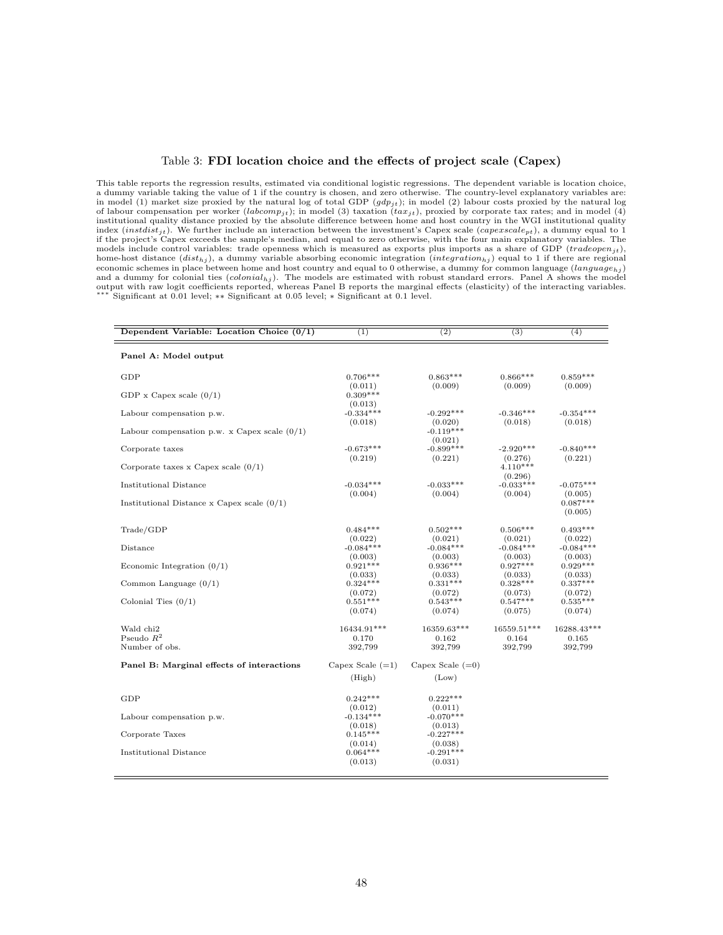#### <span id="page-47-0"></span>Table 3: FDI location choice and the effects of project scale (Capex)

This table reports the regression results, estimated via conditional logistic regressions. The dependent variable is location choice, a dummy variable taking the value of 1 if the country is chosen, and zero otherwise. The country-level explanatory variables are: in model (1) market size proxied by the natural log of total GDP  $(gdp_{jt})$ ; in model (2) labour costs proxied by the natural log of labour compensation per worker (labcom $p_{jt}$ ); in model (3) taxation (tax<sub>jt</sub>), proxied by corporate tax rates; and in model (4) institutional quality distance proxied by the absolute difference between home and host country in the WGI institutional quality index  $(instdist_{it})$ . We further include an interaction between the investment's Capex scale  $(capex scale_{pt})$ , a dummy equal to 1 if the project's Capex exceeds the sample's median, and equal to zero otherwise, with the four main explanatory variables. The models include control variables: trade openness which is measured as exports plus imports as a share of GDP (tradeopen<sub>it</sub>), home-host distance  $(dist_{hj})$ , a dummy variable absorbing economic integration  $(integration_{hj})$  equal to 1 if there are regional economic schemes in place between home and host country and equal to 0 otherwise, a dummy for common language  $(language_{hj})$ <br>and a dummy for colonial ties  $(colonia_{hj})$ . The models are estimated with robust standard errors. Panel output with raw logit coefficients reported, whereas Panel B reports the marginal effects (elasticity) of the interacting variables. ∗∗∗ Significant at 0.01 level; ∗∗ Significant at 0.05 level; ∗ Significant at 0.1 level.

| Dependent Variable: Location Choice $(0/1)$    | (1)                               | $\overline{(2)}$                  | $\overline{(3)}$                 | (4)                              |
|------------------------------------------------|-----------------------------------|-----------------------------------|----------------------------------|----------------------------------|
| Panel A: Model output                          |                                   |                                   |                                  |                                  |
| GDP                                            | $0.706***$                        | $0.863***$                        | $0.866***$                       | $0.859***$                       |
| GDP x Capex scale $(0/1)$                      | (0.011)<br>$0.309***$<br>(0.013)  | (0.009)                           | (0.009)                          | (0.009)                          |
| Labour compensation p.w.                       | $-0.334***$                       | $-0.292***$                       | $-0.346***$                      | $-0.354***$                      |
| Labour compensation p.w. x Capex scale $(0/1)$ | (0.018)                           | (0.020)<br>$-0.119***$<br>(0.021) | (0.018)                          | (0.018)                          |
| Corporate taxes                                | $-0.673***$<br>(0.219)            | $-0.899***$<br>(0.221)            | $-2.920***$<br>(0.276)           | $-0.840***$<br>(0.221)           |
| Corporate taxes x Capex scale $(0/1)$          |                                   |                                   | $4.110***$<br>(0.296)            |                                  |
| Institutional Distance                         | $-0.034***$<br>(0.004)            | $-0.033***$<br>(0.004)            | $-0.033***$<br>(0.004)           | $-0.075***$<br>(0.005)           |
| Institutional Distance x Capex scale $(0/1)$   |                                   |                                   |                                  | $0.087***$<br>(0.005)            |
| $\text{Trade}/\text{GDP}$                      | $0.484***$                        | $0.502***$                        | $0.506***$                       | $0.493***$                       |
| Distance                                       | (0.022)<br>$-0.084***$            | (0.021)<br>$-0.084***$            | (0.021)<br>$-0.084***$           | (0.022)<br>$-0.084***$           |
| Economic Integration $(0/1)$                   | (0.003)<br>$0.921***$             | (0.003)<br>$0.936***$             | (0.003)<br>$0.927***$            | (0.003)<br>$0.929***$            |
| Common Language $(0/1)$                        | (0.033)<br>$0.324***$             | (0.033)<br>$0.331***$             | (0.033)<br>$0.328***$            | (0.033)<br>$0.337***$            |
| Colonial Ties $(0/1)$                          | (0.072)<br>$0.551***$<br>(0.074)  | (0.072)<br>$0.543***$<br>(0.074)  | (0.073)<br>$0.547***$<br>(0.075) | (0.072)<br>$0.535***$<br>(0.074) |
|                                                |                                   |                                   |                                  |                                  |
| Wald chi <sub>2</sub><br>Pseudo $R^2$          | 16434.91***<br>0.170              | 16359.63***<br>0.162              | 16559.51***<br>0.164             | 16288.43***<br>0.165             |
| Number of obs.                                 | 392,799                           | 392,799                           | 392,799                          | 392,799                          |
| Panel B: Marginal effects of interactions      | Capex Scale $(=1)$                | Capex Scale $(=0)$                |                                  |                                  |
|                                                | (High)                            | (Low)                             |                                  |                                  |
| GDP                                            | $0.242***$                        | $0.222***$                        |                                  |                                  |
| Labour compensation p.w.                       | (0.012)<br>$-0.134***$<br>(0.018) | (0.011)<br>$-0.070***$<br>(0.013) |                                  |                                  |
| Corporate Taxes                                | $0.145***$                        | $-0.227***$                       |                                  |                                  |
| Institutional Distance                         | (0.014)<br>$0.064***$<br>(0.013)  | (0.038)<br>$-0.291***$<br>(0.031) |                                  |                                  |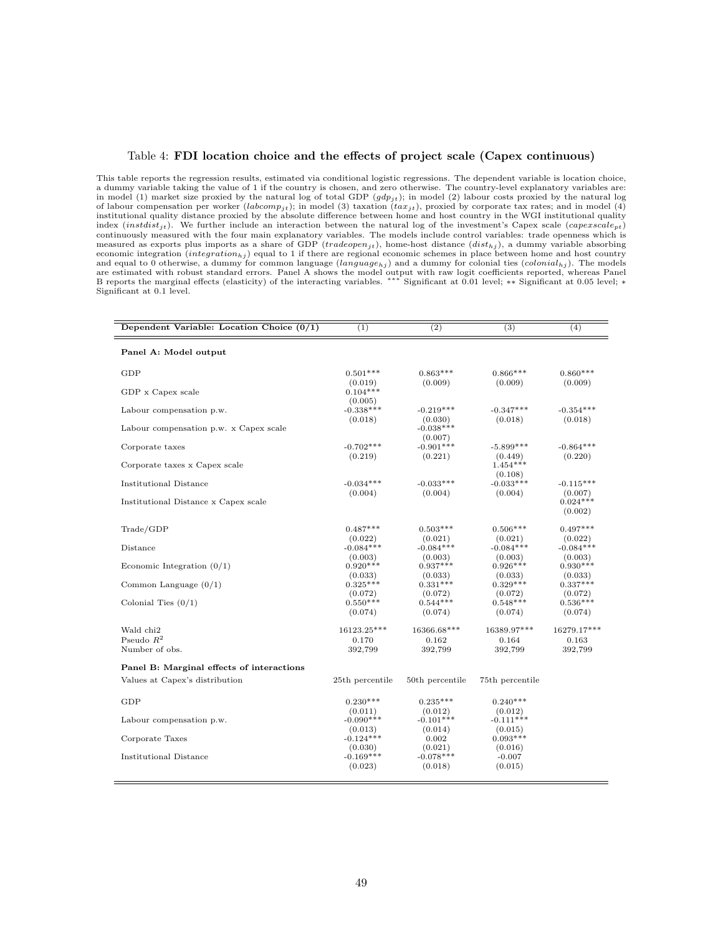#### <span id="page-48-0"></span>Table 4: FDI location choice and the effects of project scale (Capex continuous)

This table reports the regression results, estimated via conditional logistic regressions. The dependent variable is location choice, a dummy variable taking the value of 1 if the country is chosen, and zero otherwise. The country-level explanatory variables are: in model (1) market size proxied by the natural log of total GDP  $(gdp_{jt})$ ; in model (2) labour costs proxied by the natural log of labour compensation per worker (labcomp<sub>jt</sub>); in model (3) taxation (tax<sub>jt</sub>), proxied by corporate tax rates; and in model (4) institutional quality distance proxied by the absolute difference between home and host country in the WGI institutional quality index  $(instdist_{jt})$ . We further include an interaction between the natural log of the investment's Capex scale  $(capexscale_{pt})$ continuously measured with the four main explanatory variables. The models include control variables: trade openness which is measured as exports plus imports as a share of GDP (*tradeopen<sub>jt</sub>*), home-host distance ( $dist_{hj}$ ), a dummy variable absorbing<br>economic integration (*integration<sub>hj</sub>*) equal to 1 if there are regional economic schemes in and equal to 0 otherwise, a dummy for common language  $(language_{hj})$  and a dummy for colonial ties  $(colonial_{hj})$ . The models are estimated with robust standard errors. Panel A shows the model output with raw logit coefficients reported, whereas Panel<br>B reports the marginal effects (elasticity) of the interacting variables. \*\*\* Significant at 0.0 Significant at 0.1 level.

| Panel A: Model output<br>$0.860***$<br>GDP<br>$0.501***$<br>$0.863***$<br>$0.866***$<br>(0.009)<br>(0.009)<br>(0.009)<br>(0.019)<br>$0.104***$<br>GDP x Capex scale<br>(0.005)<br>$-0.338***$<br>$-0.354***$<br>$-0.219***$<br>$-0.347***$<br>Labour compensation p.w.<br>(0.018)<br>(0.018)<br>(0.018)<br>(0.030)<br>$-0.038***$<br>Labour compensation p.w. x Capex scale<br>(0.007)<br>$-0.702***$<br>$-0.901***$<br>$-0.864***$<br>$-5.899***$<br>Corporate taxes<br>(0.219)<br>(0.221)<br>(0.220)<br>(0.449)<br>$1.454***$<br>Corporate taxes x Capex scale<br>(0.108)<br>$-0.034***$<br>$-0.033***$<br>$-0.033***$<br>Institutional Distance<br>$-0.115***$<br>(0.004)<br>(0.004)<br>(0.004)<br>(0.007)<br>$0.024***$<br>Institutional Distance x Capex scale<br>(0.002)<br>$0.497***$<br>Trade/GDP<br>$0.487***$<br>$0.503***$<br>$0.506***$<br>(0.021)<br>(0.022)<br>(0.021)<br>(0.022)<br>$-0.084***$<br>$-0.084***$<br>$-0.084***$<br>$-0.084***$<br>Distance<br>(0.003)<br>(0.003)<br>(0.003)<br>(0.003)<br>$0.920***$<br>$0.937***$<br>$0.926***$<br>$0.930***$<br>Economic Integration $(0/1)$<br>(0.033)<br>(0.033)<br>(0.033)<br>(0.033)<br>$0.325***$<br>$0.331***$<br>$0.329***$<br>$0.337***$<br>Common Language $(0/1)$<br>(0.072)<br>(0.072)<br>(0.072)<br>(0.072)<br>$0.550***$<br>$0.544***$<br>$0.548***$<br>$0.536***$<br>Colonial Ties $(0/1)$<br>(0.074)<br>(0.074)<br>(0.074)<br>(0.074) | Dependent Variable: Location Choice $(0/1)$ | $\overline{(1)}$ | $\overline{(2)}$ | $\overline{(3)}$ | (4) |
|---------------------------------------------------------------------------------------------------------------------------------------------------------------------------------------------------------------------------------------------------------------------------------------------------------------------------------------------------------------------------------------------------------------------------------------------------------------------------------------------------------------------------------------------------------------------------------------------------------------------------------------------------------------------------------------------------------------------------------------------------------------------------------------------------------------------------------------------------------------------------------------------------------------------------------------------------------------------------------------------------------------------------------------------------------------------------------------------------------------------------------------------------------------------------------------------------------------------------------------------------------------------------------------------------------------------------------------------------------------------------------------------------------------------|---------------------------------------------|------------------|------------------|------------------|-----|
|                                                                                                                                                                                                                                                                                                                                                                                                                                                                                                                                                                                                                                                                                                                                                                                                                                                                                                                                                                                                                                                                                                                                                                                                                                                                                                                                                                                                                     |                                             |                  |                  |                  |     |
|                                                                                                                                                                                                                                                                                                                                                                                                                                                                                                                                                                                                                                                                                                                                                                                                                                                                                                                                                                                                                                                                                                                                                                                                                                                                                                                                                                                                                     |                                             |                  |                  |                  |     |
|                                                                                                                                                                                                                                                                                                                                                                                                                                                                                                                                                                                                                                                                                                                                                                                                                                                                                                                                                                                                                                                                                                                                                                                                                                                                                                                                                                                                                     |                                             |                  |                  |                  |     |
|                                                                                                                                                                                                                                                                                                                                                                                                                                                                                                                                                                                                                                                                                                                                                                                                                                                                                                                                                                                                                                                                                                                                                                                                                                                                                                                                                                                                                     |                                             |                  |                  |                  |     |
|                                                                                                                                                                                                                                                                                                                                                                                                                                                                                                                                                                                                                                                                                                                                                                                                                                                                                                                                                                                                                                                                                                                                                                                                                                                                                                                                                                                                                     |                                             |                  |                  |                  |     |
|                                                                                                                                                                                                                                                                                                                                                                                                                                                                                                                                                                                                                                                                                                                                                                                                                                                                                                                                                                                                                                                                                                                                                                                                                                                                                                                                                                                                                     |                                             |                  |                  |                  |     |
|                                                                                                                                                                                                                                                                                                                                                                                                                                                                                                                                                                                                                                                                                                                                                                                                                                                                                                                                                                                                                                                                                                                                                                                                                                                                                                                                                                                                                     |                                             |                  |                  |                  |     |
|                                                                                                                                                                                                                                                                                                                                                                                                                                                                                                                                                                                                                                                                                                                                                                                                                                                                                                                                                                                                                                                                                                                                                                                                                                                                                                                                                                                                                     |                                             |                  |                  |                  |     |
|                                                                                                                                                                                                                                                                                                                                                                                                                                                                                                                                                                                                                                                                                                                                                                                                                                                                                                                                                                                                                                                                                                                                                                                                                                                                                                                                                                                                                     |                                             |                  |                  |                  |     |
|                                                                                                                                                                                                                                                                                                                                                                                                                                                                                                                                                                                                                                                                                                                                                                                                                                                                                                                                                                                                                                                                                                                                                                                                                                                                                                                                                                                                                     |                                             |                  |                  |                  |     |
|                                                                                                                                                                                                                                                                                                                                                                                                                                                                                                                                                                                                                                                                                                                                                                                                                                                                                                                                                                                                                                                                                                                                                                                                                                                                                                                                                                                                                     |                                             |                  |                  |                  |     |
|                                                                                                                                                                                                                                                                                                                                                                                                                                                                                                                                                                                                                                                                                                                                                                                                                                                                                                                                                                                                                                                                                                                                                                                                                                                                                                                                                                                                                     |                                             |                  |                  |                  |     |
|                                                                                                                                                                                                                                                                                                                                                                                                                                                                                                                                                                                                                                                                                                                                                                                                                                                                                                                                                                                                                                                                                                                                                                                                                                                                                                                                                                                                                     |                                             |                  |                  |                  |     |
|                                                                                                                                                                                                                                                                                                                                                                                                                                                                                                                                                                                                                                                                                                                                                                                                                                                                                                                                                                                                                                                                                                                                                                                                                                                                                                                                                                                                                     |                                             |                  |                  |                  |     |
| 16123.25***<br>16366.68***<br>16389.97***<br>Wald chi <sub>2</sub><br>16279.17***                                                                                                                                                                                                                                                                                                                                                                                                                                                                                                                                                                                                                                                                                                                                                                                                                                                                                                                                                                                                                                                                                                                                                                                                                                                                                                                                   |                                             |                  |                  |                  |     |
| Pseudo $R^2$<br>0.170<br>0.162<br>0.164<br>0.163<br>Number of obs.<br>392,799<br>392,799<br>392,799<br>392,799                                                                                                                                                                                                                                                                                                                                                                                                                                                                                                                                                                                                                                                                                                                                                                                                                                                                                                                                                                                                                                                                                                                                                                                                                                                                                                      |                                             |                  |                  |                  |     |
| Panel B: Marginal effects of interactions                                                                                                                                                                                                                                                                                                                                                                                                                                                                                                                                                                                                                                                                                                                                                                                                                                                                                                                                                                                                                                                                                                                                                                                                                                                                                                                                                                           |                                             |                  |                  |                  |     |
| Values at Capex's distribution<br>25th percentile<br>50th percentile<br>75th percentile                                                                                                                                                                                                                                                                                                                                                                                                                                                                                                                                                                                                                                                                                                                                                                                                                                                                                                                                                                                                                                                                                                                                                                                                                                                                                                                             |                                             |                  |                  |                  |     |
| GDP<br>$0.230***$<br>$0.235***$<br>$0.240***$                                                                                                                                                                                                                                                                                                                                                                                                                                                                                                                                                                                                                                                                                                                                                                                                                                                                                                                                                                                                                                                                                                                                                                                                                                                                                                                                                                       |                                             |                  |                  |                  |     |
| (0.011)<br>(0.012)<br>(0.012)<br>$-0.101***$<br>$-0.111***$<br>$-0.090***$<br>Labour compensation p.w.                                                                                                                                                                                                                                                                                                                                                                                                                                                                                                                                                                                                                                                                                                                                                                                                                                                                                                                                                                                                                                                                                                                                                                                                                                                                                                              |                                             |                  |                  |                  |     |
| (0.014)<br>(0.013)<br>(0.015)<br>$-0.124***$<br>$0.093***$<br>0.002<br>Corporate Taxes                                                                                                                                                                                                                                                                                                                                                                                                                                                                                                                                                                                                                                                                                                                                                                                                                                                                                                                                                                                                                                                                                                                                                                                                                                                                                                                              |                                             |                  |                  |                  |     |
| (0.021)<br>(0.030)<br>(0.016)<br>$-0.169***$<br>$-0.078***$<br>Institutional Distance<br>$-0.007$<br>(0.023)<br>(0.018)<br>(0.015)                                                                                                                                                                                                                                                                                                                                                                                                                                                                                                                                                                                                                                                                                                                                                                                                                                                                                                                                                                                                                                                                                                                                                                                                                                                                                  |                                             |                  |                  |                  |     |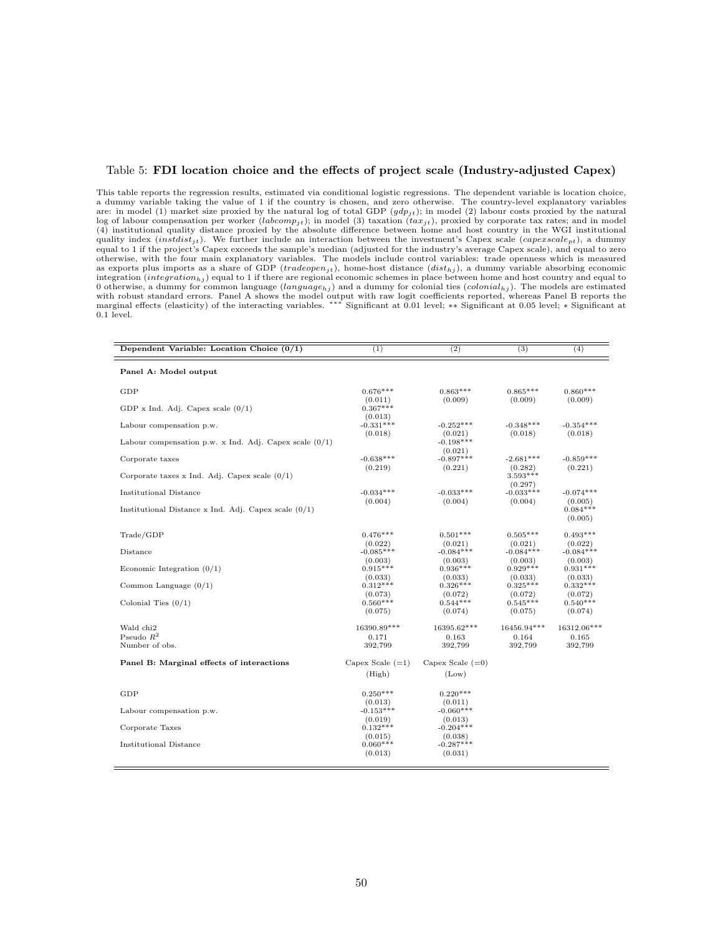#### <span id="page-49-0"></span>Table 5: FDI location choice and the effects of project scale (Industry-adjusted Capex)

This table reports the regression results, estimated via conditional logistic regressions. The dependent variable is location choice, a dummy variable taking the value of 1 if the country is chosen, and zero otherwise. The country-level explanatory variables are: in model (1) market size proxied by the natural log of total GDP  $(gdp_{it})$ ; in model (2) labour costs proxied by the natural log of labour compensation per worker (labcomp<sub>jt</sub>); in model (3) taxation  $(tax_{jt})$ , proxied by corporate tax rates; and in model (4) institutional quality distance proxied by the absolute difference between home and host country in the WGI institutional quality index (*instdist<sub>it</sub>*). We further include an interaction between the investment's Capex scale (*capexscale<sub>pt</sub>*), a dummy equal to 1 if the project's Capex exceeds the sample's median (adjusted for the industry's average Capex scale), and equal to zero otherwise, with the four main explanatory variables. The models include control variables: trade openness which is measured as exports plus imports as a share of GDP (tradeopen<sub>jt</sub>), home-host distance  $(dist_{hj})$ , a dummy variable absorbing economic integration (integration<sub>hj</sub>) equal to 1 if there are regional economic schemes in place between home and host country and equal to 0 otherwise, a dummy for common language (language<sub>hj</sub>) and a dummy for colonial ties (colonial<sub>hj</sub>). The models are estimated with robust standard errors. Panel A shows the model output with raw logit coefficients reported, whereas Panel B reports the<br>marginal effects (elasticity) of the interacting variables. \*\*\* Significant at 0.01 level; \*\* Si 0.1 level.

| Dependent Variable: Location Choice $(0/1)$              | (1)                               | (2)                               | (3)                              | (4)                              |
|----------------------------------------------------------|-----------------------------------|-----------------------------------|----------------------------------|----------------------------------|
| Panel A: Model output                                    |                                   |                                   |                                  |                                  |
| GDP                                                      | $0.676***$                        | $0.863***$                        | $0.865***$                       | $0.860***$                       |
| GDP x Ind. Adj. Capex scale $(0/1)$                      | (0.011)<br>$0.367***$             | (0.009)                           | (0.009)                          | (0.009)                          |
| Labour compensation p.w.                                 | (0.013)<br>$-0.331***$<br>(0.018) | $-0.252***$<br>(0.021)            | $-0.348***$<br>(0.018)           | $-0.354***$<br>(0.018)           |
| Labour compensation p.w. x Ind. Adj. Capex scale $(0/1)$ |                                   | $-0.198***$<br>(0.021)            |                                  |                                  |
| Corporate taxes                                          | $-0.638***$<br>(0.219)            | $-0.897***$<br>(0.221)            | $-2.681***$<br>(0.282)           | $-0.859***$<br>(0.221)           |
| Corporate taxes x Ind. Adj. Capex scale $(0/1)$          |                                   |                                   | $3.593***$<br>(0.297)            |                                  |
| <b>Institutional Distance</b>                            | $-0.034***$<br>(0.004)            | $-0.033***$<br>(0.004)            | $-0.033***$<br>(0.004)           | $-0.074***$<br>(0.005)           |
| Institutional Distance x Ind. Adj. Capex scale $(0/1)$   |                                   |                                   |                                  | $0.084***$<br>(0.005)            |
| Trade/GDP                                                | $0.476***$                        | $0.501***$                        | $0.505***$                       | $0.493***$                       |
| Distance                                                 | (0.022)<br>$-0.085***$            | (0.021)<br>$-0.084***$            | (0.021)<br>$-0.084***$           | (0.022)<br>$-0.084***$           |
| Economic Integration $(0/1)$                             | (0.003)<br>$0.915***$<br>(0.033)  | (0.003)<br>$0.936***$<br>(0.033)  | (0.003)<br>$0.929***$<br>(0.033) | (0.003)<br>$0.931***$<br>(0.033) |
| Common Language $(0/1)$                                  | $0.312***$<br>(0.073)             | $0.326***$<br>(0.072)             | $0.325***$<br>(0.072)            | $0.332***$<br>(0.072)            |
| Colonial Ties $(0/1)$                                    | $0.560***$<br>(0.075)             | $0.544***$<br>(0.074)             | $0.545***$<br>(0.075)            | $0.540***$<br>(0.074)            |
| Wald chi <sub>2</sub>                                    | 16390.89***                       | $16395.62***$                     | 16456.94***                      | 16312.06***                      |
| Pseudo $R^2$<br>Number of obs.                           | 0.171<br>392,799                  | 0.163<br>392,799                  | 0.164<br>392,799                 | 0.165<br>392,799                 |
| Panel B: Marginal effects of interactions                | Capex Scale $(=1)$                | Capex Scale $(=0)$                |                                  |                                  |
|                                                          | (High)                            | (Low)                             |                                  |                                  |
| GDP                                                      | $0.250***$                        | $0.220***$                        |                                  |                                  |
| Labour compensation p.w.                                 | (0.013)<br>$-0.153***$            | (0.011)<br>$-0.060***$            |                                  |                                  |
| Corporate Taxes                                          | (0.019)<br>$0.132***$<br>(0.015)  | (0.013)<br>$-0.204***$<br>(0.038) |                                  |                                  |
| Institutional Distance                                   | $0.060***$<br>(0.013)             | $-0.287***$<br>(0.031)            |                                  |                                  |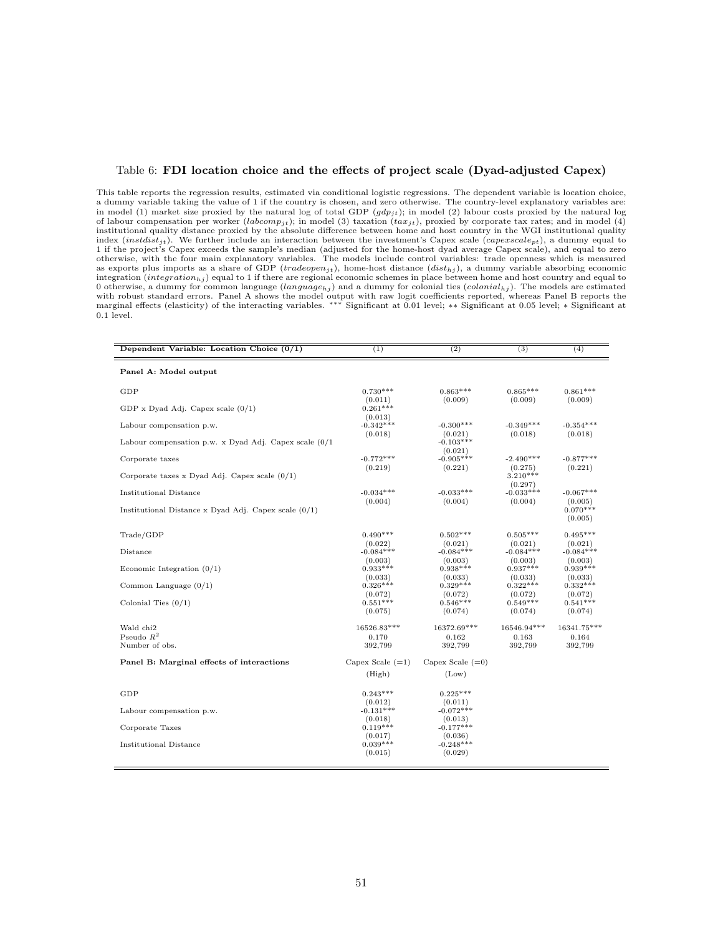#### <span id="page-50-0"></span>Table 6: FDI location choice and the effects of project scale (Dyad-adjusted Capex)

This table reports the regression results, estimated via conditional logistic regressions. The dependent variable is location choice, a dummy variable taking the value of 1 if the country is chosen, and zero otherwise. The country-level explanatory variables are: in model (1) market size proxied by the natural log of total GDP  $(gdp_{jt})$ ; in model (2) labour costs proxied by the natural log of labour compensation per worker (labcomp<sub>jt</sub>); in model (3) taxation  $(tax_{jt})$ , proxied by corporate tax rates; and in model (4) institutional quality distance proxied by the absolute difference between home and host country in the WGI institutional quality index  $(instdist_{it})$ . We further include an interaction between the investment's Capex scale ( $capexscale_{pt}$ ), a dummy equal to 1 if the project's Capex exceeds the sample's median (adjusted for the home-host dyad average Capex scale), and equal to zero<br>otherwise, with the four main explanatory variables. The models include control variables: trade as exports plus imports as a share of GDP (tradeopen<sub>it</sub>), home-host distance  $(dist_{hj})$ , a dummy variable absorbing economic integration  $(integration_{hj})$  equal to 1 if there are regional economic schemes in place between home and host country and equal to 0 otherwise, a dummy for common language  $(language_{hj})$  and a dummy for colonial ties  $(colonial_{hj})$ . The models are estimated with robust standard errors. Panel A shows the model output with raw logit coefficients reported, whereas Panel B reports the<br>marginal effects (elasticity) of the interacting variables. \*\*\* Significant at 0.01 level; \*\* Si 0.1 level.

| Dependent Variable: Location Choice $(0/1)$              | $\overline{(1)}$                  | (2)                               | $\overline{(3)}$                 | (4)                              |
|----------------------------------------------------------|-----------------------------------|-----------------------------------|----------------------------------|----------------------------------|
| Panel A: Model output                                    |                                   |                                   |                                  |                                  |
| GDP                                                      | $0.730***$                        | $0.863***$                        | $0.865***$                       | $0.861***$                       |
| GDP x Dyad Adj. Capex scale $(0/1)$                      | (0.011)<br>$0.261***$             | (0.009)                           | (0.009)                          | (0.009)                          |
| Labour compensation p.w.                                 | (0.013)<br>$-0.342***$<br>(0.018) | $-0.300***$<br>(0.021)            | $-0.349***$<br>(0.018)           | $-0.354***$<br>(0.018)           |
| Labour compensation p.w. x Dyad Adj. Capex scale $(0/1)$ |                                   | $-0.103***$<br>(0.021)            |                                  |                                  |
| Corporate taxes                                          | $-0.772***$<br>(0.219)            | $-0.905***$<br>(0.221)            | $-2.490***$<br>(0.275)           | $-0.877***$<br>(0.221)           |
| Corporate taxes x Dyad Adj. Capex scale $(0/1)$          |                                   |                                   | $3.210***$<br>(0.297)            |                                  |
| <b>Institutional Distance</b>                            | $-0.034***$<br>(0.004)            | $-0.033***$<br>(0.004)            | $-0.033***$<br>(0.004)           | $-0.067***$<br>(0.005)           |
| Institutional Distance x Dyad Adj. Capex scale $(0/1)$   |                                   |                                   |                                  | $0.070***$<br>(0.005)            |
| Trade/GDP                                                | $0.490***$                        | $0.502***$                        | $0.505***$                       | $0.495***$                       |
| Distance                                                 | (0.022)<br>$-0.084***$            | (0.021)<br>$-0.084***$            | (0.021)<br>$-0.084***$           | (0.021)<br>$-0.084***$           |
| Economic Integration $(0/1)$                             | (0.003)<br>$0.933***$             | (0.003)<br>$0.938***$             | (0.003)<br>$0.937***$            | (0.003)<br>$0.939***$            |
| Common Language $(0/1)$                                  | (0.033)<br>$0.326***$             | (0.033)<br>$0.329***$             | (0.033)<br>$0.322***$            | (0.033)<br>$0.332***$            |
| Colonial Ties $(0/1)$                                    | (0.072)<br>$0.551***$<br>(0.075)  | (0.072)<br>$0.546***$<br>(0.074)  | (0.072)<br>$0.549***$<br>(0.074) | (0.072)<br>$0.541***$<br>(0.074) |
| Wald chi <sub>2</sub>                                    | 16526.83***                       | 16372.69***                       | 16546.94***                      | 16341.75***                      |
| Pseudo $R^2$<br>Number of obs.                           | 0.170<br>392,799                  | 0.162<br>392,799                  | 0.163<br>392,799                 | 0.164<br>392,799                 |
| Panel B: Marginal effects of interactions                | Capex Scale $(=1)$                | Capex Scale $(=0)$                |                                  |                                  |
|                                                          | (High)                            | (Low)                             |                                  |                                  |
| GDP                                                      | $0.243***$                        | $0.225***$                        |                                  |                                  |
| Labour compensation p.w.                                 | (0.012)<br>$-0.131***$            | (0.011)<br>$-0.072***$            |                                  |                                  |
| Corporate Taxes                                          | (0.018)<br>$0.119***$             | (0.013)<br>$-0.177***$            |                                  |                                  |
| Institutional Distance                                   | (0.017)<br>$0.039***$<br>(0.015)  | (0.036)<br>$-0.248***$<br>(0.029) |                                  |                                  |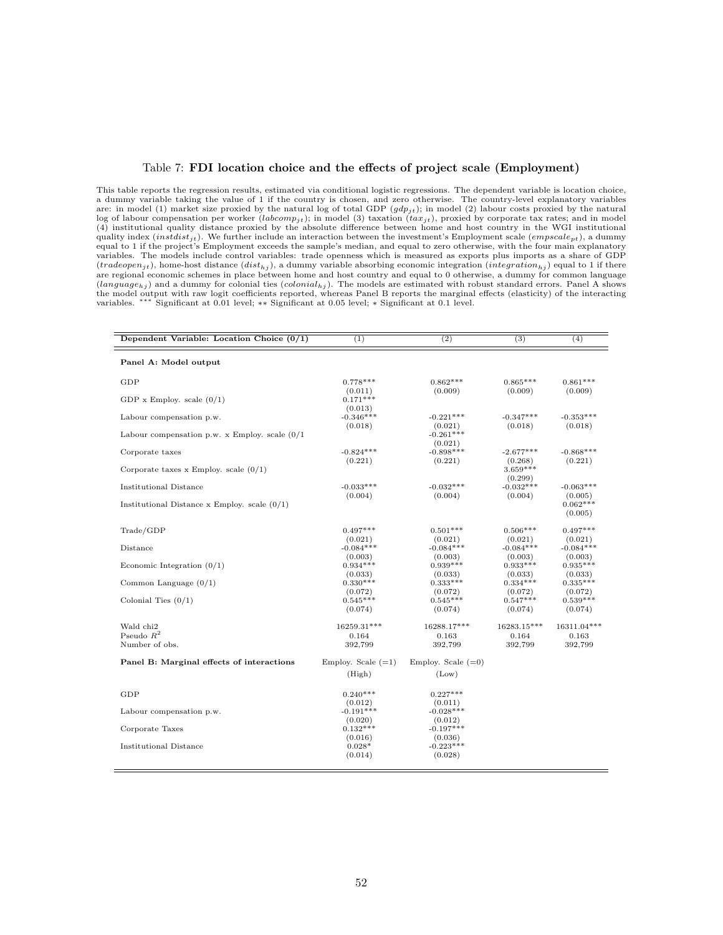#### <span id="page-51-0"></span>Table 7: FDI location choice and the effects of project scale (Employment)

This table reports the regression results, estimated via conditional logistic regressions. The dependent variable is location choice, a dummy variable taking the value of 1 if the country is chosen, and zero otherwise. The country-level explanatory variables are: in model (1) market size proxied by the natural log of total GDP  $(gdp_{it})$ ; in model (2) labour costs proxied by the natural log of labour compensation per worker (*labcomp<sub>it</sub>*); in model (3) taxation ( $tax_{jt}$ ), proxied by corporate tax rates; and in model (4) institutional quality distance proxied by the absolute difference between home and ho quality index  $(instdist_{jt})$ . We further include an interaction between the investment's Employment scale  $(empscale_{pt})$ , a dummy equal to 1 if the project's Employment exceeds the sample's median, and equal to zero otherwise, with variables. The models include control variables: trade openness which is measured as exports plus imports as a share of GDP  $(tradeopen_{jt})$ , home-host distance  $(distr_{hj})$ , a dummy variable absorbing economic integration  $(integration_{hj})$  equal to 1 if there are regional economic schemes in place between home and host country and equal to 0 otherwise, a dummy for common language  $(language_{hj})$  and a dummy for colonial ties  $(colonial_{hj})$ . The models are estimated with robust standard errors. Panel A shows the model output with raw low logit coefficients reported, whereas are estimated with robust standard effects (elasticity) of the interacting variables. \*\*\* Significant at 0.01 level; \* Significant at 0.05 level; \* Signif Significant at 0.01 level; \*\* Significant at 0.05 level; \* Significant at 0.1 level.

| Dependent Variable: Location Choice $(0/1)$      | (1)                              | (2)                               | (3)                              | (4)                              |
|--------------------------------------------------|----------------------------------|-----------------------------------|----------------------------------|----------------------------------|
| Panel A: Model output                            |                                  |                                   |                                  |                                  |
| GDP                                              | $0.778***$                       | $0.862***$                        | $0.865***$                       | $0.861***$                       |
| GDP x Employ. scale $(0/1)$                      | (0.011)<br>$0.171***$<br>(0.013) | (0.009)                           | (0.009)                          | (0.009)                          |
| Labour compensation p.w.                         | $-0.346***$<br>(0.018)           | $-0.221***$<br>(0.021)            | $-0.347***$<br>(0.018)           | $-0.353***$<br>(0.018)           |
| Labour compensation p.w. x Employ. scale $(0/1)$ |                                  | $-0.261***$<br>(0.021)            |                                  |                                  |
| Corporate taxes                                  | $-0.824***$<br>(0.221)           | $-0.898***$<br>(0.221)            | $-2.677***$<br>(0.268)           | $-0.868***$<br>(0.221)           |
| Corporate taxes x Employ. scale $(0/1)$          |                                  |                                   | $3.659***$<br>(0.299)            |                                  |
| Institutional Distance                           | $-0.033***$<br>(0.004)           | $-0.032***$<br>(0.004)            | $-0.032***$<br>(0.004)           | $-0.063***$<br>(0.005)           |
| Institutional Distance x Employ. scale $(0/1)$   |                                  |                                   |                                  | $0.062***$<br>(0.005)            |
| Trade/GDP                                        | $0.497***$                       | $0.501***$                        | $0.506***$                       | $0.497***$                       |
| Distance                                         | (0.021)<br>$-0.084***$           | (0.021)<br>$-0.084***$            | (0.021)<br>$-0.084***$           | (0.021)<br>$-0.084***$           |
| Economic Integration $(0/1)$                     | (0.003)<br>$0.934***$            | (0.003)<br>$0.939***$             | (0.003)<br>$0.933***$            | (0.003)<br>$0.935***$            |
| Common Language $(0/1)$                          | (0.033)<br>$0.330***$            | (0.033)<br>$0.333***$             | (0.033)<br>$0.334***$            | (0.033)<br>$0.335***$            |
| Colonial Ties $(0/1)$                            | (0.072)<br>$0.545***$<br>(0.074) | (0.072)<br>$0.545***$<br>(0.074)  | (0.072)<br>$0.547***$<br>(0.074) | (0.072)<br>$0.539***$<br>(0.074) |
| Wald chi <sub>2</sub>                            | 16259.31***                      | 16288.17***                       | 16283.15***                      | 16311.04***                      |
| Pseudo $R^2$<br>Number of obs.                   | 0.164<br>392,799                 | 0.163<br>392,799                  | 0.164<br>392,799                 | 0.163<br>392,799                 |
| Panel B: Marginal effects of interactions        | Employ. Scale $(=1)$             | Employ. Scale $(=0)$              |                                  |                                  |
|                                                  | (High)                           | (Low)                             |                                  |                                  |
| GDP                                              | $0.240***$                       | $0.227***$                        |                                  |                                  |
| Labour compensation p.w.                         | (0.012)<br>$-0.191***$           | (0.011)<br>$-0.028***$            |                                  |                                  |
| Corporate Taxes                                  | (0.020)<br>$0.132***$            | (0.012)<br>$-0.197***$            |                                  |                                  |
| Institutional Distance                           | (0.016)<br>$0.028*$<br>(0.014)   | (0.036)<br>$-0.223***$<br>(0.028) |                                  |                                  |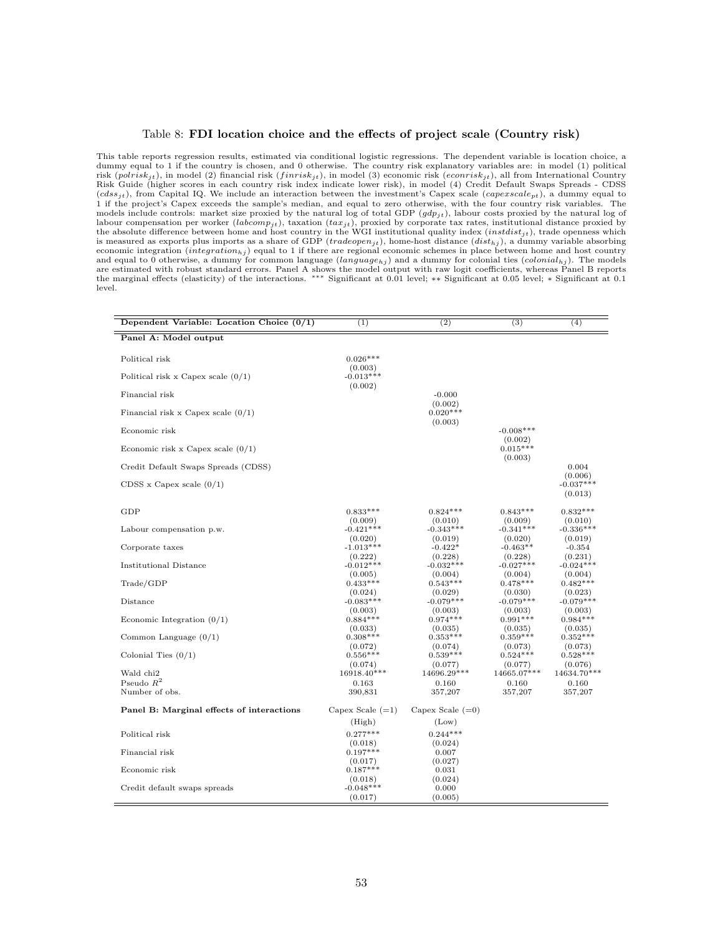#### <span id="page-52-0"></span>Table 8: FDI location choice and the effects of project scale (Country risk)

This table reports regression results, estimated via conditional logistic regressions. The dependent variable is location choice, a dummy equal to 1 if the country is chosen, and 0 otherwise. The country risk explanatory variables are: in model (1) political<br>risk (polrisk<sub>it</sub>), in model (2) financial risk (finrisk<sub>it</sub>), in model (3) economic risk (eco Risk Guide (higher scores in each country risk index indicate lower risk), in model (4) Credit Default Swaps Spreads - CDSS  $(cdss_{jt})$ , from Capital IQ. We include an interaction between the investment's Capex scale  $(capex scale_{pt})$ , a dummy equal to 1 if the project's Capex exceeds the sample's median, and equal to zero otherwise, with the four countr models include controls: market size proxied by the natural log of total GDP  $(gdp_{jt})$ , labour costs proxied by the natural log of<br>labour compensation per worker  $(labcomp_{jt})$ , taxation  $(tax_{jt})$ , proxied by corporate tax rates, i economic integration  $(integration_{hj})$  equal to 1 if there are regional economic schemes in place between home and host country and equal to 0 otherwise, a dummy for common language  $(language_{hj})$  and a dummy for colonial ties  $(colonial_{hj})$ . The models<br>are estimated with robust standard errors. Panel A shows the model output with raw logit coefficients, level.

| Dependent Variable: Location Choice $(0/1)$ | (1)                               | (2)                              | (3)                              | (4)                              |
|---------------------------------------------|-----------------------------------|----------------------------------|----------------------------------|----------------------------------|
| Panel A: Model output                       |                                   |                                  |                                  |                                  |
|                                             |                                   |                                  |                                  |                                  |
| Political risk                              | $0.026***$                        |                                  |                                  |                                  |
| Political risk x Capex scale $(0/1)$        | (0.003)<br>$-0.013***$<br>(0.002) |                                  |                                  |                                  |
| Financial risk                              |                                   | $-0.000$<br>(0.002)              |                                  |                                  |
| Financial risk x Capex scale $(0/1)$        |                                   | $0.020***$<br>(0.003)            |                                  |                                  |
| Economic risk                               |                                   |                                  | $-0.008***$<br>(0.002)           |                                  |
| Economic risk x Capex scale $(0/1)$         |                                   |                                  | $0.015***$<br>(0.003)            |                                  |
| Credit Default Swaps Spreads (CDSS)         |                                   |                                  |                                  | 0.004<br>(0.006)                 |
| $CDSS$ x Capex scale $(0/1)$                |                                   |                                  |                                  | $-0.037***$<br>(0.013)           |
| GDP                                         | $0.833***$                        | $0.824***$                       | $0.843***$                       | $0.832***$                       |
| Labour compensation p.w.                    | (0.009)<br>$-0.421***$            | (0.010)<br>$-0.343***$           | (0.009)<br>$-0.341***$           | (0.010)<br>$-0.336***$           |
| Corporate taxes                             | (0.020)<br>$-1.013***$            | (0.019)<br>$-0.422*$             | (0.020)<br>$-0.463**$            | (0.019)<br>$-0.354$              |
| Institutional Distance                      | (0.222)<br>$-0.012***$            | (0.228)<br>$-0.032***$           | (0.228)<br>$-0.027***$           | (0.231)<br>$-0.024***$           |
| Trade/GDP                                   | (0.005)<br>$0.433***$<br>(0.024)  | (0.004)<br>$0.543***$<br>(0.029) | (0.004)<br>$0.478***$<br>(0.030) | (0.004)<br>$0.482***$<br>(0.023) |
| Distance                                    | $-0.083***$<br>(0.003)            | $-0.079***$<br>(0.003)           | $-0.079***$                      | $-0.079***$<br>(0.003)           |
| Economic Integration $(0/1)$                | $0.884***$<br>(0.033)             | $0.974***$<br>(0.035)            | (0.003)<br>$0.991***$<br>(0.035) | $0.984***$<br>(0.035)            |
| Common Language $(0/1)$                     | $0.308***$<br>(0.072)             | $0.353***$<br>(0.074)            | $0.359***$<br>(0.073)            | $0.352***$<br>(0.073)            |
| Colonial Ties $(0/1)$                       | $0.556***$<br>(0.074)             | $0.539***$<br>(0.077)            | $0.524***$<br>(0.077)            | $0.528***$<br>(0.076)            |
| Wald chi <sub>2</sub>                       | 16918.40***                       | 14696.29***                      | 14665.07***                      | 14634.70***                      |
| Pseudo $R^2$                                | 0.163                             | 0.160                            | 0.160                            | 0.160                            |
| Number of obs.                              | 390,831                           | 357,207                          | 357,207                          | 357,207                          |
| Panel B: Marginal effects of interactions   | Capex Scale $(=1)$                | Capex Scale $(=0)$               |                                  |                                  |
|                                             | (High)                            | (Low)                            |                                  |                                  |
| Political risk                              | $0.277***$                        | $0.244***$                       |                                  |                                  |
| Financial risk                              | (0.018)<br>$0.197***$             | (0.024)<br>0.007                 |                                  |                                  |
|                                             | (0.017)                           | (0.027)                          |                                  |                                  |
| Economic risk                               | $0.187***$<br>(0.018)             | 0.031<br>(0.024)                 |                                  |                                  |
| Credit default swaps spreads                | $-0.048***$                       | 0.000                            |                                  |                                  |
|                                             | (0.017)                           | (0.005)                          |                                  |                                  |